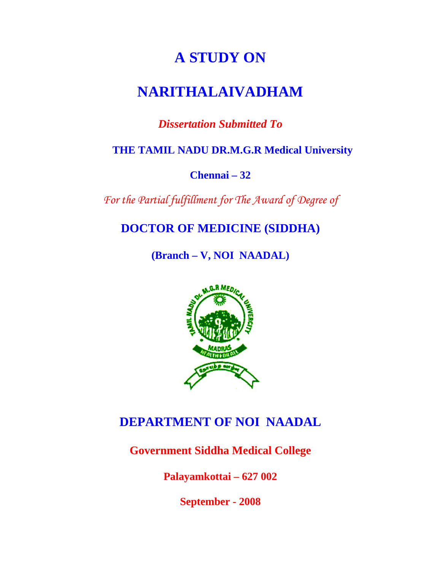# **A STUDY ON**

# **NARITHALAIVADHAM**

# *Dissertation Submitted To*

 **THE TAMIL NADU DR.M.G.R Medical University** 

**Chennai – 32** 

*For the Partial fulfillment for The Award of Degree of* 

**DOCTOR OF MEDICINE (SIDDHA)** 

**(Branch – V, NOI NAADAL)** 



# **DEPARTMENT OF NOI NAADAL**

**Government Siddha Medical College** 

**Palayamkottai – 627 002** 

**September - 2008**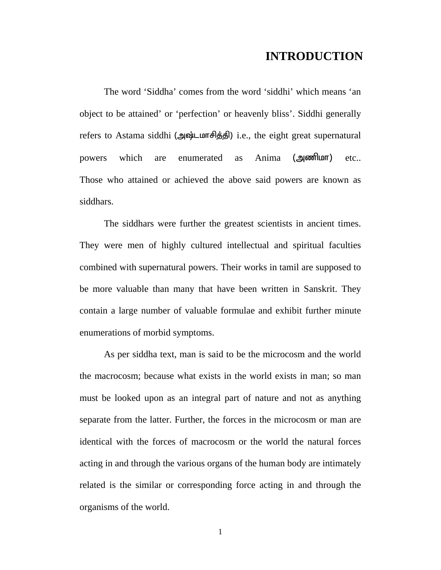## **INTRODUCTION**

The word 'Siddha' comes from the word 'siddhi' which means 'an object to be attained' or 'perfection' or heavenly bliss'. Siddhi generally refers to Astama siddhi (அஷ்டமாசித்தி) i.e., the eight great supernatural powers which are enumerated as Anima (அணிமா) etc.. Those who attained or achieved the above said powers are known as siddhars.

The siddhars were further the greatest scientists in ancient times. They were men of highly cultured intellectual and spiritual faculties combined with supernatural powers. Their works in tamil are supposed to be more valuable than many that have been written in Sanskrit. They contain a large number of valuable formulae and exhibit further minute enumerations of morbid symptoms.

As per siddha text, man is said to be the microcosm and the world the macrocosm; because what exists in the world exists in man; so man must be looked upon as an integral part of nature and not as anything separate from the latter. Further, the forces in the microcosm or man are identical with the forces of macrocosm or the world the natural forces acting in and through the various organs of the human body are intimately related is the similar or corresponding force acting in and through the organisms of the world.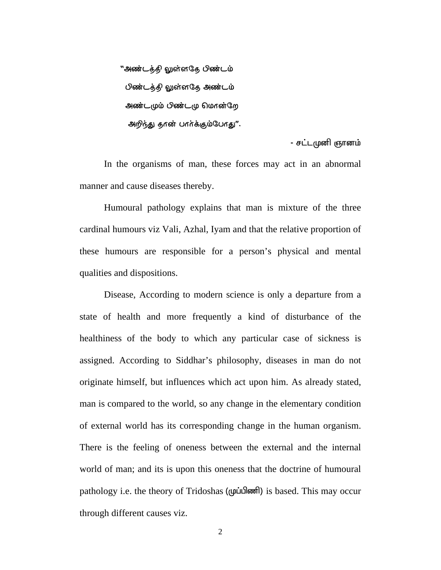"அண்டத்தி லுள்ளதே பிண்டம் பிண்டத்தி லுள்ளதே அண்டம் அண்டமும் பிண்டமு மொன்றே அறிந்து தான் பார்க்கும்போது".

- சட்டமுனி ஞானம்

In the organisms of man, these forces may act in an abnormal manner and cause diseases thereby.

Humoural pathology explains that man is mixture of the three cardinal humours viz Vali, Azhal, Iyam and that the relative proportion of these humours are responsible for a person's physical and mental qualities and dispositions.

Disease, According to modern science is only a departure from a state of health and more frequently a kind of disturbance of the healthiness of the body to which any particular case of sickness is assigned. According to Siddhar's philosophy, diseases in man do not originate himself, but influences which act upon him. As already stated, man is compared to the world, so any change in the elementary condition of external world has its corresponding change in the human organism. There is the feeling of oneness between the external and the internal world of man; and its is upon this oneness that the doctrine of humoural pathology i.e. the theory of Tridoshas ( $(\mu\dot{\mu})$  and  $\mu$ ) is based. This may occur through different causes viz.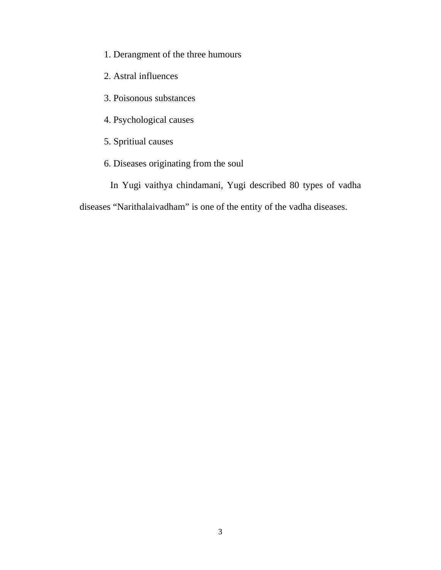- 1. Derangment of the three humours
- 2. Astral influences
- 3. Poisonous substances
- 4. Psychological causes
- 5. Spritiual causes
- 6. Diseases originating from the soul
	- In Yugi vaithya chindamani, Yugi described 80 types of vadha

diseases "Narithalaivadham" is one of the entity of the vadha diseases.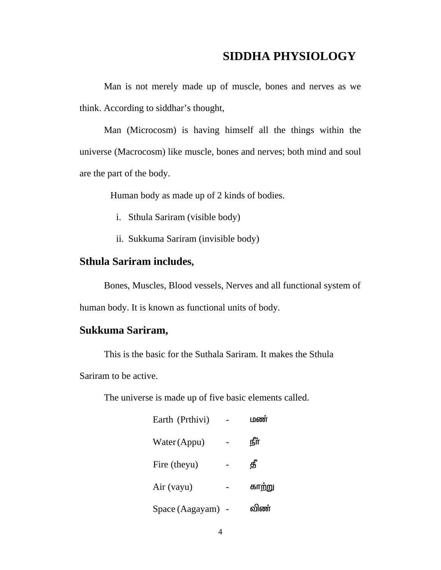# **SIDDHA PHYSIOLOGY**

Man is not merely made up of muscle, bones and nerves as we think. According to siddhar's thought,

Man (Microcosm) is having himself all the things within the universe (Macrocosm) like muscle, bones and nerves; both mind and soul are the part of the body.

Human body as made up of 2 kinds of bodies.

- i. Sthula Sariram (visible body)
- ii. Sukkuma Sariram (invisible body)

#### **Sthula Sariram includes,**

Bones, Muscles, Blood vessels, Nerves and all functional system of human body. It is known as functional units of body.

## **Sukkuma Sariram,**

This is the basic for the Suthala Sariram. It makes the Sthula

Sariram to be active.

The universe is made up of five basic elements called.

| Earth (Prthivi)   | மண     |
|-------------------|--------|
| Water (Appu)      | ௺      |
| Fire (theyu)      | தீ     |
| Air (vayu)        | காற்று |
| Space (Aagayam) - | விண்   |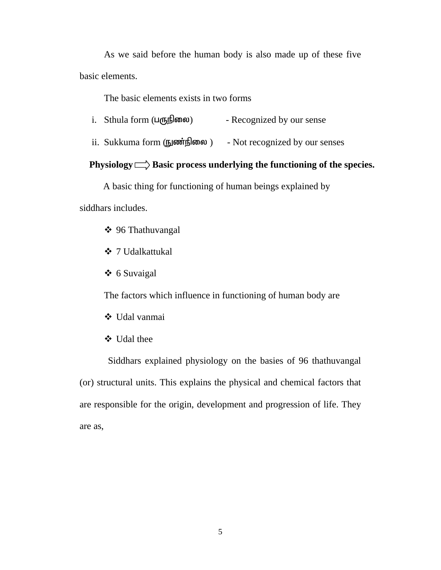As we said before the human body is also made up of these five basic elements.

The basic elements exists in two forms

- i. Sthula form  $(L(f, \vec{B})$  and  $L(f, \vec{B})$  Recognized by our sense
- ii. Sukkuma form (நுண்நிலை ) Not recognized by our senses

## **Physiology**  $\Rightarrow$  **Basic process underlying the functioning of the species.**

A basic thing for functioning of human beings explained by

siddhars includes.

- 96 Thathuvangal
- 7 Udalkattukal
- 6 Suvaigal

The factors which influence in functioning of human body are

- Udal vanmai
- Udal thee

 Siddhars explained physiology on the basies of 96 thathuvangal (or) structural units. This explains the physical and chemical factors that are responsible for the origin, development and progression of life. They are as,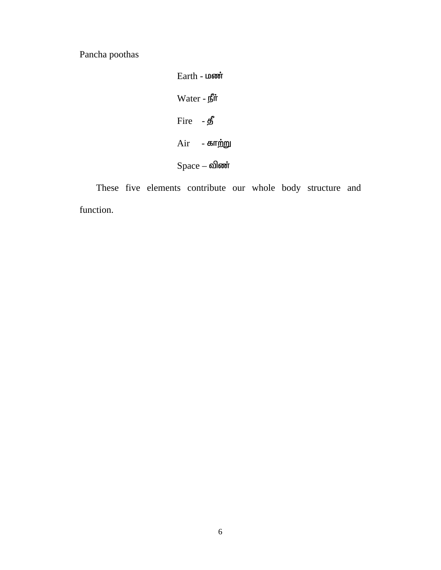Pancha poothas

 $Earth - L$  $Water - ff\ddot{t}$  $Fire - **g**$  $Air$  - காற்று  $Space - \omega$ 

 These five elements contribute our whole body structure and function.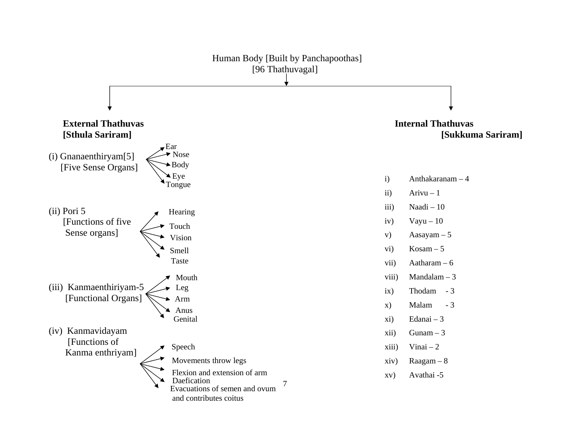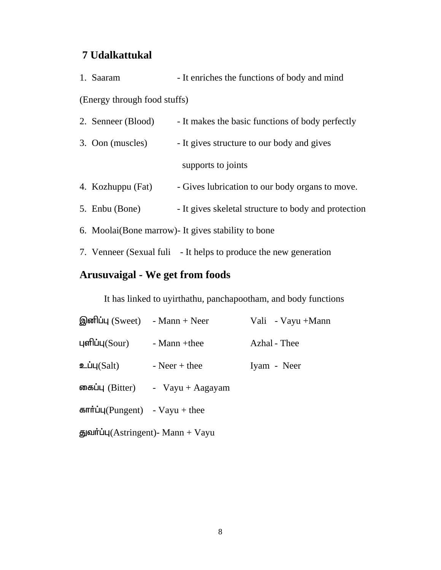# **7 Udalkattukal**

| 1. Saaram                    | - It enriches the functions of body and mind |
|------------------------------|----------------------------------------------|
| (Energy through food stuffs) |                                              |

| 2. Senneer (Blood) | - It makes the basic functions of body perfectly |
|--------------------|--------------------------------------------------|
| 3. Oon (muscles)   | - It gives structure to our body and gives       |
|                    | supports to joints                               |

- 4. Kozhuppu (Fat) Gives lubrication to our body organs to move.
- 5. Enbu (Bone) It gives skeletal structure to body and protection
- 6. Moolai(Bone marrow)- It gives stability to bone
- 7. Venneer (Sexual fuli It helps to produce the new generation

# **Arusuvaigal - We get from foods**

It has linked to uyirthathu, panchapootham, and body functions

| இனிப்பு (Sweet)   | $-Mann + Neer$      | Vali - Vayu +Mann |
|-------------------|---------------------|-------------------|
| புளிப்பு $(Sour)$ | - Mann +thee        | Azhal - Thee      |
| உப்பு $(Salt)$    | $-$ Neer $+$ thee   | Iyam - Neer       |
| கைப்பு (Bitter)   | - $V$ ayu + Aagayam |                   |
|                   |                     |                   |

 $\text{Hm}$ full(Pungent) - Vayu + thee

 $\frac{1}{\text{g}}$ ann + Vayu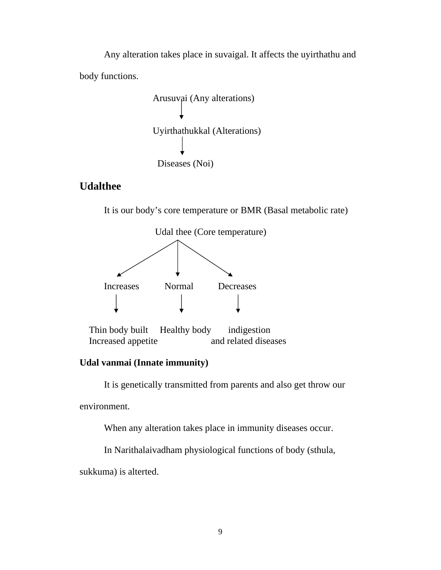Any alteration takes place in suvaigal. It affects the uyirthathu and body functions.

 Arusuvai (Any alterations) Uyirthathukkal (Alterations) Diseases (Noi)

## **Udalthee**

It is our body's core temperature or BMR (Basal metabolic rate)



 Thin body built Healthy body indigestion Increased appetite and related diseases

## **Udal vanmai (Innate immunity)**

It is genetically transmitted from parents and also get throw our

environment.

When any alteration takes place in immunity diseases occur.

In Narithalaivadham physiological functions of body (sthula,

sukkuma) is alterted.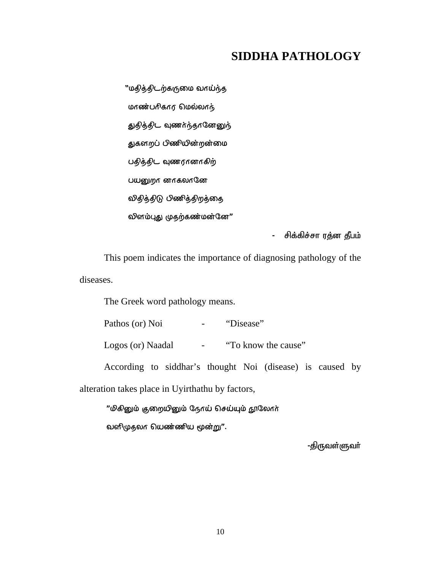# **SIDDHA PATHOLOGY**

"மதித்திடற்கருமை வாய்ந்த  $m$ ண்பரிகார மெல்லாந் துதித்திட வுணர்ந்தானேனுந் துகளறப் பிணியின்றன்மை பதித்திட வுணரானாகிற் பயனுறா னாகலானே விதித்திடு பிணித்திறத்தை லினம்புது முதற்கண்மன்னே"

- சிக்கிச்சா ரத்ன தீபம்

This poem indicates the importance of diagnosing pathology of the diseases.

The Greek word pathology means.

Pathos (or) Noi - "Disease"

Logos (or) Naadal - "To know the cause"

According to siddhar's thought Noi (disease) is caused by alteration takes place in Uyirthathu by factors,

"மிகினும் குறையினும் நேரய் செய்யும் நூலோர் வனிமுதலா மெண்ணிய மூன்று".

-திருவள்ளுவா்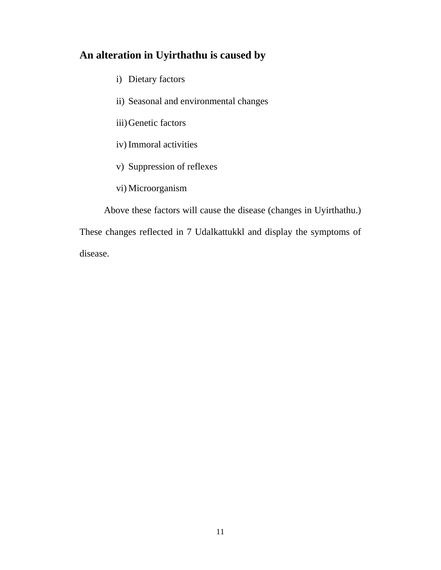# **An alteration in Uyirthathu is caused by**

- i) Dietary factors
- ii) Seasonal and environmental changes
- iii)Genetic factors
- iv) Immoral activities
- v) Suppression of reflexes
- vi) Microorganism

Above these factors will cause the disease (changes in Uyirthathu.) These changes reflected in 7 Udalkattukkl and display the symptoms of disease.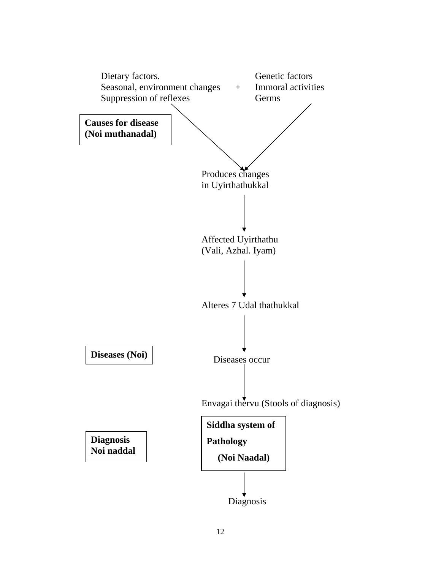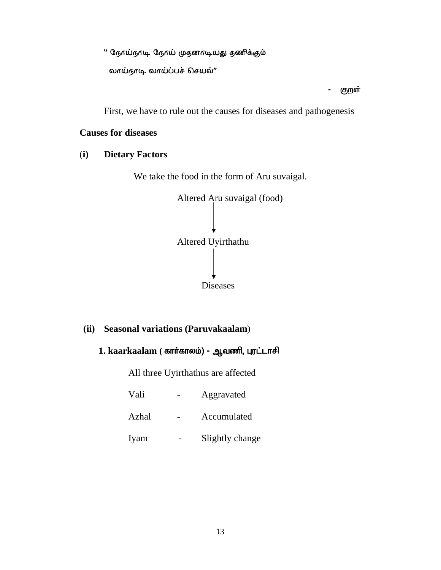" நேரய்நாடி நேரய் முதனாடியது தணிக்கும்

வாய்நாடி வாய்ப்பச் செயல்"

- குறள்

First, we have to rule out the causes for diseases and pathogenesis

## **Causes for diseases**

(**i) Dietary Factors** 

We take the food in the form of Aru suvaigal.



#### **(ii) Seasonal variations (Paruvakaalam**)

## 1. kaarkaalam ( கார்காலம்) - ஆவணி, புரட்டாசி

All three Uyirthathus are affected

| Vali  | Aggravated      |
|-------|-----------------|
| Azhal | Accumulated     |
| Iyam  | Slightly change |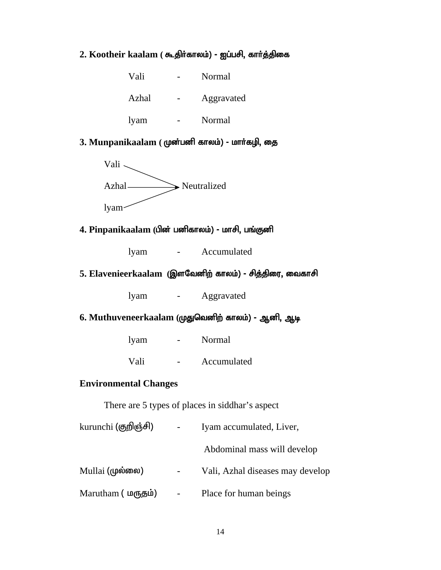## 2. Kootheir kaalam ( கூதிர்காலம்) - ஐப்பசி, கார்த்திகை

| Vali  | Normal     |
|-------|------------|
| Azhal | Aggravated |
| lyam  | Normal     |

# 3. Munpanikaalam (மூன்பனி காலம்) - மார்கழி, தை



### **4. Pinpanikaalam (பின் பனிகாலம்) - மாசி, பங்குனி**

lyam - Accumulated

#### 5. Elavenieerkaalam (இளவேனிற் காலம்) - சித்திரை, வைகாசி

lyam - Aggravated

## **6. Muthuveneerkaalam (முதுவெனிற் காலம்) - ஆனி, ஆடி**

| lyam | Normal |  |
|------|--------|--|
|      |        |  |

Vali - Accumulated

#### **Environmental Changes**

There are 5 types of places in siddhar's aspect

| kurunchi (குறிஞ்சி) |                          | Iyam accumulated, Liver,         |
|---------------------|--------------------------|----------------------------------|
|                     |                          | Abdominal mass will develop      |
| Mullai (முல்லை)     |                          | Vali, Azhal diseases may develop |
| Marutham (மருதம்)   | $\overline{\phantom{0}}$ | Place for human beings           |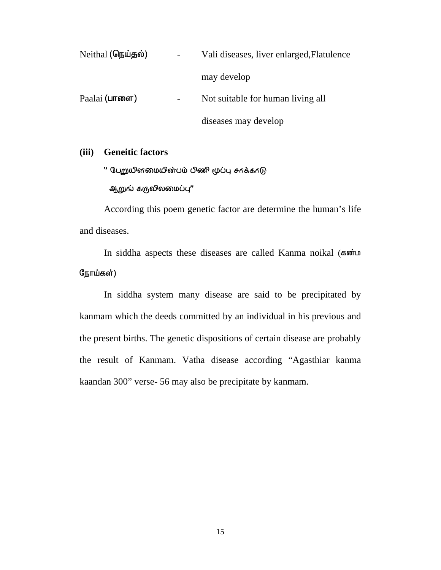| Neithal (நெய்தல்)   | Vali diseases, liver enlarged, Flatulence |
|---------------------|-------------------------------------------|
|                     | may develop                               |
| Paalai $($ பாளை $)$ | Not suitable for human living all         |
|                     | diseases may develop                      |

#### **(iii) Geneitic factors**

" பேறுமினமையின்பம் பிணி மூப்பு சாக்காடு

ஆறுங் கருலிலமைப்பு"

 According this poem genetic factor are determine the human's life and diseases.

In siddha aspects these diseases are called Kanma noikal (soint நோய்கள்)

 In siddha system many disease are said to be precipitated by kanmam which the deeds committed by an individual in his previous and the present births. The genetic dispositions of certain disease are probably the result of Kanmam. Vatha disease according "Agasthiar kanma kaandan 300" verse- 56 may also be precipitate by kanmam.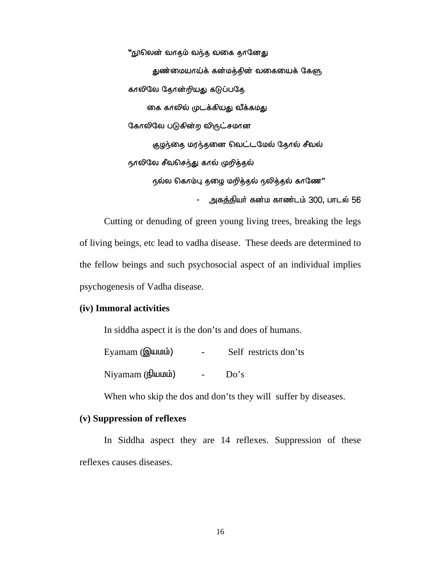"நூலென் வாதம் வந்த வகை தானேது துண்மையாய்க் கன்மத்தின் வகையைக் கேளு காலிலே தோன்றியது கடுப்பதே கை காலில் முடக்கியது வீக்கமது கேரலிலே படுகின்ற விருட்சமான குழந்தை மரந்தனை வெட்டமேல் தோல் சீவல் நாலிலே சீவசெந்து கால் முறித்தல்  $r$ ல்ல கொம்பு தழை மறித்தல் நலித்தல் காணே $"$ - அகத்தியர் கன்ம காண்டம் 300, பாடல் 56

Cutting or denuding of green young living trees, breaking the legs of living beings, etc lead to vadha disease. These deeds are determined to the fellow beings and such psychosocial aspect of an individual implies psychogenesis of Vadha disease.

#### **(iv) Immoral activities**

In siddha aspect it is the don'ts and does of humans.

Eyamam (இயமம்) - Self restricts don'ts

 $Niyaman$  ( $\frac{f}{d}$ und $\frac{h}{d}$ ) -  $Do's$ 

When who skip the dos and don'ts they will suffer by diseases.

#### **(v) Suppression of reflexes**

In Siddha aspect they are 14 reflexes. Suppression of these reflexes causes diseases.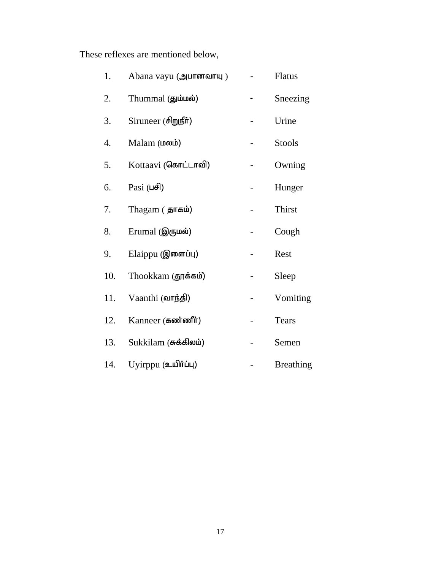These reflexes are mentioned below,

| 1.  | Abana vayu (அபானவாயு)                    | Flatus           |
|-----|------------------------------------------|------------------|
| 2.  | Thummal (தும்மல்)                        | Sneezing         |
| 3.  | Siruneer (சிறுநீர்)                      | Urine            |
| 4.  | Malam (மலம்)                             | <b>Stools</b>    |
| 5.  | Kottaavi (கொட்டாவி)                      | Owning           |
| 6.  | Pasi $( \mathsf{u}\mathsf{f}\mathsf{d})$ | Hunger           |
| 7.  | Thagam (தாகம்)                           | Thirst           |
| 8.  | Erumal (இருமல்)                          | Cough            |
| 9.  | Elaippu (இளைப்பு)                        | Rest             |
| 10. | Thookkam (தூக்கம்)                       | Sleep            |
| 11. | Vaanthi (வாந்தி)                         | Vomiting         |
| 12. | Kanneer (கண்ணீர்)                        | Tears            |
| 13. | Sukkilam (சுக்கிலம்)                     | Semen            |
| 14. | Uyirppu (உயிர்ப்பு)                      | <b>Breathing</b> |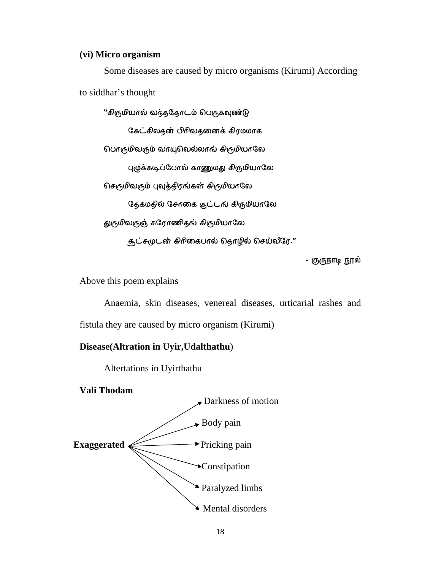#### **(vi) Micro organism**

Some diseases are caused by micro organisms (Kirumi) According to siddhar's thought

"கிருமியால் வந்ததோடம் பெருகவுண்டு கேட்கிலதன் பிரிவதனைக் கிரமமாக பொருமிவரும் வாயுபெல்லாங் கிருமியாலே புழுக்கடிப்போல் காணுமது கிருமியாலே செருமிவரும் புவுத்திரங்கள் கிருமியாலே தேகமதில் சோகை குட்டங் கிருமியாலே துருமிவருஞ் சுரேரணிதங் கிருமியாலே சூட்சமுடன் கிரிகைபால் தொழில் செய்லீரே."

- குருநாடி நூல்

Above this poem explains

Anaemia, skin diseases, venereal diseases, urticarial rashes and fistula they are caused by micro organism (Kirumi)

#### **Disease(Altration in Uyir,Udalthathu**)

Altertations in Uyirthathu

**Vali Thodam** 

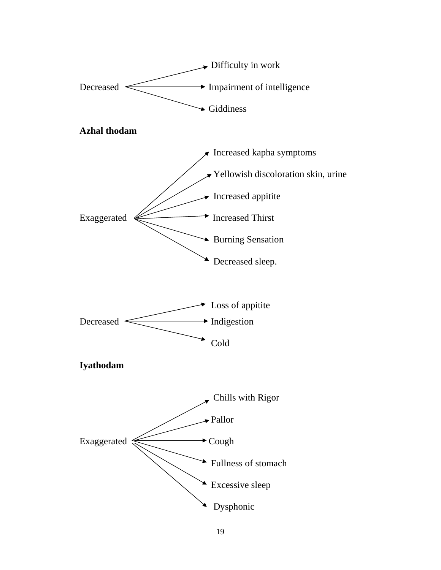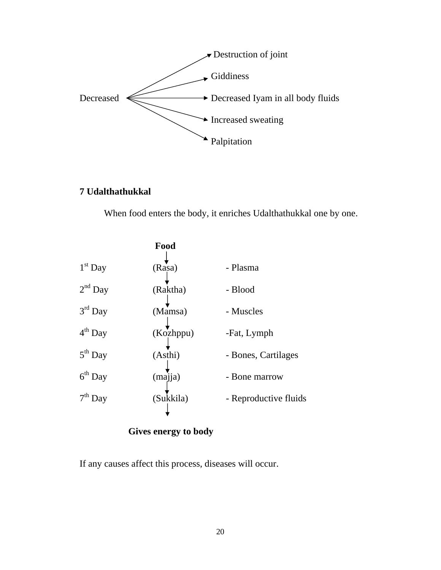

# **7 Udalthathukkal**

When food enters the body, it enriches Udalthathukkal one by one.

|           | Food      |                       |
|-----------|-----------|-----------------------|
| $1st$ Day | (Rasa)    | - Plasma              |
| $2nd$ Day | (Raktha)  | - Blood               |
| $3rd$ Day | (Mamsa)   | - Muscles             |
| $4th$ Day | (Kozhppu) | -Fat, Lymph           |
| $5th$ Day | (Asthi)   | - Bones, Cartilages   |
| $6th$ Day | (majja)   | - Bone marrow         |
| $7th$ Day | (Sukkila) | - Reproductive fluids |
|           |           |                       |

## **Gives energy to body**

If any causes affect this process, diseases will occur.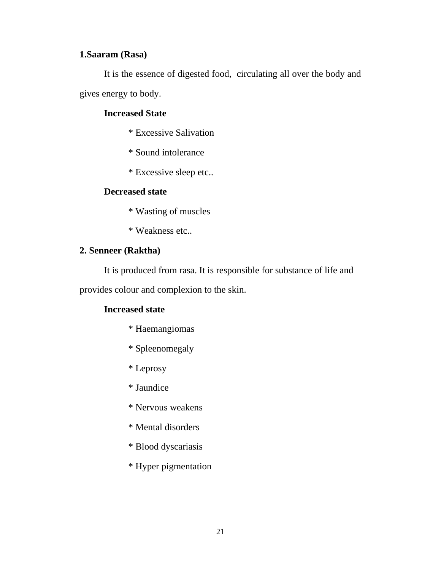## **1.Saaram (Rasa)**

It is the essence of digested food, circulating all over the body and gives energy to body.

#### **Increased State**

- \* Excessive Salivation
- \* Sound intolerance
- \* Excessive sleep etc..

#### **Decreased state**

- \* Wasting of muscles
- \* Weakness etc..

## **2. Senneer (Raktha)**

It is produced from rasa. It is responsible for substance of life and

provides colour and complexion to the skin.

#### **Increased state**

- \* Haemangiomas
- \* Spleenomegaly
- \* Leprosy
- \* Jaundice
- \* Nervous weakens
- \* Mental disorders
- \* Blood dyscariasis
- \* Hyper pigmentation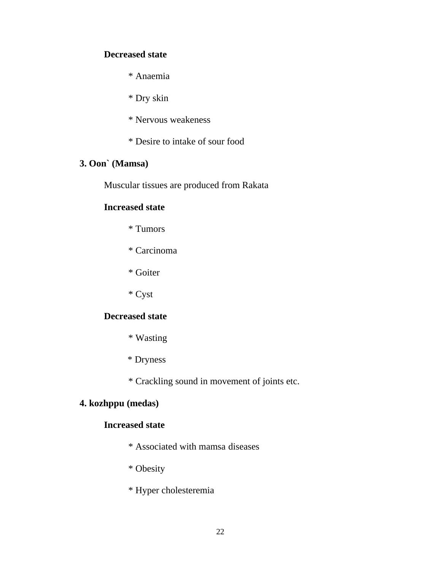#### **Decreased state**

\* Anaemia

\* Dry skin

\* Nervous weakeness

\* Desire to intake of sour food

## **3. Oon` (Mamsa)**

Muscular tissues are produced from Rakata

#### **Increased state**

- \* Tumors
- \* Carcinoma
- \* Goiter
- \* Cyst

#### **Decreased state**

- \* Wasting
- \* Dryness

\* Crackling sound in movement of joints etc.

## **4. kozhppu (medas)**

## **Increased state**

- \* Associated with mamsa diseases
- \* Obesity
- \* Hyper cholesteremia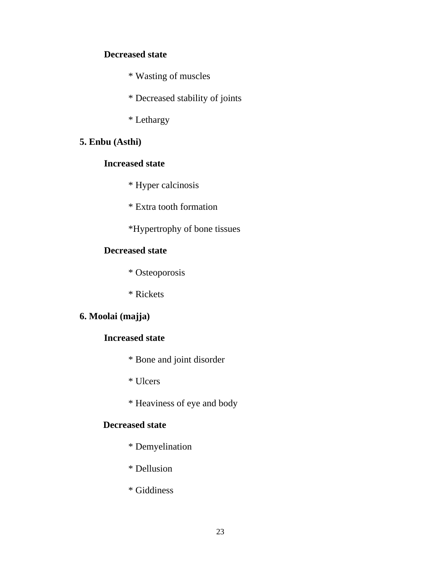#### **Decreased state**

\* Wasting of muscles

\* Decreased stability of joints

\* Lethargy

## **5. Enbu (Asthi)**

## **Increased state**

\* Hyper calcinosis

\* Extra tooth formation

\*Hypertrophy of bone tissues

### **Decreased state**

\* Osteoporosis

\* Rickets

## **6. Moolai (majja)**

## **Increased state**

\* Bone and joint disorder

\* Ulcers

\* Heaviness of eye and body

## **Decreased state**

- \* Demyelination
- \* Dellusion
- \* Giddiness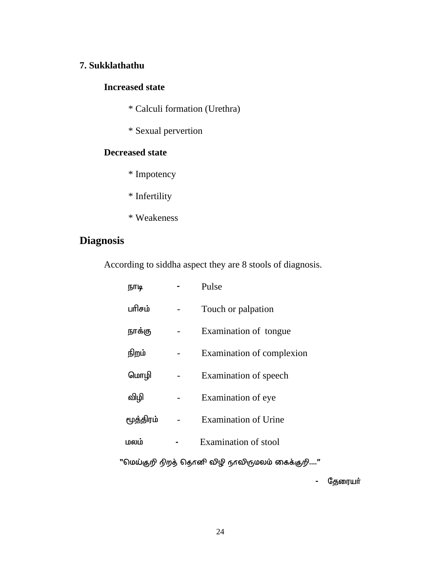## **7. Sukklathathu**

#### **Increased state**

- \* Calculi formation (Urethra)
- \* Sexual pervertion

## **Decreased state**

- \* Impotency
- \* Infertility
- \* Weakeness

# **Diagnosis**

According to siddha aspect they are 8 stools of diagnosis.

| நாடி      | Pulse                       |
|-----------|-----------------------------|
| பரிசம்    | Touch or palpation          |
| நாக்கு    | Examination of tongue       |
| நிறம்     | Examination of complexion   |
| மொழி      | Examination of speech       |
| விழி      | Examination of eye          |
| மூத்திரம் | <b>Examination of Urine</b> |
| மலம்      | Examination of stool        |

 $"$ மெய்கு $\hat{p}$  நிறத் தொனி விழி நாவிருமலம் கைக்கு $\hat{p}$ ...."

- தேரையா்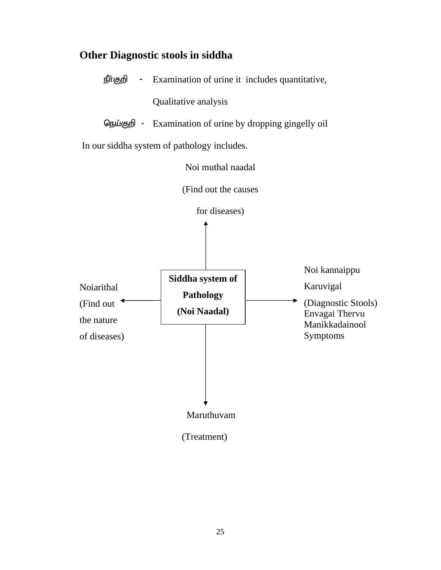# **Other Diagnostic stools in siddha**

| நீா்குறி                                              | Examination of urine it includes quantitative,       |                                                                                                   |  |
|-------------------------------------------------------|------------------------------------------------------|---------------------------------------------------------------------------------------------------|--|
|                                                       | Qualitative analysis                                 |                                                                                                   |  |
| நெய்குறி -                                            | Examination of urine by dropping gingelly oil        |                                                                                                   |  |
|                                                       | In our siddha system of pathology includes.          |                                                                                                   |  |
|                                                       | Noi muthal naadal                                    |                                                                                                   |  |
|                                                       | (Find out the causes                                 |                                                                                                   |  |
|                                                       | for diseases)                                        |                                                                                                   |  |
| Noiarithal<br>(Find out<br>the nature<br>of diseases) | Siddha system of<br><b>Pathology</b><br>(Noi Naadal) | Noi kannaippu<br>Karuvigal<br>(Diagnostic Stools)<br>Envagai Thervu<br>Manikkadainool<br>Symptoms |  |
|                                                       | Maruthuvam                                           |                                                                                                   |  |
|                                                       | (Treatment)                                          |                                                                                                   |  |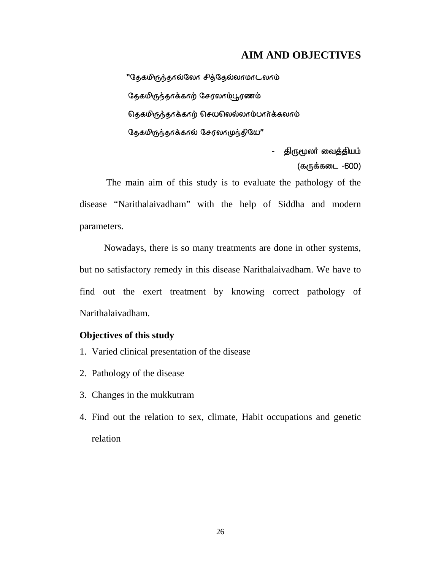#### **AIM AND OBJECTIVES**

''தேகமிருந்தால்லோ சித்தேல்லாமாடலாம் தேகமிருந்தாக்காற் சேரலாம்பூரணம் நெகமிருந்தாக்காற் செயலெல்லாம்பார்க்கலாம்  $\mathcal{L}_{\mathcal{B}}$ கமிருந்தாக்கால் சேரலாமுந்தியே"

> - திருமூலா் வைத்தியம் (கருக்கடை -600)

 The main aim of this study is to evaluate the pathology of the disease "Narithalaivadham" with the help of Siddha and modern parameters.

Nowadays, there is so many treatments are done in other systems, but no satisfactory remedy in this disease Narithalaivadham. We have to find out the exert treatment by knowing correct pathology of Narithalaivadham.

#### **Objectives of this study**

- 1. Varied clinical presentation of the disease
- 2. Pathology of the disease
- 3. Changes in the mukkutram
- 4. Find out the relation to sex, climate, Habit occupations and genetic relation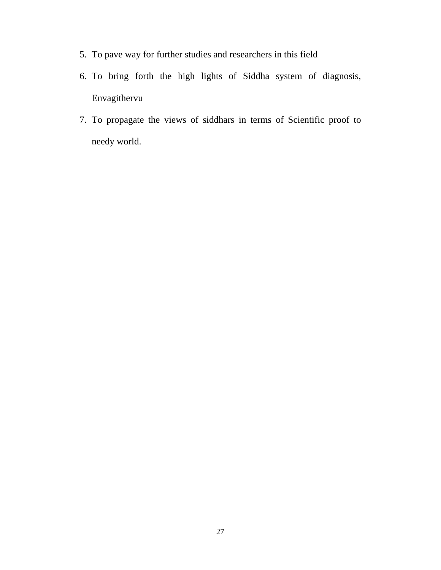- 5. To pave way for further studies and researchers in this field
- 6. To bring forth the high lights of Siddha system of diagnosis, Envagithervu
- 7. To propagate the views of siddhars in terms of Scientific proof to needy world.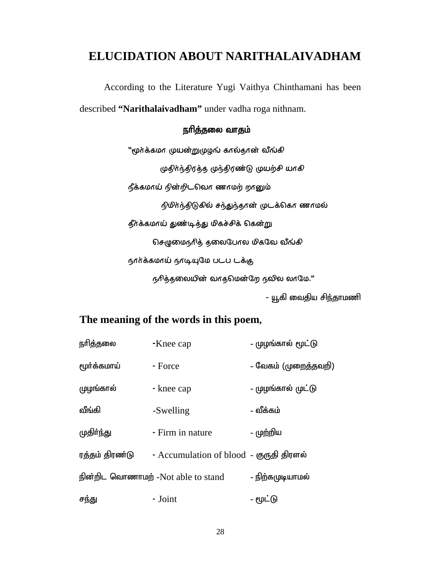# **ELUCIDATION ABOUT NARITHALAIVADHAM**

According to the Literature Yugi Vaithya Chinthamani has been

described **"Narithalaivadham"** under vadha roga nithnam.

## நரித்தலை வாதம்

"மூர்க்கமா முயன்றுமுழுங் கால்தான் வீங்கி முதிர்ந்திரத்த முந்திரண்டு முயற்சி யாகி  $f$ க்கமாய் நின்றிடவொ ணாமற் றானும் நிமிர்ந்திடுகில் சந்துந்தான் முடக்கொ ணாமல் தீர்க்கமாய் துண்டித்து மிகச்சிக் கென்று  $\Omega$ சமுுைந்தை தலைபேரல மிகவே வீங்கி நார்க்கமாய் நாடியுமே படப டக்கு  $66$ த்தலையின் வாதமென்றே நவில லாமே."

- யூகி வைதிய சிந்தாமணி

## **The meaning of the words in this poem,**

| நரித்தலை       | -Knee cap                               | - முழங்கால் மூட்டு   |
|----------------|-----------------------------------------|----------------------|
| மூர்க்கமாய்    | - Force                                 | – வேகம் (முறைத்தவறி) |
| முழங்கால்      | - knee cap                              | - முழங்கால் முட்டு   |
| வீங்கி         | -Swelling                               | - வீக்கம்            |
| முதிா்ந்து     | - Firm in nature                        | - முற்றிய            |
| ரத்தம் திரண்டு | - Accumulation of blood - குருதி திரளல் |                      |
|                | நின்றிட வொணாமற் -Not able to stand      | – நிற்கமுடியாமல்     |
| சந்து          | - Joint                                 | - மூட்டு             |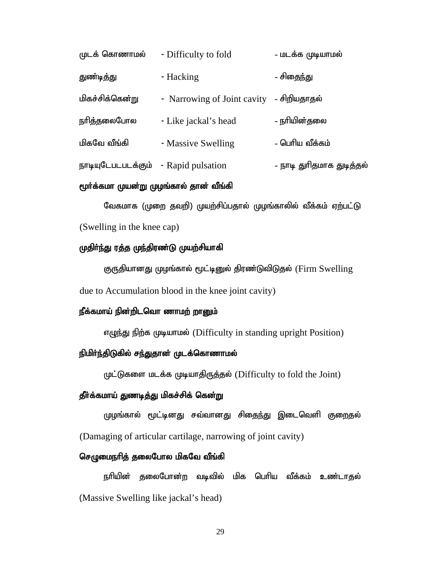| முடக் கொணாமல்                        | - Difficulty to fold                     | - மடக்க முடியாமல்         |
|--------------------------------------|------------------------------------------|---------------------------|
| <u>துண்டித்து</u>                    | - Hacking                                | - சிதைந்து                |
| மிகச்சிக்கென் <u>ற</u> ு             | - Narrowing of Joint cavity - சிறியதாதல் |                           |
| நரித்தலைபோல                          | - Like jackal's head                     | - நரியின்தலை              |
| மிகவே வீங்கி                         | - Massive Swelling                       | - பெரிய வீக்கம்           |
| நாடியுடேபடபடக்கும் - Rapid pulsation |                                          | – நாடி துரிதமாக துடித்தல் |

#### மூர்க்கமா முயன்று முழங்கால் தான் வீங்கி

வேகமாக (முறை தவறி) முயற்சிப்பதால் முழங்காலில் வீக்கம் ஏற்பட்டு (Swelling in the knee cap)

#### முதிா்ந்து ரத்த முந்திரண்டு முயற்சியாகி

குருதியானது முழங்கால் மூட்டினுல் திரண்டுவிடுதல் (Firm Swelling due to Accumulation blood in the knee joint cavity)

#### நீக்கமாய் நின்றிடவொ ணாமற் றானும்

எழுந்து நிற்க முடியாமல் (Difficulty in standing upright Position)

## நிமிர்ந்திடுகில் சந்துதான் முடக்கொணாமல்

முட்டுகளை மடக்க முடியாதிருத்தல் (Difficulty to fold the Joint)

#### தீர்க்கமாய் துணடித்து மிகச்சிக் கென்<u>று</u>

முழங்கால் மூட்டினது சவ்வானது சிதைந்து இடைவெளி குறைதல் (Damaging of articular cartilage, narrowing of joint cavity)

#### செழுமைநரித் தலைபோல மிகவே வீங்கி

நரியின் தலைபோன்ற வடிவில் மிக பெரிய வீக்கம் உண்டாதல் (Massive Swelling like jackal's head)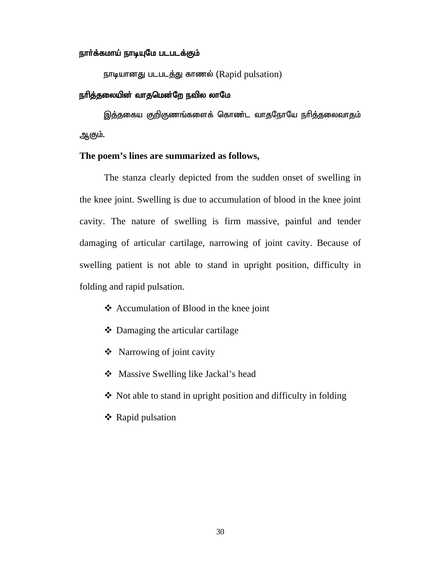#### நார்க்கமாய் நாடியுமே படபடக்கும்

 $B$ ராடியானது படபடத்து காணல் (Rapid pulsation)

#### நரித்தலையின் வாதமென்றே நவில லாமே

இத்தகைய குறிகுணங்களைக் கொண்ட வாதநோயே நரித்தலைவாதம் ஆகும்.

#### **The poem's lines are summarized as follows,**

 The stanza clearly depicted from the sudden onset of swelling in the knee joint. Swelling is due to accumulation of blood in the knee joint cavity. The nature of swelling is firm massive, painful and tender damaging of articular cartilage, narrowing of joint cavity. Because of swelling patient is not able to stand in upright position, difficulty in folding and rapid pulsation.

- Accumulation of Blood in the knee joint
- Damaging the articular cartilage
- Narrowing of joint cavity
- ❖ Massive Swelling like Jackal's head
- $\triangle$  Not able to stand in upright position and difficulty in folding
- ❖ Rapid pulsation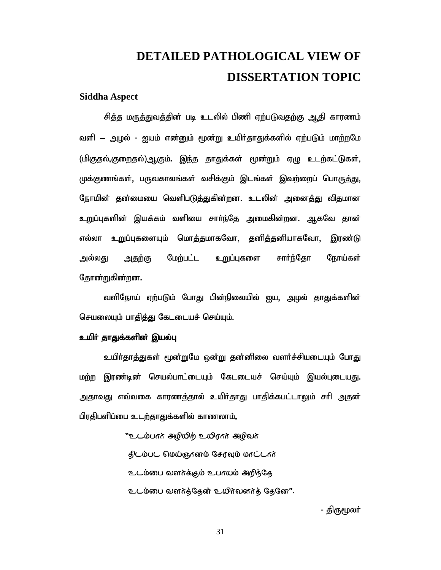# **DETAILED PATHOLOGICAL VIEW OF DISSERTATION TOPIC**

#### **Siddha Aspect**

சித்த மருத்துவத்தின் படி உடலில் பிணி ஏற்படுவதற்கு ஆதி காரணம் வளி — அழல் - ஐயம் என்னும் மூன்று உயிர்தாதுக்களில் ஏற்படும் மாற்றமே (மிகுகல்,குறைதல்),ஆகும். இந்த தாதுக்கள் மூன்றும் ஏழு உடற்கட்டுகள், முக்குணங்கள், பருவகாலங்கள் வசிக்கும் இடங்கள் இவற்றைப் பொருத்து, நோயின் தன்மையை வெளிபடுத்துகின்றன. உடலின் அனைத்து விதமான உறுப்புகளின் இயக்கம் வளியை சார்ந்தே அமைகின்றன. ஆகவே கான் எல்லா உறுப்புகளையும் மொக்குமாகவோ, குனிக்குனியாகவோ, இரண்டு <u>அ</u>ல்லது அகுற்கு மேற்பட்ட உறுப்புகளை சார்ந்தோ நோய்கள் தோன்றுகின்றன.

tspNeha; Vw;gLk; NghJ gpd;epiyapy; Ia> moy; jhJf;fspd; செயலையும் பாதித்து கேடடையச் செய்யும்.

#### உயிா் தாதுக்களின் இயல்பு

உயிர்தாத்துகள் மூன்றுமே ஒன்று தன்னிலை வளர்ச்சியடையும் போது மற்ற இரண்டின் செயல்பாட்டையும் கேடடையச் செய்யும் இயல்புடையது. அதாவது எவ்வகை காரணத்தால் உயிர்தாது பாதிக்கபட்டாலும் சரி அதன் பிரதிபளிப்பை உடற்தாதுக்களில் காணலாம்.

> ്ച സ്വര് ക്യൂക്ര $\eta$  മധിഗ്നം ക്യൂക്രി $\eta$ திடம்பட மெய்ஞானம் சேரவும் மாட்டார் உடம்பை வளர்க்கும் உபாயம் அறிந்தே உடம்பை வளர்த்தேன் உயிர்வளர்த் தேனே".

> > - திருமூலர்

31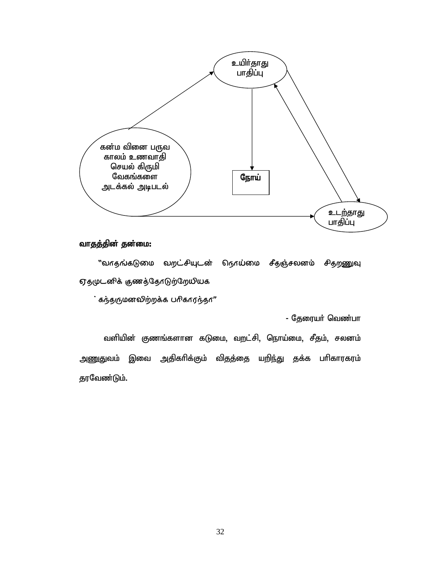

## வாதத்தின் தன்மை:

"வாதங்கடுமை வறட்சியுடன் நொய்மை சீதஞ்சலனம் சிதறணுவு ஏதமுடனிக் குணத்தோடுற்றேமியக

் கந்தருமனவிற்றக்க பரிகாரந்தா"

- தேரையர் வெண்பா

வளியின் குணங்களான கடுமை, வறட்சி, நொய்மை, சீதம், சலனம் அணுதுவம் இவை அதிகரிக்கும் விதத்தை யறிந்து தக்க பரிகாரகரம் தரவேண்டும்.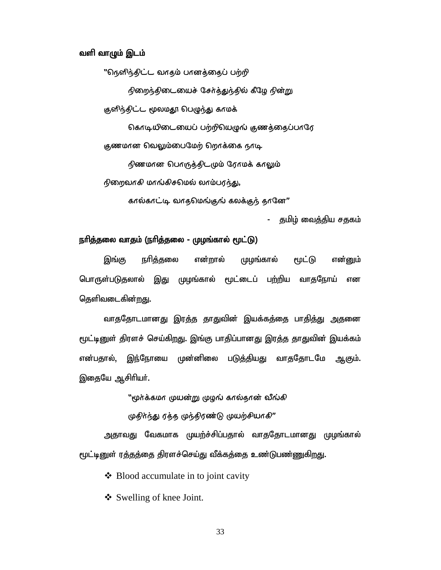#### வளி வாழும் இடம்

"தெனிந்திட்ட வாதம் பானத்தைப் பற்றி

நிறைந்திடையைச் சேர்த்துந்தில் கீழே நின்று

குளிந்திட்ட மூலமதூ பெழுந்து காமக்

கொடியிடையைப் பற்றிபெழுங் குணத்தைப்பாரே

குணமான வெலும்பைமேற் றெரக்கை நாடி

நிணமான பொருத்திடமும் ரோமக் காலும்

 $r$ ணறவாகி மாங்கிசமெல் லாம்பரந்து,

கால்காட்டி வாதமெங்குங் கலக்குந் தானே"

குமிழ் வைத்திய சகுகம்

#### நாித்தலை வாதம் (நாித்தலை - முழங்கால் மூட்டு)

இங்கு நரித்தலை என்றால் முழங்கால் மூட்டு என்னும் <u>பொருள்படுத</u>லால் இது முழங்கால் மூட்டைப் பற்றிய வாதநோய் என தெளிவடைகின்<u>றத</u>ு.

வாததோடமானது இரத்த தாதுவின் இயக்கத்தை பாதித்து அதனை மூட்டினுள் திரளச் செய்கிறது. இங்கு பாதிப்பானது இரத்த தாதுவின் இயக்கம் என்பதால், இந்நோயை முன்னிலை படுத்தியது வாததோடமே ஆகும். இதையே ஆசிரியர்.

"முர்க்கமா முயன்று முழங் கால்தான் வீங்கி

முதிர்ந்து ரத்த முந்திரண்டு முயற்சியாகி"

அதாவது வேகமாக முயற்ச்சிப்பதால் வாததோடமானது முழங்கால் மூட்டினுள் ரத்தத்தை திரளச்செய்து வீக்கத்தை உண்டுபண்ணுகிறது.

 $\triangleleft$  Blood accumulate in to joint cavity

Swelling of knee Joint.

33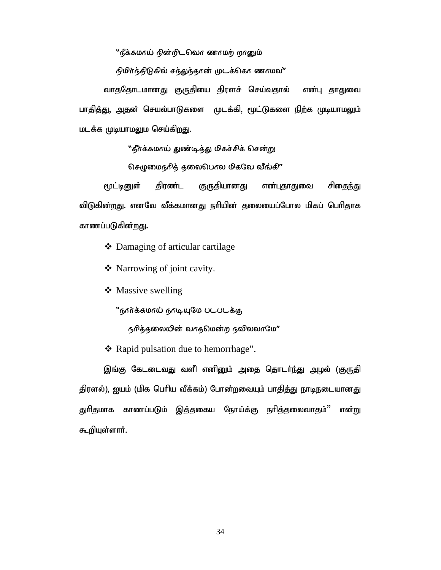്'ട്രീകേഗ്ര $\dot{\bf u}$  റിങ്നി $\bf C$ വെന് ഞന്ദവിശ്വം; തന്ദവിശ്വ

நிமிர்ந்திடுகில் சந்துந்தான் முடக்கொ ணாமல"

வாததோடமானது குருதியை திரளச் செய்வதால் என்பு தாதுவை பாதித்து, அதன் செயல்பாடுகளை முடக்கி, மூட்டுகளை நிற்க முடியாமலும் மடக்க முடியாமலும செய்கிறது.

"தீர்க்கமாய் துண்டித்து மிகச்சிக் சென்று

செழுமைநரித் தலைபெ $r$ ல மிகவே வீங்கி"

மூட்டினுள் திரண்ட குருதியானது என்புதாதுவை சிதைந்து விடுகின்றது. எனவே வீக்கமானது நரியின் தலையைப்போல மிகப் பெரிதாக காணப்படுகின்<u>றத</u>ு.

- Damaging of articular cartilage
- Narrowing of joint cavity.
- ❖ Massive swelling

''நார்க்கமாய் நாடியுமே படபடக்கு

 $66$ த்தலையின் வாதமென்ற நவிலலாமே $"$ 

❖ Rapid pulsation due to hemorrhage".

இங்கு கேடடைவது வளி எனினும் அதை தொடர்ந்து அழல் (குருதி திரளல்), ஐயம் (மிக பெரிய வீக்கம்) போன்றவையும் பாதித்து நாடிநடையானது துரிதமாக காணப்படும் இத்தகைய நோய்க்கு நரித்தலைவாதம்'' என்று கூறியுள்ளார்.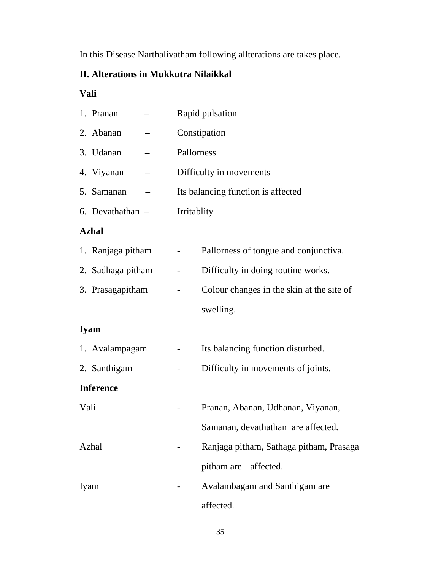In this Disease Narthalivatham following allterations are takes place.

# **II. Alterations in Mukkutra Nilaikkal**

# **Vali**

| 1. Pranan         | Rapid pulsation                           |  |
|-------------------|-------------------------------------------|--|
| 2. Abanan         | Constipation                              |  |
| 3. Udanan         | Pallorness                                |  |
| 4. Viyanan        | Difficulty in movements                   |  |
| 5. Samanan        | Its balancing function is affected        |  |
| 6. Devathathan -  | Irritablity                               |  |
| <b>Azhal</b>      |                                           |  |
| 1. Ranjaga pitham | Pallorness of tongue and conjunctiva.     |  |
| 2. Sadhaga pitham | Difficulty in doing routine works.        |  |
| 3. Prasagapitham  | Colour changes in the skin at the site of |  |
|                   | swelling.                                 |  |
| <b>Iyam</b>       |                                           |  |
| 1. Avalampagam    | Its balancing function disturbed.         |  |
| 2. Santhigam      | Difficulty in movements of joints.        |  |
| <b>Inference</b>  |                                           |  |
| Vali              | Pranan, Abanan, Udhanan, Viyanan,         |  |
|                   | Samanan, devathathan are affected.        |  |
| Azhal             | Ranjaga pitham, Sathaga pitham, Prasaga   |  |
|                   | pitham are affected.                      |  |
| Iyam              | Avalambagam and Santhigam are             |  |
|                   | affected.                                 |  |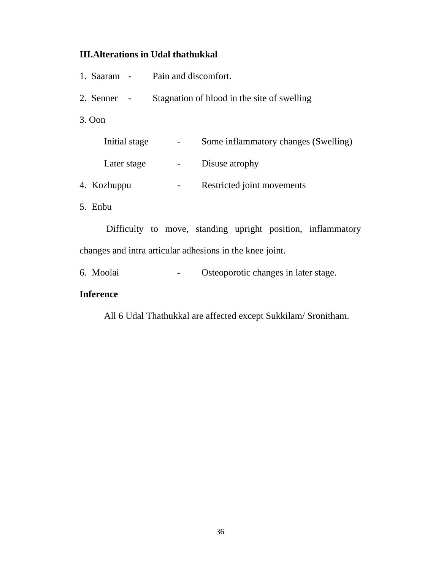# **III.Alterations in Udal thathukkal**

| 1. Saaram -   | Pain and discomfort.                        |                                      |  |  |
|---------------|---------------------------------------------|--------------------------------------|--|--|
| 2. Senner     | Stagnation of blood in the site of swelling |                                      |  |  |
| $3.$ Oon      |                                             |                                      |  |  |
| Initial stage |                                             | Some inflammatory changes (Swelling) |  |  |
| Later stage   |                                             | Disuse atrophy                       |  |  |
| 4. Kozhuppu   |                                             | Restricted joint movements           |  |  |
| 5. Enbu       |                                             |                                      |  |  |

 Difficulty to move, standing upright position, inflammatory changes and intra articular adhesions in the knee joint.

6. Moolai **-** Osteoporotic changes in later stage.

## **Inference**

All 6 Udal Thathukkal are affected except Sukkilam/ Sronitham.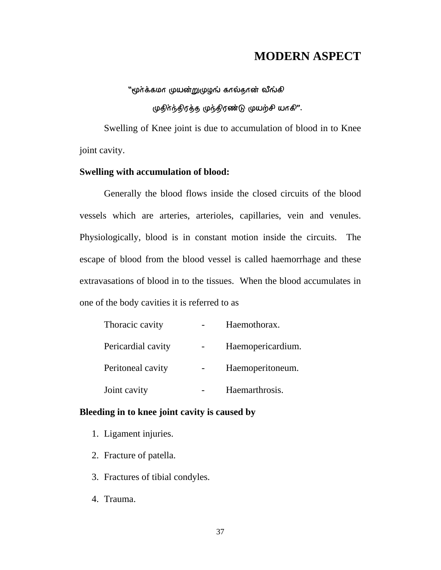# **MODERN ASPECT**

്ഡ്ര $\hat{\bm{\alpha}}$ ദ്കേഗ്രദ്ധങ്ങ് ഗ്രധങ്ങി $\bm{\omega}$ ന്റ്രക്

முதிர்ந்திரத்த முந்திரண்டு முயற்சி யாகி".

Swelling of Knee joint is due to accumulation of blood in to Knee joint cavity.

## **Swelling with accumulation of blood:**

Generally the blood flows inside the closed circuits of the blood vessels which are arteries, arterioles, capillaries, vein and venules. Physiologically, blood is in constant motion inside the circuits. The escape of blood from the blood vessel is called haemorrhage and these extravasations of blood in to the tissues. When the blood accumulates in one of the body cavities it is referred to as

| Thoracic cavity    | Haemothorax.      |
|--------------------|-------------------|
| Pericardial cavity | Haemopericardium. |
| Peritoneal cavity  | Haemoperitoneum.  |
| Joint cavity       | Haemarthrosis.    |

## **Bleeding in to knee joint cavity is caused by**

- 1. Ligament injuries.
- 2. Fracture of patella.
- 3. Fractures of tibial condyles.
- 4. Trauma.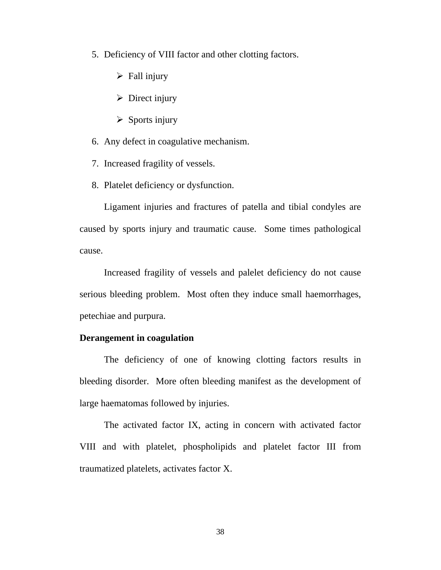- 5. Deficiency of VIII factor and other clotting factors.
	- $\triangleright$  Fall injury
	- $\triangleright$  Direct injury
	- $\triangleright$  Sports injury
- 6. Any defect in coagulative mechanism.
- 7. Increased fragility of vessels.
- 8. Platelet deficiency or dysfunction.

Ligament injuries and fractures of patella and tibial condyles are caused by sports injury and traumatic cause. Some times pathological cause.

 Increased fragility of vessels and palelet deficiency do not cause serious bleeding problem. Most often they induce small haemorrhages, petechiae and purpura.

### **Derangement in coagulation**

 The deficiency of one of knowing clotting factors results in bleeding disorder. More often bleeding manifest as the development of large haematomas followed by injuries.

 The activated factor IX, acting in concern with activated factor VIII and with platelet, phospholipids and platelet factor III from traumatized platelets, activates factor X.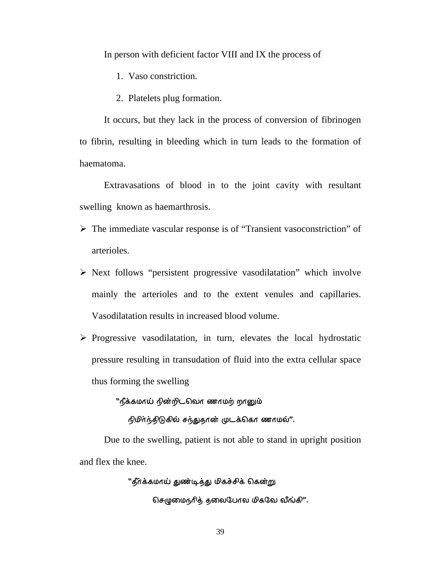In person with deficient factor VIII and IX the process of

- 1. Vaso constriction.
- 2. Platelets plug formation.

It occurs, but they lack in the process of conversion of fibrinogen to fibrin, resulting in bleeding which in turn leads to the formation of haematoma.

 Extravasations of blood in to the joint cavity with resultant swelling known as haemarthrosis.

- ¾ The immediate vascular response is of "Transient vasoconstriction" of arterioles.
- $\triangleright$  Next follows "persistent progressive vasodilatation" which involve mainly the arterioles and to the extent venules and capillaries. Vasodilatation results in increased blood volume.
- $\triangleright$  Progressive vasodilatation, in turn, elevates the local hydrostatic pressure resulting in transudation of fluid into the extra cellular space thus forming the swelling

''நீக்கமாய் நின்றிடவொ ணாமற் றானும்

நிமிர்ந்திடுகில் சந்துதான் முடக்கொ ணாமல்".

Due to the swelling, patient is not able to stand in upright position and flex the knee.

"தீர்க்கமாய் துண்டித்து மிகச்சிக் கென்று

 $\Omega$ சமுுைந்தை தலைபேரல் மிகலே வீங்கி".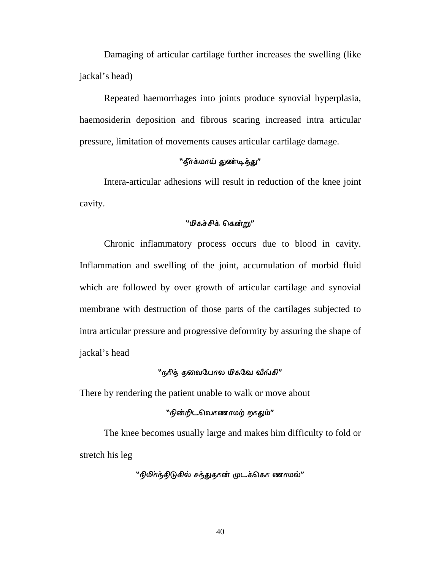Damaging of articular cartilage further increases the swelling (like jackal's head)

 Repeated haemorrhages into joints produce synovial hyperplasia, haemosiderin deposition and fibrous scaring increased intra articular pressure, limitation of movements causes articular cartilage damage.

#### "தீர்க்மாய் துண்டித்து"

Intera-articular adhesions will result in reduction of the knee joint cavity.

## "மிகச்சிக் கென்று"

 Chronic inflammatory process occurs due to blood in cavity. Inflammation and swelling of the joint, accumulation of morbid fluid which are followed by over growth of articular cartilage and synovial membrane with destruction of those parts of the cartilages subjected to intra articular pressure and progressive deformity by assuring the shape of jackal's head

### ്നു $\hbar$ ർ കുതക്രിധന്ത ഗികുമേ ഖീപ്പക് $''$

There by rendering the patient unable to walk or move about

#### "நின்றிடவொணாமற் றாதும்"

 The knee becomes usually large and makes him difficulty to fold or stretch his leg

"நிமிர்ந்திடுகில் சந்துதான் முடக்கொ ணாமல்"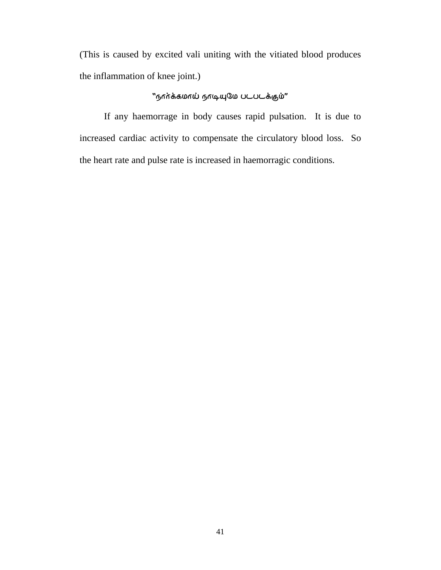(This is caused by excited vali uniting with the vitiated blood produces the inflammation of knee joint.)

## ''நார்க்கமாய் நாடியுமே படபடக்கும்''

 If any haemorrage in body causes rapid pulsation. It is due to increased cardiac activity to compensate the circulatory blood loss. So the heart rate and pulse rate is increased in haemorragic conditions.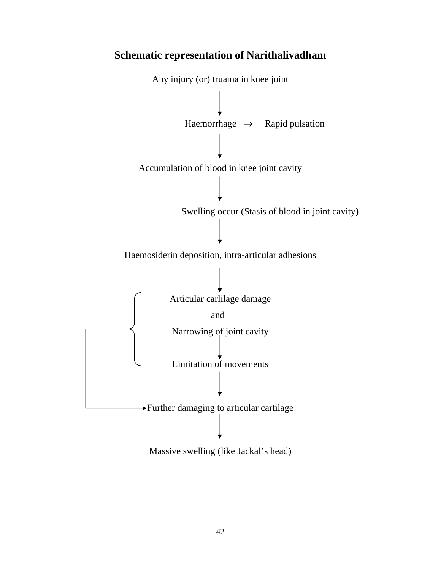

# **Schematic representation of Narithalivadham**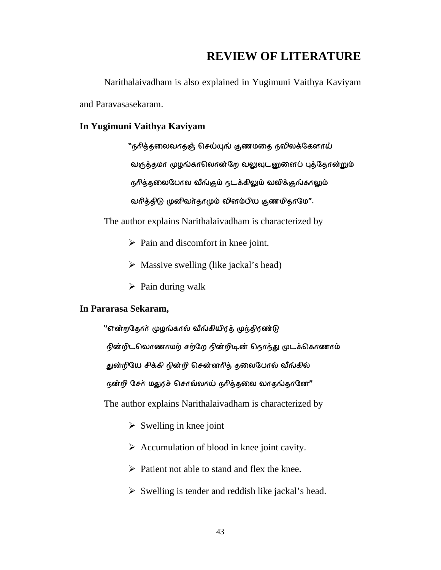# **REVIEW OF LITERATURE**

 Narithalaivadham is also explained in Yugimuni Vaithya Kaviyam and Paravasasekaram.

### **In Yugimuni Vaithya Kaviyam**

 $"$ நரித்தலைவாதஞ் செய்யுங் குணமதை நலிலக்கேளாய் வருத்தமா முழங்காலொன்றே வலுவுடனுளைப் புத்தோன்றும் நரித்தலைபேரல வீங்கும் நடக்கிலும் வலிக்குங்காலும் வரித்திடு முனிவர்தாமும் வினம்பிய குணமிதாமே".

The author explains Narithalaivadham is characterized by

- $\triangleright$  Pain and discomfort in knee joint.
- $\triangleright$  Massive swelling (like jackal's head)
- $\triangleright$  Pain during walk

## **In Pararasa Sekaram,**

"என்றதோா் முழங்கால் வீங்கியிரத் முந்திரண்டு

நின்றிடவொணாமற் சற்றே நின்றிடின் நெர்ந்து முடக்கொணாம்

துன்றியே சிக்கி நின்றி சென்னரித் தலைபேரல் வீங்கில்

 $66$ ன்றி சேர் மதுரச் சொல்லாய் நரித்தலை வாதங்தானே $^{\prime\prime}$ 

The author explains Narithalaivadham is characterized by

- $\triangleright$  Swelling in knee joint
- $\triangleright$  Accumulation of blood in knee joint cavity.
- $\triangleright$  Patient not able to stand and flex the knee.
- $\triangleright$  Swelling is tender and reddish like jackal's head.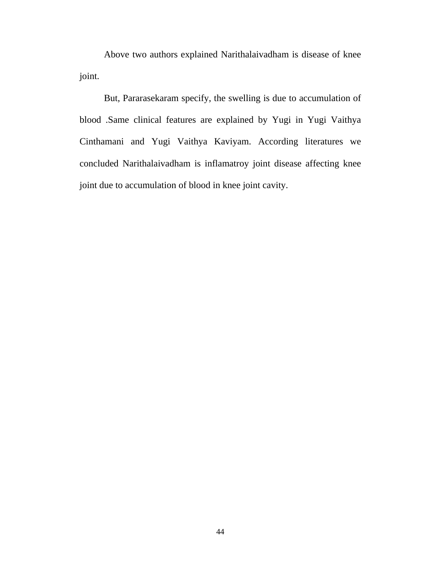Above two authors explained Narithalaivadham is disease of knee joint.

 But, Pararasekaram specify, the swelling is due to accumulation of blood .Same clinical features are explained by Yugi in Yugi Vaithya Cinthamani and Yugi Vaithya Kaviyam. According literatures we concluded Narithalaivadham is inflamatroy joint disease affecting knee joint due to accumulation of blood in knee joint cavity.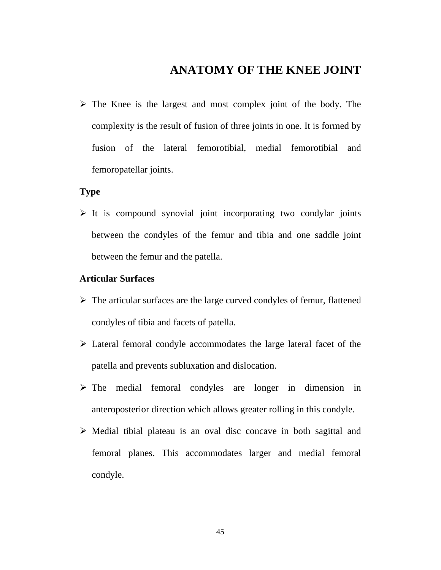# **ANATOMY OF THE KNEE JOINT**

 $\triangleright$  The Knee is the largest and most complex joint of the body. The complexity is the result of fusion of three joints in one. It is formed by fusion of the lateral femorotibial, medial femorotibial and femoropatellar joints.

## **Type**

 $\triangleright$  It is compound synovial joint incorporating two condylar joints between the condyles of the femur and tibia and one saddle joint between the femur and the patella.

## **Articular Surfaces**

- $\triangleright$  The articular surfaces are the large curved condyles of femur, flattened condyles of tibia and facets of patella.
- $\triangleright$  Lateral femoral condyle accommodates the large lateral facet of the patella and prevents subluxation and dislocation.
- $\triangleright$  The medial femoral condyles are longer in dimension in anteroposterior direction which allows greater rolling in this condyle.
- $\triangleright$  Medial tibial plateau is an oval disc concave in both sagittal and femoral planes. This accommodates larger and medial femoral condyle.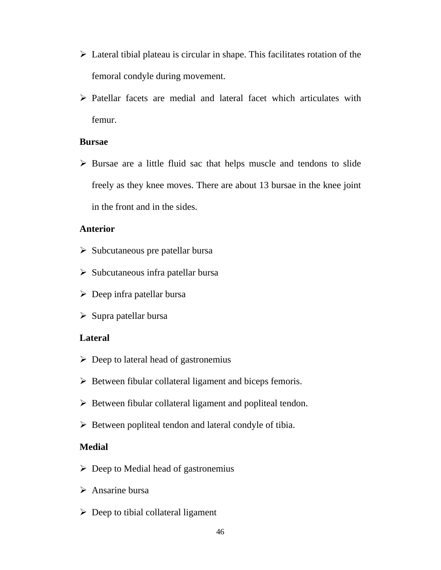- $\triangleright$  Lateral tibial plateau is circular in shape. This facilitates rotation of the femoral condyle during movement.
- $\triangleright$  Patellar facets are medial and lateral facet which articulates with femur.

## **Bursae**

 $\triangleright$  Bursae are a little fluid sac that helps muscle and tendons to slide freely as they knee moves. There are about 13 bursae in the knee joint in the front and in the sides.

## **Anterior**

- $\triangleright$  Subcutaneous pre patellar bursa
- $\triangleright$  Subcutaneous infra patellar bursa
- $\triangleright$  Deep infra patellar bursa
- $\triangleright$  Supra patellar bursa

## **Lateral**

- $\triangleright$  Deep to lateral head of gastronemius
- $\triangleright$  Between fibular collateral ligament and biceps femoris.
- $\triangleright$  Between fibular collateral ligament and popliteal tendon.
- $\triangleright$  Between popliteal tendon and lateral condyle of tibia.

## **Medial**

- $\triangleright$  Deep to Medial head of gastronemius
- $\triangleright$  Ansarine bursa
- $\triangleright$  Deep to tibial collateral ligament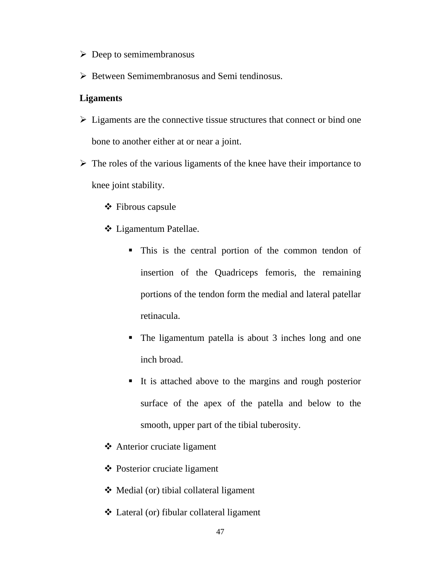- $\triangleright$  Deep to semimembranosus
- $\triangleright$  Between Semimembranosus and Semi tendinosus.

#### **Ligaments**

- $\triangleright$  Ligaments are the connective tissue structures that connect or bind one bone to another either at or near a joint.
- $\triangleright$  The roles of the various ligaments of the knee have their importance to knee joint stability.
	- **❖** Fibrous capsule
	- Ligamentum Patellae.
		- This is the central portion of the common tendon of insertion of the Quadriceps femoris, the remaining portions of the tendon form the medial and lateral patellar retinacula.
		- The ligamentum patella is about 3 inches long and one inch broad.
		- It is attached above to the margins and rough posterior surface of the apex of the patella and below to the smooth, upper part of the tibial tuberosity.
	- Anterior cruciate ligament
	- Posterior cruciate ligament
	- Medial (or) tibial collateral ligament
	- Lateral (or) fibular collateral ligament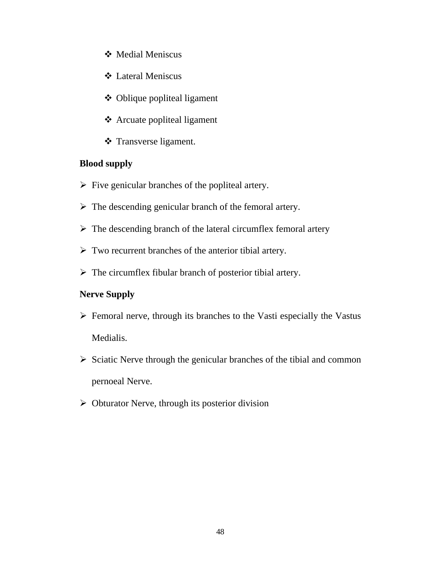- Medial Meniscus
- Lateral Meniscus
- Oblique popliteal ligament
- Arcuate popliteal ligament
- Transverse ligament.

# **Blood supply**

- $\triangleright$  Five genicular branches of the popliteal artery.
- $\triangleright$  The descending genicular branch of the femoral artery.
- $\triangleright$  The descending branch of the lateral circumflex femoral artery
- $\triangleright$  Two recurrent branches of the anterior tibial artery.
- $\triangleright$  The circumflex fibular branch of posterior tibial artery.

## **Nerve Supply**

- $\triangleright$  Femoral nerve, through its branches to the Vasti especially the Vastus Medialis.
- $\triangleright$  Sciatic Nerve through the genicular branches of the tibial and common pernoeal Nerve.
- $\triangleright$  Obturator Nerve, through its posterior division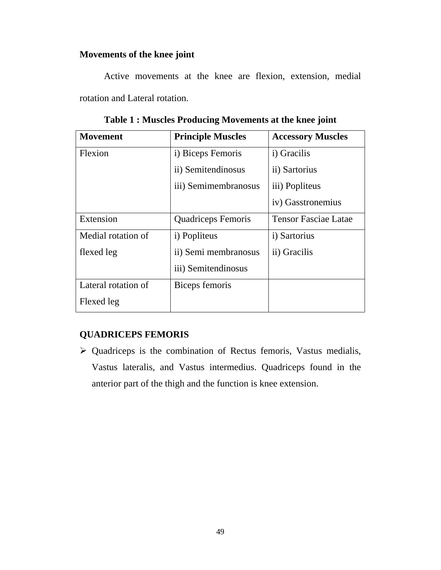## **Movements of the knee joint**

 Active movements at the knee are flexion, extension, medial rotation and Lateral rotation.

| <b>Movement</b>     | <b>Principle Muscles</b>  | <b>Accessory Muscles</b>    |
|---------------------|---------------------------|-----------------------------|
| Flexion             | i) Biceps Femoris         | i) Gracilis                 |
|                     | ii) Semitendinosus        | ii) Sartorius               |
|                     | iii) Semimembranosus      | iii) Popliteus              |
|                     |                           | iv) Gasstronemius           |
| Extension           | <b>Quadriceps Femoris</b> | <b>Tensor Fasciae Latae</b> |
| Medial rotation of  | i) Popliteus              | i) Sartorius                |
| flexed leg          | ii) Semi membranosus      | ii) Gracilis                |
|                     | iii) Semitendinosus       |                             |
| Lateral rotation of | Biceps femoris            |                             |
| Flexed leg          |                           |                             |

**Table 1 : Muscles Producing Movements at the knee joint** 

# **QUADRICEPS FEMORIS**

 $\triangleright$  Quadriceps is the combination of Rectus femoris, Vastus medialis, Vastus lateralis, and Vastus intermedius. Quadriceps found in the anterior part of the thigh and the function is knee extension.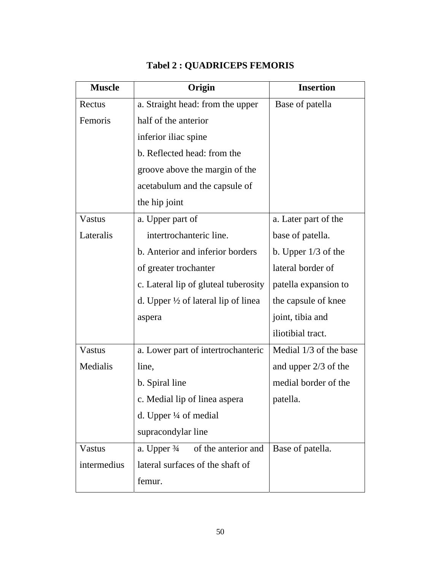| <b>Muscle</b> | Origin                                         | <b>Insertion</b>       |
|---------------|------------------------------------------------|------------------------|
| Rectus        | a. Straight head: from the upper               | Base of patella        |
| Femoris       | half of the anterior                           |                        |
|               | inferior iliac spine                           |                        |
|               | b. Reflected head: from the                    |                        |
|               | groove above the margin of the                 |                        |
|               | acetabulum and the capsule of                  |                        |
|               | the hip joint                                  |                        |
| Vastus        | a. Upper part of                               | a. Later part of the   |
| Lateralis     | intertrochanteric line.                        | base of patella.       |
|               | b. Anterior and inferior borders               | b. Upper $1/3$ of the  |
|               | of greater trochanter                          | lateral border of      |
|               | c. Lateral lip of gluteal tuberosity           | patella expansion to   |
|               | d. Upper $\frac{1}{2}$ of lateral lip of linea | the capsule of knee    |
|               | aspera                                         | joint, tibia and       |
|               |                                                | iliotibial tract.      |
| Vastus        | a. Lower part of intertrochanteric             | Medial 1/3 of the base |
| Medialis      | line,                                          | and upper $2/3$ of the |
|               | b. Spiral line                                 | medial border of the   |
|               | c. Medial lip of linea aspera                  | patella.               |
|               | d. Upper $\frac{1}{4}$ of medial               |                        |
|               | supracondylar line                             |                        |
| <b>Vastus</b> | a. Upper $\frac{3}{4}$ of the anterior and     | Base of patella.       |
| intermedius   | lateral surfaces of the shaft of               |                        |
|               | femur.                                         |                        |

# **Tabel 2 : QUADRICEPS FEMORIS**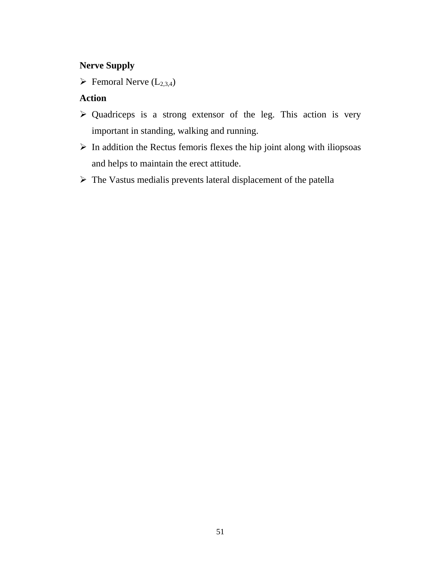## **Nerve Supply**

 $\blacktriangleright$  Femoral Nerve (L<sub>2,3,4</sub>)

## **Action**

- $\triangleright$  Quadriceps is a strong extensor of the leg. This action is very important in standing, walking and running.
- $\triangleright$  In addition the Rectus femoris flexes the hip joint along with iliopsoas and helps to maintain the erect attitude.
- ¾ The Vastus medialis prevents lateral displacement of the patella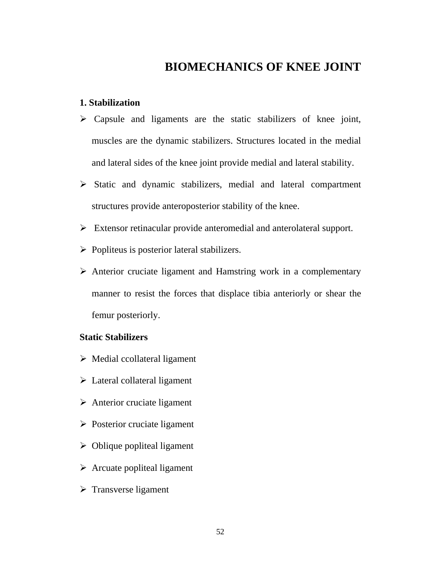# **BIOMECHANICS OF KNEE JOINT**

## **1. Stabilization**

- $\triangleright$  Capsule and ligaments are the static stabilizers of knee joint, muscles are the dynamic stabilizers. Structures located in the medial and lateral sides of the knee joint provide medial and lateral stability.
- ¾ Static and dynamic stabilizers, medial and lateral compartment structures provide anteroposterior stability of the knee.
- $\triangleright$  Extensor retinacular provide anteromedial and anterolateral support.
- $\triangleright$  Popliteus is posterior lateral stabilizers.
- $\triangleright$  Anterior cruciate ligament and Hamstring work in a complementary manner to resist the forces that displace tibia anteriorly or shear the femur posteriorly.

## **Static Stabilizers**

- $\triangleright$  Medial ccollateral ligament
- $\triangleright$  Lateral collateral ligament
- $\triangleright$  Anterior cruciate ligament
- $\triangleright$  Posterior cruciate ligament
- $\triangleright$  Oblique popliteal ligament
- $\triangleright$  Arcuate popliteal ligament
- $\triangleright$  Transverse ligament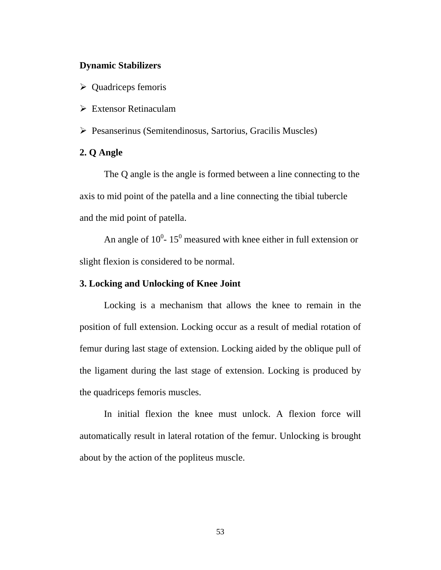## **Dynamic Stabilizers**

- $\triangleright$  Quadriceps femoris
- $\triangleright$  Extensor Retinaculam
- ¾ Pesanserinus (Semitendinosus, Sartorius, Gracilis Muscles)

## **2. Q Angle**

 The Q angle is the angle is formed between a line connecting to the axis to mid point of the patella and a line connecting the tibial tubercle and the mid point of patella.

An angle of  $10^0$ - 15<sup>0</sup> measured with knee either in full extension or slight flexion is considered to be normal.

### **3. Locking and Unlocking of Knee Joint**

 Locking is a mechanism that allows the knee to remain in the position of full extension. Locking occur as a result of medial rotation of femur during last stage of extension. Locking aided by the oblique pull of the ligament during the last stage of extension. Locking is produced by the quadriceps femoris muscles.

 In initial flexion the knee must unlock. A flexion force will automatically result in lateral rotation of the femur. Unlocking is brought about by the action of the popliteus muscle.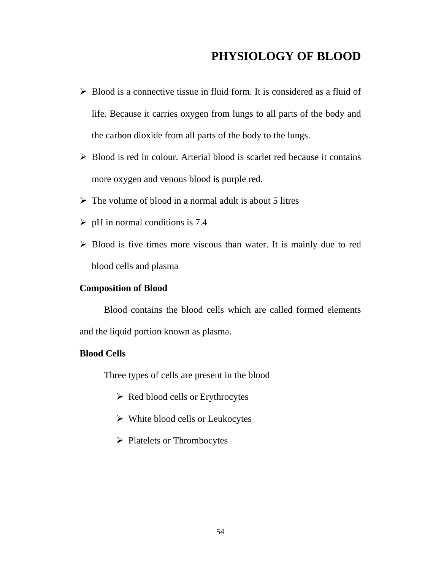# **PHYSIOLOGY OF BLOOD**

- $\triangleright$  Blood is a connective tissue in fluid form. It is considered as a fluid of life. Because it carries oxygen from lungs to all parts of the body and the carbon dioxide from all parts of the body to the lungs.
- $\triangleright$  Blood is red in colour. Arterial blood is scarlet red because it contains more oxygen and venous blood is purple red.
- $\triangleright$  The volume of blood in a normal adult is about 5 litres
- $\triangleright$  pH in normal conditions is 7.4
- $\triangleright$  Blood is five times more viscous than water. It is mainly due to red blood cells and plasma

#### **Composition of Blood**

 Blood contains the blood cells which are called formed elements and the liquid portion known as plasma.

## **Blood Cells**

Three types of cells are present in the blood

- $\triangleright$  Red blood cells or Erythrocytes
- $\triangleright$  White blood cells or Leukocytes
- $\triangleright$  Platelets or Thrombocytes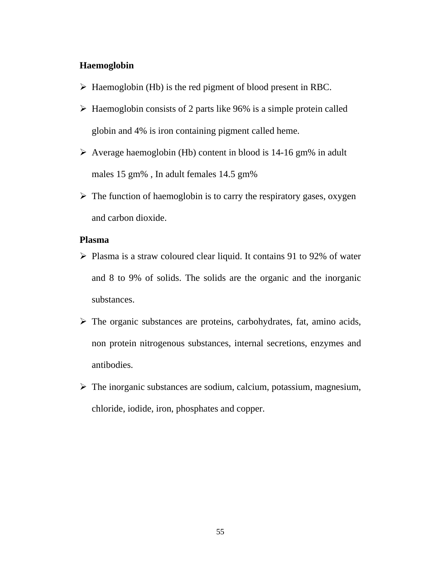#### **Haemoglobin**

- $\triangleright$  Haemoglobin (Hb) is the red pigment of blood present in RBC.
- $\triangleright$  Haemoglobin consists of 2 parts like 96% is a simple protein called globin and 4% is iron containing pigment called heme.
- $\triangleright$  Average haemoglobin (Hb) content in blood is 14-16 gm% in adult males 15 gm% , In adult females 14.5 gm%
- $\triangleright$  The function of haemoglobin is to carry the respiratory gases, oxygen and carbon dioxide.

#### **Plasma**

- $\triangleright$  Plasma is a straw coloured clear liquid. It contains 91 to 92% of water and 8 to 9% of solids. The solids are the organic and the inorganic substances.
- $\triangleright$  The organic substances are proteins, carbohydrates, fat, amino acids, non protein nitrogenous substances, internal secretions, enzymes and antibodies.
- $\triangleright$  The inorganic substances are sodium, calcium, potassium, magnesium, chloride, iodide, iron, phosphates and copper.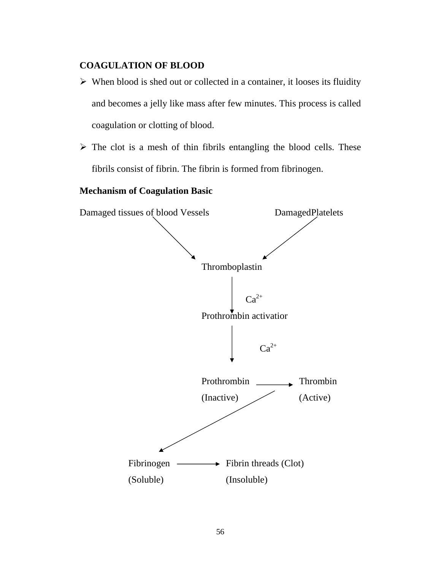## **COAGULATION OF BLOOD**

- $\triangleright$  When blood is shed out or collected in a container, it looses its fluidity and becomes a jelly like mass after few minutes. This process is called coagulation or clotting of blood.
- $\triangleright$  The clot is a mesh of thin fibrils entangling the blood cells. These fibrils consist of fibrin. The fibrin is formed from fibrinogen.

## **Mechanism of Coagulation Basic**

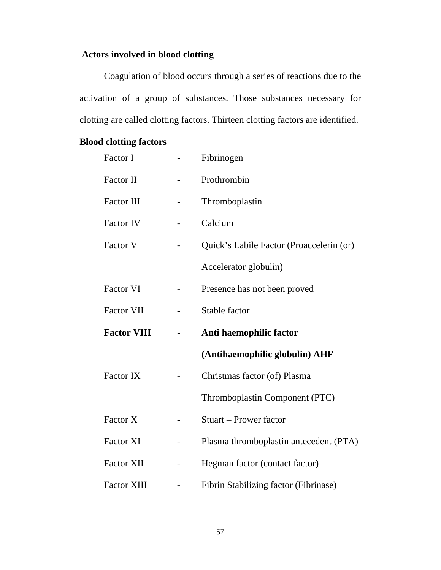# **Actors involved in blood clotting**

 Coagulation of blood occurs through a series of reactions due to the activation of a group of substances. Those substances necessary for clotting are called clotting factors. Thirteen clotting factors are identified.

## **Blood clotting factors**

| Factor I           |  | Fibrinogen                               |
|--------------------|--|------------------------------------------|
| Factor II          |  | Prothrombin                              |
| Factor III         |  | Thromboplastin                           |
| <b>Factor IV</b>   |  | Calcium                                  |
| Factor V           |  | Quick's Labile Factor (Proaccelerin (or) |
|                    |  | Accelerator globulin)                    |
| <b>Factor VI</b>   |  | Presence has not been proved             |
| <b>Factor VII</b>  |  | Stable factor                            |
| <b>Factor VIII</b> |  | Anti haemophilic factor                  |
|                    |  | (Antihaemophilic globulin) AHF           |
|                    |  |                                          |
| Factor IX          |  | Christmas factor (of) Plasma             |
|                    |  | Thromboplastin Component (PTC)           |
| Factor X           |  | <b>Stuart – Prower factor</b>            |
| <b>Factor XI</b>   |  | Plasma thromboplastin antecedent (PTA)   |
| <b>Factor XII</b>  |  | Hegman factor (contact factor)           |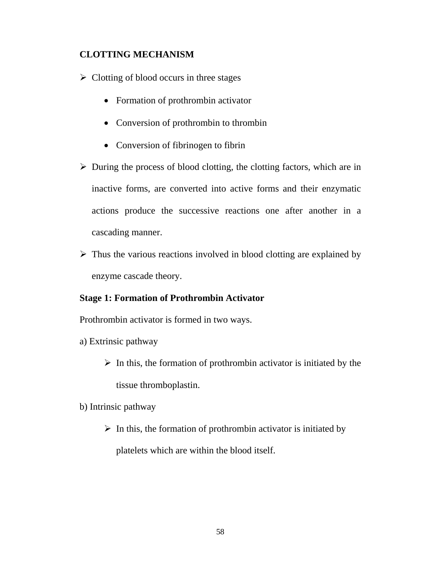## **CLOTTING MECHANISM**

 $\triangleright$  Clotting of blood occurs in three stages

- Formation of prothrombin activator
- Conversion of prothrombin to thrombin
- Conversion of fibrinogen to fibrin
- $\triangleright$  During the process of blood clotting, the clotting factors, which are in inactive forms, are converted into active forms and their enzymatic actions produce the successive reactions one after another in a cascading manner.
- $\triangleright$  Thus the various reactions involved in blood clotting are explained by enzyme cascade theory.

## **Stage 1: Formation of Prothrombin Activator**

Prothrombin activator is formed in two ways.

- a) Extrinsic pathway
	- $\triangleright$  In this, the formation of prothrombin activator is initiated by the tissue thromboplastin.
- b) Intrinsic pathway
	- $\triangleright$  In this, the formation of prothrombin activator is initiated by platelets which are within the blood itself.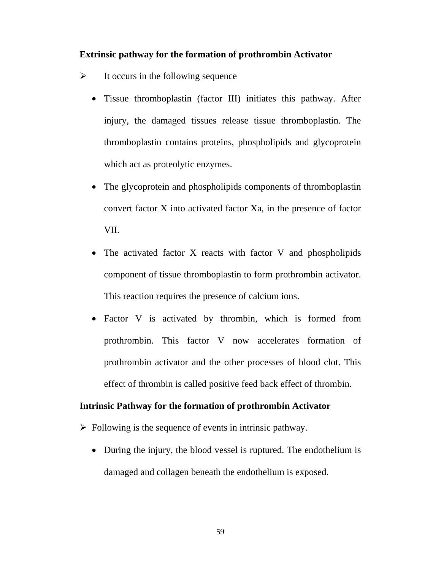### **Extrinsic pathway for the formation of prothrombin Activator**

- $\triangleright$  It occurs in the following sequence
	- Tissue thromboplastin (factor III) initiates this pathway. After injury, the damaged tissues release tissue thromboplastin. The thromboplastin contains proteins, phospholipids and glycoprotein which act as proteolytic enzymes.
	- The glycoprotein and phospholipids components of thromboplastin convert factor X into activated factor Xa, in the presence of factor VII.
	- The activated factor  $X$  reacts with factor  $V$  and phospholipids component of tissue thromboplastin to form prothrombin activator. This reaction requires the presence of calcium ions.
	- Factor V is activated by thrombin, which is formed from prothrombin. This factor V now accelerates formation of prothrombin activator and the other processes of blood clot. This effect of thrombin is called positive feed back effect of thrombin.

#### **Intrinsic Pathway for the formation of prothrombin Activator**

- $\triangleright$  Following is the sequence of events in intrinsic pathway.
	- During the injury, the blood vessel is ruptured. The endothelium is damaged and collagen beneath the endothelium is exposed.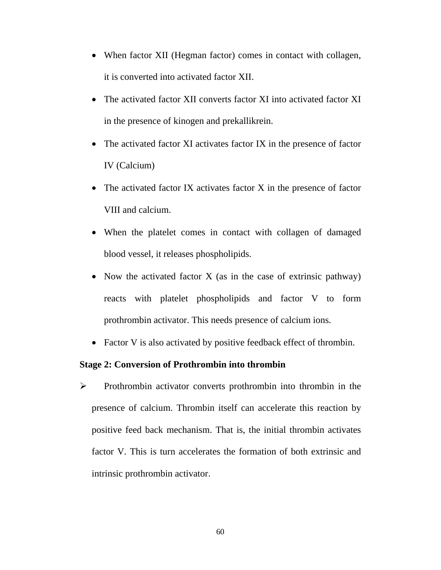- When factor XII (Hegman factor) comes in contact with collagen, it is converted into activated factor XII.
- The activated factor XII converts factor XI into activated factor XI in the presence of kinogen and prekallikrein.
- The activated factor XI activates factor IX in the presence of factor IV (Calcium)
- The activated factor IX activates factor X in the presence of factor VIII and calcium.
- When the platelet comes in contact with collagen of damaged blood vessel, it releases phospholipids.
- Now the activated factor  $X$  (as in the case of extrinsic pathway) reacts with platelet phospholipids and factor V to form prothrombin activator. This needs presence of calcium ions.
- Factor V is also activated by positive feedback effect of thrombin.

## **Stage 2: Conversion of Prothrombin into thrombin**

¾ Prothrombin activator converts prothrombin into thrombin in the presence of calcium. Thrombin itself can accelerate this reaction by positive feed back mechanism. That is, the initial thrombin activates factor V. This is turn accelerates the formation of both extrinsic and intrinsic prothrombin activator.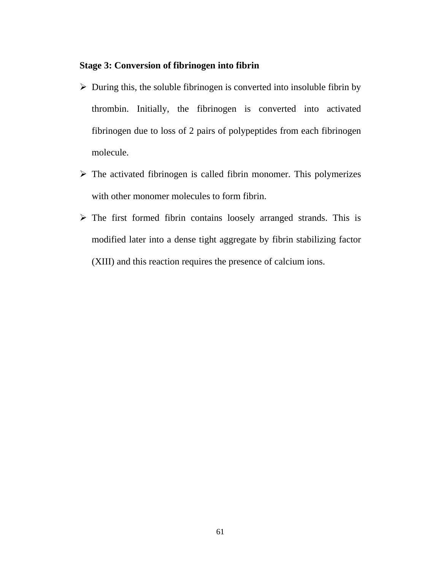## **Stage 3: Conversion of fibrinogen into fibrin**

- $\triangleright$  During this, the soluble fibrinogen is converted into insoluble fibrin by thrombin. Initially, the fibrinogen is converted into activated fibrinogen due to loss of 2 pairs of polypeptides from each fibrinogen molecule.
- $\triangleright$  The activated fibrinogen is called fibrin monomer. This polymerizes with other monomer molecules to form fibrin.
- $\triangleright$  The first formed fibrin contains loosely arranged strands. This is modified later into a dense tight aggregate by fibrin stabilizing factor (XIII) and this reaction requires the presence of calcium ions.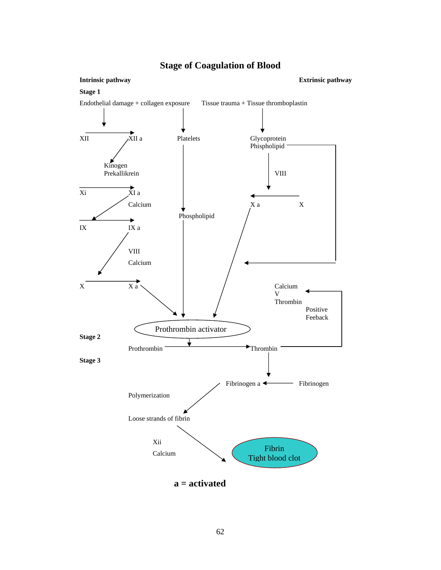

## **Stage of Coagulation of Blood**

62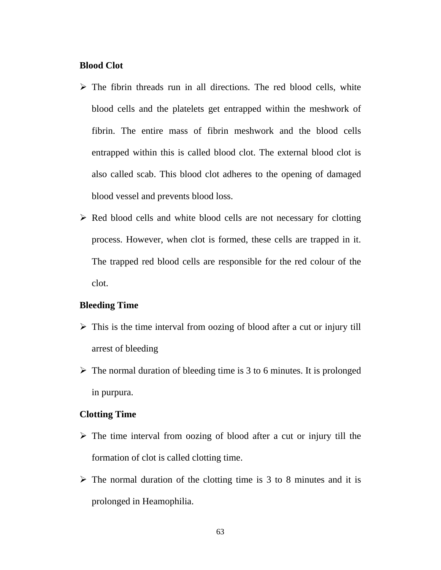#### **Blood Clot**

- $\triangleright$  The fibrin threads run in all directions. The red blood cells, white blood cells and the platelets get entrapped within the meshwork of fibrin. The entire mass of fibrin meshwork and the blood cells entrapped within this is called blood clot. The external blood clot is also called scab. This blood clot adheres to the opening of damaged blood vessel and prevents blood loss.
- $\triangleright$  Red blood cells and white blood cells are not necessary for clotting process. However, when clot is formed, these cells are trapped in it. The trapped red blood cells are responsible for the red colour of the clot.

#### **Bleeding Time**

- $\triangleright$  This is the time interval from oozing of blood after a cut or injury till arrest of bleeding
- $\triangleright$  The normal duration of bleeding time is 3 to 6 minutes. It is prolonged in purpura.

#### **Clotting Time**

- $\triangleright$  The time interval from oozing of blood after a cut or injury till the formation of clot is called clotting time.
- $\triangleright$  The normal duration of the clotting time is 3 to 8 minutes and it is prolonged in Heamophilia.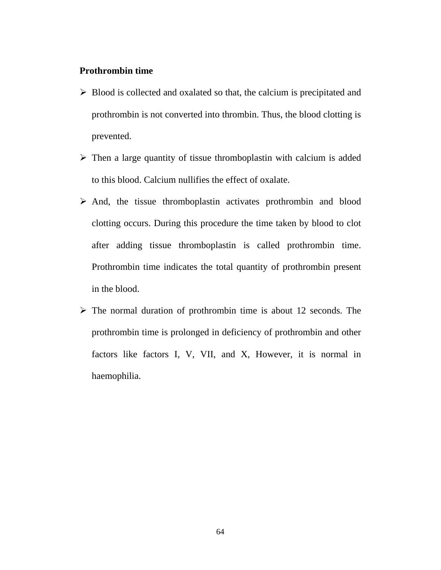#### **Prothrombin time**

- $\triangleright$  Blood is collected and oxalated so that, the calcium is precipitated and prothrombin is not converted into thrombin. Thus, the blood clotting is prevented.
- $\triangleright$  Then a large quantity of tissue thromboplastin with calcium is added to this blood. Calcium nullifies the effect of oxalate.
- $\triangleright$  And, the tissue thromboplastin activates prothrombin and blood clotting occurs. During this procedure the time taken by blood to clot after adding tissue thromboplastin is called prothrombin time. Prothrombin time indicates the total quantity of prothrombin present in the blood.
- $\triangleright$  The normal duration of prothrombin time is about 12 seconds. The prothrombin time is prolonged in deficiency of prothrombin and other factors like factors I, V, VII, and X, However, it is normal in haemophilia.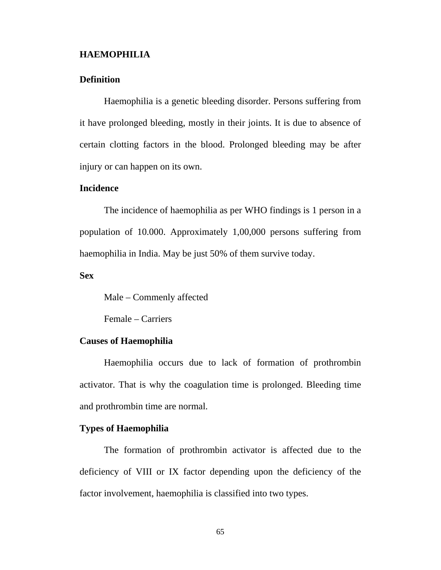#### **HAEMOPHILIA**

## **Definition**

Haemophilia is a genetic bleeding disorder. Persons suffering from it have prolonged bleeding, mostly in their joints. It is due to absence of certain clotting factors in the blood. Prolonged bleeding may be after injury or can happen on its own.

### **Incidence**

 The incidence of haemophilia as per WHO findings is 1 person in a population of 10.000. Approximately 1,00,000 persons suffering from haemophilia in India. May be just 50% of them survive today.

#### **Sex**

Male – Commenly affected

Female – Carriers

#### **Causes of Haemophilia**

 Haemophilia occurs due to lack of formation of prothrombin activator. That is why the coagulation time is prolonged. Bleeding time and prothrombin time are normal.

## **Types of Haemophilia**

 The formation of prothrombin activator is affected due to the deficiency of VIII or IX factor depending upon the deficiency of the factor involvement, haemophilia is classified into two types.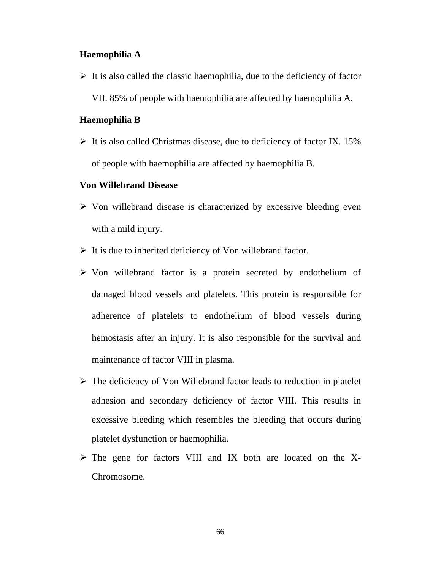#### **Haemophilia A**

 $\triangleright$  It is also called the classic haemophilia, due to the deficiency of factor VII. 85% of people with haemophilia are affected by haemophilia A.

## **Haemophilia B**

 $\triangleright$  It is also called Christmas disease, due to deficiency of factor IX. 15% of people with haemophilia are affected by haemophilia B.

#### **Von Willebrand Disease**

- $\triangleright$  Von willebrand disease is characterized by excessive bleeding even with a mild injury.
- $\triangleright$  It is due to inherited deficiency of Von willebrand factor.
- ¾ Von willebrand factor is a protein secreted by endothelium of damaged blood vessels and platelets. This protein is responsible for adherence of platelets to endothelium of blood vessels during hemostasis after an injury. It is also responsible for the survival and maintenance of factor VIII in plasma.
- $\triangleright$  The deficiency of Von Willebrand factor leads to reduction in platelet adhesion and secondary deficiency of factor VIII. This results in excessive bleeding which resembles the bleeding that occurs during platelet dysfunction or haemophilia.
- $\triangleright$  The gene for factors VIII and IX both are located on the X-Chromosome.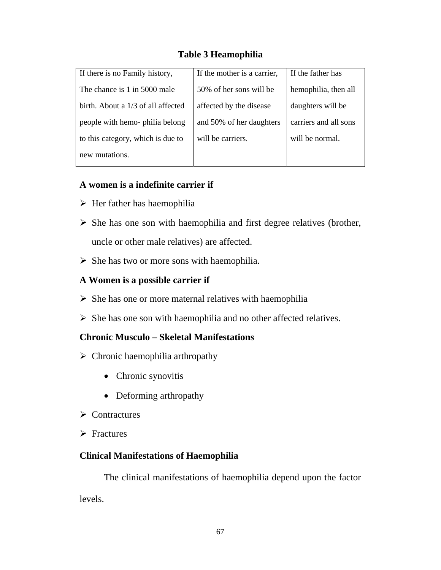# **Table 3 Heamophilia**

| If there is no Family history,     | If the mother is a carrier, | If the father has     |
|------------------------------------|-----------------------------|-----------------------|
| The chance is 1 in 5000 male       | 50% of her sons will be     | hemophilia, then all  |
| birth. About a 1/3 of all affected | affected by the disease     | daughters will be     |
| people with hemo- philia belong    | and 50% of her daughters    | carriers and all sons |
| to this category, which is due to  | will be carriers.           | will be normal.       |
| new mutations.                     |                             |                       |

## **A women is a indefinite carrier if**

- $\triangleright$  Her father has haemophilia
- $\triangleright$  She has one son with haemophilia and first degree relatives (brother, uncle or other male relatives) are affected.
- $\triangleright$  She has two or more sons with haemophilia.

## **A Women is a possible carrier if**

- $\triangleright$  She has one or more maternal relatives with haemophilia
- $\triangleright$  She has one son with haemophilia and no other affected relatives.

## **Chronic Musculo – Skeletal Manifestations**

- $\triangleright$  Chronic haemophilia arthropathy
	- Chronic synovitis
	- Deforming arthropathy
- $\triangleright$  Contractures
- $\triangleright$  Fractures

# **Clinical Manifestations of Haemophilia**

 The clinical manifestations of haemophilia depend upon the factor levels.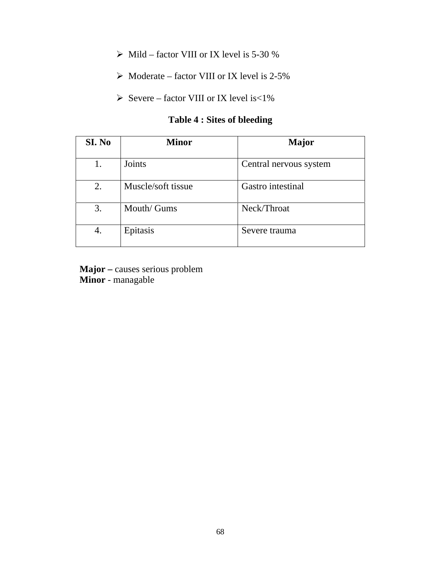- $\triangleright$  Mild factor VIII or IX level is 5-30 %
- $\triangleright$  Moderate factor VIII or IX level is 2-5%
- $\triangleright$  Severe factor VIII or IX level is <1%

# **Table 4 : Sites of bleeding**

| SI. No | <b>Minor</b>       | <b>Major</b>           |
|--------|--------------------|------------------------|
|        | Joints             | Central nervous system |
| 2.     | Muscle/soft tissue | Gastro intestinal      |
| 3.     | Mouth/ Gums        | Neck/Throat            |
| 4.     | Epitasis           | Severe trauma          |

**Major –** causes serious problem **Minor** - managable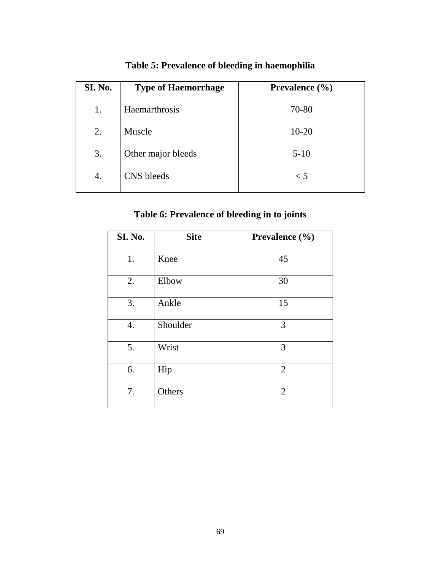| SI. No. | <b>Type of Haemorrhage</b> | Prevalence $(\% )$ |
|---------|----------------------------|--------------------|
|         | Haemarthrosis              | 70-80              |
| 2.      | Muscle                     | $10 - 20$          |
| 3.      | Other major bleeds         | $5-10$             |
| 4.      | CNS bleeds                 | $\leq 5$           |

# **Table 5: Prevalence of bleeding in haemophilia**

# **Table 6: Prevalence of bleeding in to joints**

| SI. No. | <b>Site</b> | Prevalence (%) |
|---------|-------------|----------------|
| 1.      | Knee        | 45             |
| 2.      | Elbow       | 30             |
| 3.      | Ankle       | 15             |
| 4.      | Shoulder    | 3              |
| 5.      | Wrist       | 3              |
| 6.      | Hip         | $\overline{2}$ |
| 7.      | Others      | $\overline{2}$ |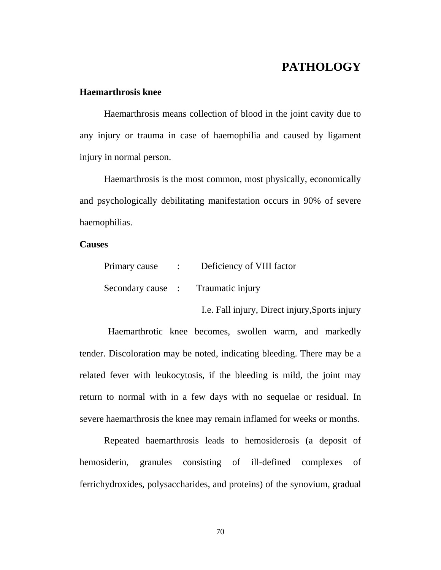# **PATHOLOGY**

## **Haemarthrosis knee**

 Haemarthrosis means collection of blood in the joint cavity due to any injury or trauma in case of haemophilia and caused by ligament injury in normal person.

 Haemarthrosis is the most common, most physically, economically and psychologically debilitating manifestation occurs in 90% of severe haemophilias.

#### **Causes**

| Primary cause | : Deficiency of VIII factor        |
|---------------|------------------------------------|
|               | Secondary cause : Traumatic injury |

I.e. Fall injury, Direct injury,Sports injury

 Haemarthrotic knee becomes, swollen warm, and markedly tender. Discoloration may be noted, indicating bleeding. There may be a related fever with leukocytosis, if the bleeding is mild, the joint may return to normal with in a few days with no sequelae or residual. In severe haemarthrosis the knee may remain inflamed for weeks or months.

Repeated haemarthrosis leads to hemosiderosis (a deposit of hemosiderin, granules consisting of ill-defined complexes of ferrichydroxides, polysaccharides, and proteins) of the synovium, gradual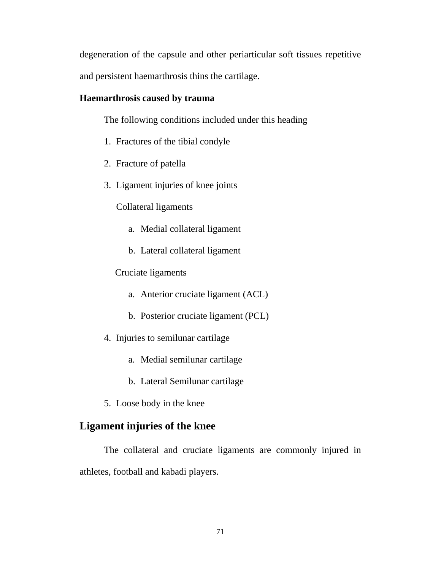degeneration of the capsule and other periarticular soft tissues repetitive and persistent haemarthrosis thins the cartilage.

## **Haemarthrosis caused by trauma**

The following conditions included under this heading

- 1. Fractures of the tibial condyle
- 2. Fracture of patella
- 3. Ligament injuries of knee joints

Collateral ligaments

- a. Medial collateral ligament
- b. Lateral collateral ligament

Cruciate ligaments

- a. Anterior cruciate ligament (ACL)
- b. Posterior cruciate ligament (PCL)
- 4. Injuries to semilunar cartilage
	- a. Medial semilunar cartilage
	- b. Lateral Semilunar cartilage
- 5. Loose body in the knee

# **Ligament injuries of the knee**

 The collateral and cruciate ligaments are commonly injured in athletes, football and kabadi players.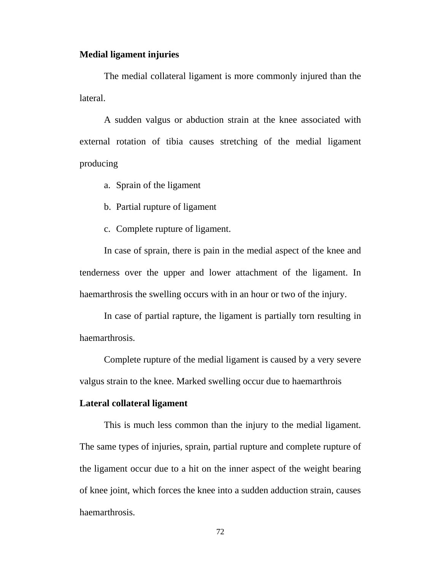#### **Medial ligament injuries**

 The medial collateral ligament is more commonly injured than the lateral.

 A sudden valgus or abduction strain at the knee associated with external rotation of tibia causes stretching of the medial ligament producing

a. Sprain of the ligament

b. Partial rupture of ligament

c. Complete rupture of ligament.

In case of sprain, there is pain in the medial aspect of the knee and tenderness over the upper and lower attachment of the ligament. In haemarthrosis the swelling occurs with in an hour or two of the injury.

In case of partial rapture, the ligament is partially torn resulting in haemarthrosis.

Complete rupture of the medial ligament is caused by a very severe valgus strain to the knee. Marked swelling occur due to haemarthrois

#### **Lateral collateral ligament**

This is much less common than the injury to the medial ligament. The same types of injuries, sprain, partial rupture and complete rupture of the ligament occur due to a hit on the inner aspect of the weight bearing of knee joint, which forces the knee into a sudden adduction strain, causes haemarthrosis.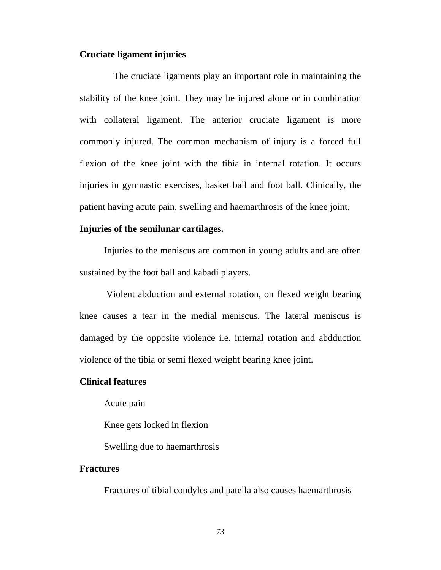#### **Cruciate ligament injuries**

 The cruciate ligaments play an important role in maintaining the stability of the knee joint. They may be injured alone or in combination with collateral ligament. The anterior cruciate ligament is more commonly injured. The common mechanism of injury is a forced full flexion of the knee joint with the tibia in internal rotation. It occurs injuries in gymnastic exercises, basket ball and foot ball. Clinically, the patient having acute pain, swelling and haemarthrosis of the knee joint.

#### **Injuries of the semilunar cartilages.**

Injuries to the meniscus are common in young adults and are often sustained by the foot ball and kabadi players.

 Violent abduction and external rotation, on flexed weight bearing knee causes a tear in the medial meniscus. The lateral meniscus is damaged by the opposite violence i.e. internal rotation and abdduction violence of the tibia or semi flexed weight bearing knee joint.

#### **Clinical features**

Acute pain

Knee gets locked in flexion

Swelling due to haemarthrosis

#### **Fractures**

Fractures of tibial condyles and patella also causes haemarthrosis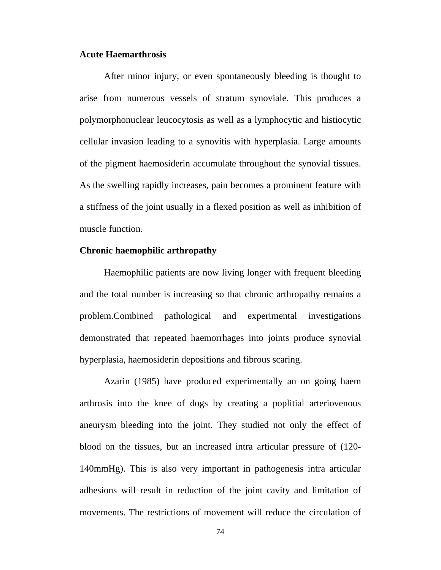#### **Acute Haemarthrosis**

 After minor injury, or even spontaneously bleeding is thought to arise from numerous vessels of stratum synoviale. This produces a polymorphonuclear leucocytosis as well as a lymphocytic and histiocytic cellular invasion leading to a synovitis with hyperplasia. Large amounts of the pigment haemosiderin accumulate throughout the synovial tissues. As the swelling rapidly increases, pain becomes a prominent feature with a stiffness of the joint usually in a flexed position as well as inhibition of muscle function.

#### **Chronic haemophilic arthropathy**

 Haemophilic patients are now living longer with frequent bleeding and the total number is increasing so that chronic arthropathy remains a problem.Combined pathological and experimental investigations demonstrated that repeated haemorrhages into joints produce synovial hyperplasia, haemosiderin depositions and fibrous scaring.

Azarin (1985) have produced experimentally an on going haem arthrosis into the knee of dogs by creating a poplitial arteriovenous aneurysm bleeding into the joint. They studied not only the effect of blood on the tissues, but an increased intra articular pressure of (120- 140mmHg). This is also very important in pathogenesis intra articular adhesions will result in reduction of the joint cavity and limitation of movements. The restrictions of movement will reduce the circulation of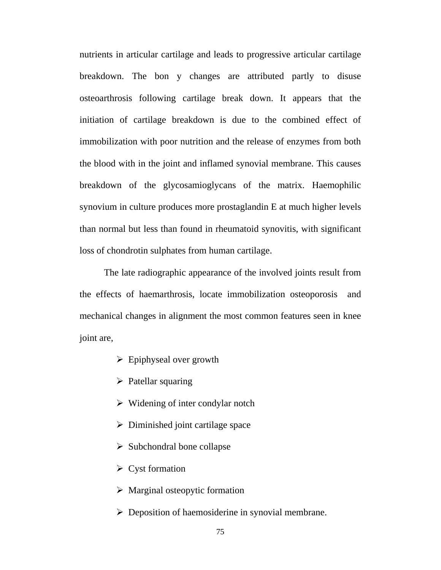nutrients in articular cartilage and leads to progressive articular cartilage breakdown. The bon y changes are attributed partly to disuse osteoarthrosis following cartilage break down. It appears that the initiation of cartilage breakdown is due to the combined effect of immobilization with poor nutrition and the release of enzymes from both the blood with in the joint and inflamed synovial membrane. This causes breakdown of the glycosamioglycans of the matrix. Haemophilic synovium in culture produces more prostaglandin E at much higher levels than normal but less than found in rheumatoid synovitis, with significant loss of chondrotin sulphates from human cartilage.

The late radiographic appearance of the involved joints result from the effects of haemarthrosis, locate immobilization osteoporosis and mechanical changes in alignment the most common features seen in knee joint are,

- $\triangleright$  Epiphyseal over growth
- $\triangleright$  Patellar squaring
- $\triangleright$  Widening of inter condylar notch
- $\triangleright$  Diminished joint cartilage space
- $\triangleright$  Subchondral bone collapse
- $\triangleright$  Cyst formation
- $\triangleright$  Marginal osteopytic formation
- $\triangleright$  Deposition of haemosiderine in synovial membrane.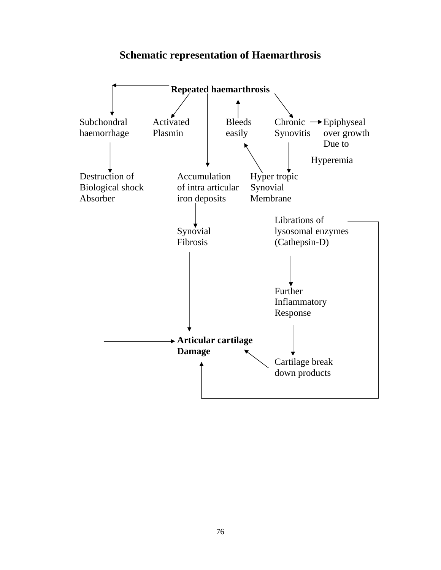## **Schematic representation of Haemarthrosis**

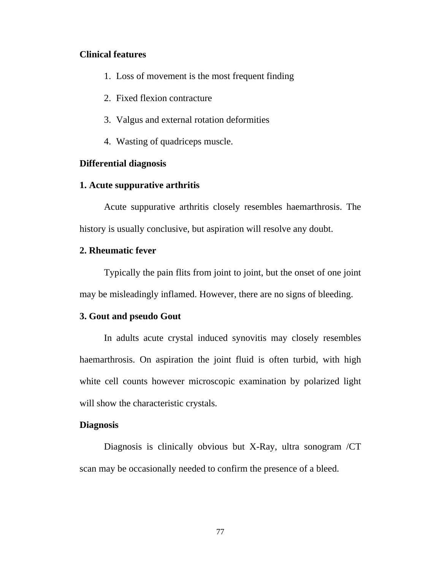#### **Clinical features**

- 1. Loss of movement is the most frequent finding
- 2. Fixed flexion contracture
- 3. Valgus and external rotation deformities
- 4. Wasting of quadriceps muscle.

#### **Differential diagnosis**

#### **1. Acute suppurative arthritis**

 Acute suppurative arthritis closely resembles haemarthrosis. The history is usually conclusive, but aspiration will resolve any doubt.

#### **2. Rheumatic fever**

 Typically the pain flits from joint to joint, but the onset of one joint may be misleadingly inflamed. However, there are no signs of bleeding.

#### **3. Gout and pseudo Gout**

 In adults acute crystal induced synovitis may closely resembles haemarthrosis. On aspiration the joint fluid is often turbid, with high white cell counts however microscopic examination by polarized light will show the characteristic crystals.

#### **Diagnosis**

Diagnosis is clinically obvious but X-Ray, ultra sonogram /CT scan may be occasionally needed to confirm the presence of a bleed.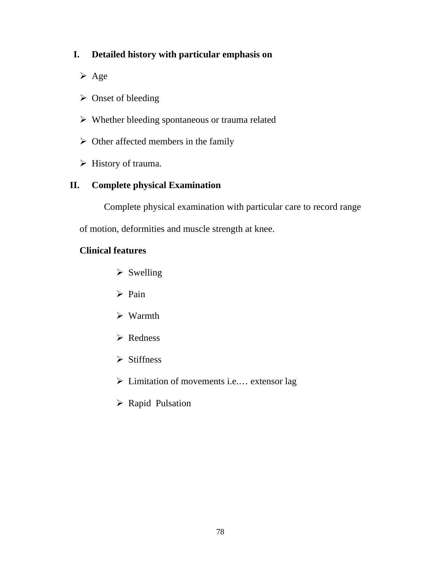## **I. Detailed history with particular emphasis on**

- $\triangleright$  Age
- $\triangleright$  Onset of bleeding
- $\triangleright$  Whether bleeding spontaneous or trauma related
- $\triangleright$  Other affected members in the family
- $\triangleright$  History of trauma.

## **II. Complete physical Examination**

Complete physical examination with particular care to record range

of motion, deformities and muscle strength at knee.

### **Clinical features**

- $\triangleright$  Swelling
- $\triangleright$  Pain
- $\triangleright$  Warmth
- ¾ Redness
- $\triangleright$  Stiffness
- $\triangleright$  Limitation of movements i.e.... extensor lag
- ▶ Rapid Pulsation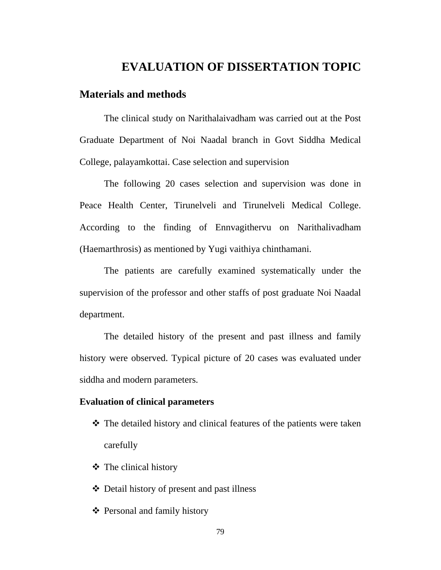## **EVALUATION OF DISSERTATION TOPIC**

#### **Materials and methods**

 The clinical study on Narithalaivadham was carried out at the Post Graduate Department of Noi Naadal branch in Govt Siddha Medical College, palayamkottai. Case selection and supervision

 The following 20 cases selection and supervision was done in Peace Health Center, Tirunelveli and Tirunelveli Medical College. According to the finding of Ennvagithervu on Narithalivadham (Haemarthrosis) as mentioned by Yugi vaithiya chinthamani.

 The patients are carefully examined systematically under the supervision of the professor and other staffs of post graduate Noi Naadal department.

 The detailed history of the present and past illness and family history were observed. Typical picture of 20 cases was evaluated under siddha and modern parameters.

#### **Evaluation of clinical parameters**

- The detailed history and clinical features of the patients were taken carefully
- $\triangleleft$  The clinical history
- Detail history of present and past illness
- Personal and family history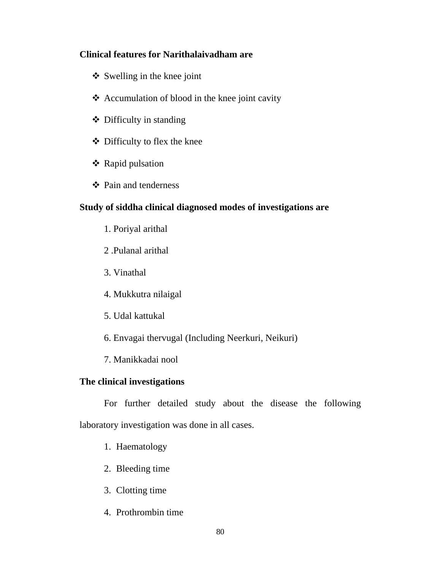#### **Clinical features for Narithalaivadham are**

- $\triangleleft$  Swelling in the knee joint
- $\triangle$  Accumulation of blood in the knee joint cavity
- Difficulty in standing
- Difficulty to flex the knee
- ❖ Rapid pulsation
- Pain and tenderness

## **Study of siddha clinical diagnosed modes of investigations are**

- 1. Poriyal arithal
- 2 .Pulanal arithal
- 3. Vinathal
- 4. Mukkutra nilaigal
- 5. Udal kattukal
- 6. Envagai thervugal (Including Neerkuri, Neikuri)
- 7. Manikkadai nool

## **The clinical investigations**

 For further detailed study about the disease the following laboratory investigation was done in all cases.

- 1. Haematology
- 2. Bleeding time
- 3. Clotting time
- 4. Prothrombin time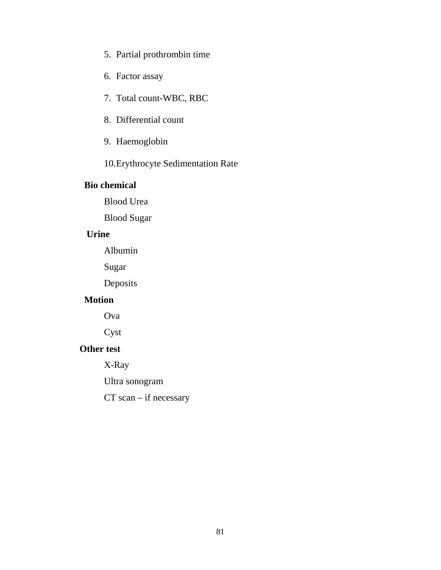- 5. Partial prothrombin time
- 6. Factor assay
- 7. Total count-WBC, RBC
- 8. Differential count
- 9. Haemoglobin
- 10.Erythrocyte Sedimentation Rate

#### **Bio chemical**

Blood Urea

Blood Sugar

## **Urine**

Albumin

Sugar

Deposits

#### **Motion**

Ova

Cyst

#### **Other test**

X-Ray

Ultra sonogram

CT scan – if necessary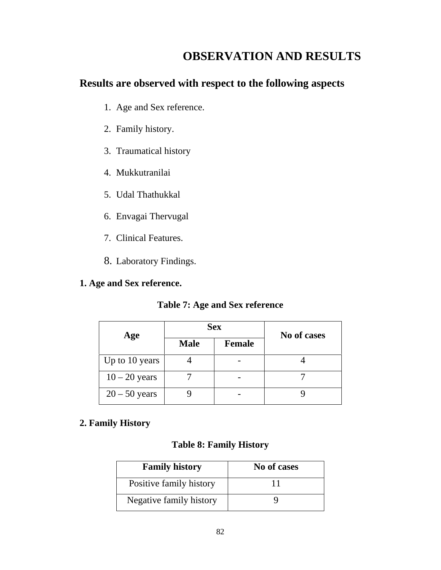# **OBSERVATION AND RESULTS**

## **Results are observed with respect to the following aspects**

- 1. Age and Sex reference.
- 2. Family history.
- 3. Traumatical history
- 4. Mukkutranilai
- 5. Udal Thathukkal
- 6. Envagai Thervugal
- 7. Clinical Features.
- 8. Laboratory Findings.

## **1. Age and Sex reference.**

## **Table 7: Age and Sex reference**

| Age             |             | <b>Sex</b>    | No of cases |  |
|-----------------|-------------|---------------|-------------|--|
|                 | <b>Male</b> | <b>Female</b> |             |  |
| Up to 10 years  |             |               |             |  |
| $10 - 20$ years |             |               |             |  |
| $20 - 50$ years |             |               |             |  |

## **2. Family History**

## **Table 8: Family History**

| <b>Family history</b>   | No of cases |
|-------------------------|-------------|
| Positive family history |             |
| Negative family history |             |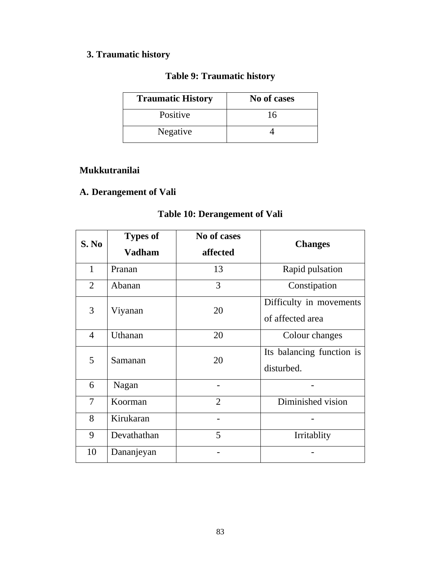## **3. Traumatic history**

## **Table 9: Traumatic history**

| <b>Traumatic History</b> | No of cases |
|--------------------------|-------------|
| Positive                 | 16          |
| Negative                 |             |

## **Mukkutranilai**

# **A. Derangement of Vali**

## **Table 10: Derangement of Vali**

| S. No          | <b>Types of</b><br><b>Vadham</b> | No of cases<br>affected | <b>Changes</b>                              |
|----------------|----------------------------------|-------------------------|---------------------------------------------|
| $\mathbf{1}$   | Pranan                           | 13                      | Rapid pulsation                             |
| 2              | Abanan                           | 3                       | Constipation                                |
| 3              | Viyanan                          | 20                      | Difficulty in movements<br>of affected area |
| $\overline{4}$ | Uthanan                          | 20                      | Colour changes                              |
| 5              | Samanan                          | 20                      | Its balancing function is<br>disturbed.     |
| 6              | Nagan                            |                         |                                             |
| 7              | Koorman                          | 2                       | Diminished vision                           |
| 8              | Kirukaran                        |                         |                                             |
| 9              | Devathathan                      | 5                       | Irritablity                                 |
| 10             | Dananjeyan                       |                         |                                             |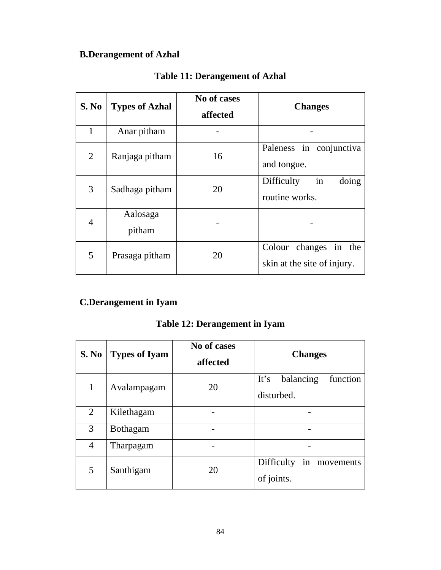## **B.Derangement of Azhal**

| <b>S. No</b>   | <b>Types of Azhal</b> | No of cases<br>affected | <b>Changes</b>                                             |  |
|----------------|-----------------------|-------------------------|------------------------------------------------------------|--|
| 1              | Anar pitham           |                         |                                                            |  |
| $\overline{2}$ | Ranjaga pitham        | 16                      | Paleness in conjunctiva<br>and tongue.                     |  |
| 3              | Sadhaga pitham        | 20                      | in<br>doing<br>Difficulty<br>routine works.                |  |
| 4              | Aalosaga<br>pitham    |                         |                                                            |  |
| 5              | Prasaga pitham        | 20                      | in<br>Colour changes<br>the<br>skin at the site of injury. |  |

## **Table 11: Derangement of Azhal**

## **C.Derangement in Iyam**

## **Table 12: Derangement in Iyam**

| <b>S. No</b>   | <b>Types of Iyam</b> | No of cases<br>affected | <b>Changes</b>                |  |  |  |
|----------------|----------------------|-------------------------|-------------------------------|--|--|--|
|                | Avalampagam          | 20                      | It's<br>balancing<br>function |  |  |  |
|                |                      |                         | disturbed.                    |  |  |  |
| $\overline{2}$ | Kilethagam           |                         |                               |  |  |  |
| 3              | <b>Bothagam</b>      |                         |                               |  |  |  |
| $\overline{4}$ | Tharpagam            |                         |                               |  |  |  |
| 5              | Santhigam            | 20                      | Difficulty<br>in movements    |  |  |  |
|                |                      |                         | of joints.                    |  |  |  |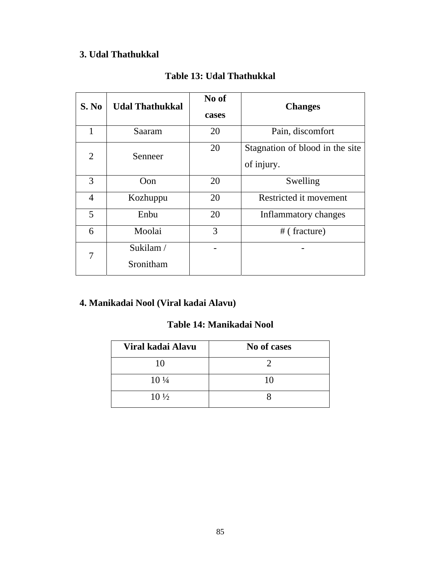## **3. Udal Thathukkal**

| S. No          | <b>Udal Thathukkal</b> | No of<br>cases | <b>Changes</b>                                |
|----------------|------------------------|----------------|-----------------------------------------------|
| 1              | Saaram                 | 20             | Pain, discomfort                              |
| $\overline{2}$ | Senneer                | 20             | Stagnation of blood in the site<br>of injury. |
| 3              | Oon                    | 20             | Swelling                                      |
| 4              | Kozhuppu               | 20             | Restricted it movement                        |
| 5              | Enbu                   | 20             | Inflammatory changes                          |
| 6              | Moolai                 | 3              | $#$ (fracture)                                |
| 7              | Sukilam/<br>Sronitham  |                |                                               |

## **Table 13: Udal Thathukkal**

## **4. Manikadai Nool (Viral kadai Alavu)**

## **Table 14: Manikadai Nool**

| Viral kadai Alavu | No of cases |
|-------------------|-------------|
| 10                |             |
| $10\frac{1}{4}$   | 10          |
| $10\frac{1}{2}$   |             |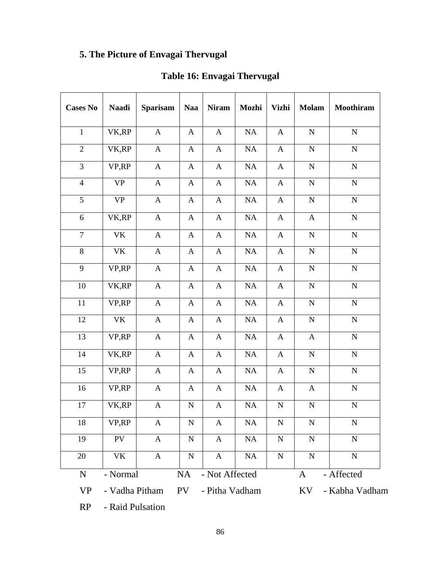# **5. The Picture of Envagai Thervugal**

| <b>Cases No</b>  | <b>Naadi</b>   | <b>Sparisam</b>           | <b>Naa</b>       | <b>Niram</b>   | Mozhi     | <b>Vizhi</b>              | <b>Molam</b> | <b>Moothiram</b> |
|------------------|----------------|---------------------------|------------------|----------------|-----------|---------------------------|--------------|------------------|
| $\mathbf{1}$     | VK,RP          | $\mathbf{A}$              | $\mathbf{A}$     | $\mathbf{A}$   | NA        | $\mathbf{A}$              | ${\bf N}$    | ${\bf N}$        |
| $\overline{2}$   | VK,RP          | $\boldsymbol{\mathsf{A}}$ | $\mathbf{A}$     | $\mathbf{A}$   | $\rm NA$  | $\mathbf{A}$              | ${\bf N}$    | ${\bf N}$        |
| $\overline{3}$   | VP,RP          | $\boldsymbol{\mathsf{A}}$ | $\mathbf{A}$     | $\mathbf{A}$   | $\rm NA$  | $\mathbf{A}$              | ${\bf N}$    | ${\bf N}$        |
| $\overline{4}$   | <b>VP</b>      | $\mathbf{A}$              | $\mathbf{A}$     | $\mathbf{A}$   | NA        | $\mathbf{A}$              | ${\bf N}$    | ${\bf N}$        |
| 5                | <b>VP</b>      | $\mathbf{A}$              | A                | $\mathbf{A}$   | NA        | $\mathbf{A}$              | ${\bf N}$    | ${\bf N}$        |
| $\boldsymbol{6}$ | VK,RP          | $\mathbf{A}$              | A                | $\mathbf{A}$   | <b>NA</b> | $\mathbf{A}$              | $\mathbf{A}$ | ${\bf N}$        |
| $\tau$           | VK             | $\mathbf{A}$              | $\mathbf{A}$     | $\mathbf{A}$   | NA        | $\mathbf{A}$              | ${\bf N}$    | ${\bf N}$        |
| $\,8\,$          | <b>VK</b>      | $\mathbf{A}$              | $\mathbf{A}$     | $\mathbf{A}$   | NA        | $\mathbf{A}$              | ${\bf N}$    | ${\bf N}$        |
| 9                | VP,RP          | $\mathbf{A}$              | $\mathbf{A}$     | $\mathbf{A}$   | NA        | $\mathbf{A}$              | $\mathbf N$  | ${\bf N}$        |
| 10               | VK,RP          | $\mathbf{A}$              | $\mathbf{A}$     | $\mathbf{A}$   | NA        | $\mathbf{A}$              | ${\bf N}$    | ${\bf N}$        |
| 11               | VP,RP          | $\mathbf{A}$              | $\mathbf A$      | $\mathbf{A}$   | NA        | $\mathbf{A}$              | ${\bf N}$    | ${\bf N}$        |
| 12               | <b>VK</b>      | $\mathbf A$               | $\boldsymbol{A}$ | $\mathbf A$    | NA        | $\boldsymbol{\mathsf{A}}$ | ${\bf N}$    | ${\bf N}$        |
| $\overline{13}$  | VP,RP          | $\mathbf A$               | $\mathbf A$      | $\mathbf A$    | NA        | $\mathbf{A}$              | $\mathbf{A}$ | ${\bf N}$        |
| 14               | VK,RP          | $\mathbf A$               | $\mathbf{A}$     | $\mathbf A$    | NA        | $\mathbf A$               | ${\bf N}$    | $\mathbf N$      |
| 15               | VP,RP          | $\mathbf{A}$              | $\mathbf{A}$     | $\mathbf{A}$   | $\rm NA$  | $\mathbf{A}$              | ${\bf N}$    | ${\bf N}$        |
| 16               | VP,RP          | $\mathbf{A}$              | A                | $\mathbf{A}$   | NA        | $\mathbf{A}$              | $\mathbf{A}$ | ${\bf N}$        |
| 17               | VK,RP          | $\mathbf{A}$              | ${\bf N}$        | $\mathbf{A}$   | NA        | ${\bf N}$                 | ${\bf N}$    | ${\bf N}$        |
| 18               | VP,RP          | A                         | ${\bf N}$        | A              | NA        | ${\bf N}$                 | ${\bf N}$    | ${\bf N}$        |
| 19               | PV             | $\mathbf{A}$              | ${\bf N}$        | $\mathbf{A}$   | NA        | ${\bf N}$                 | ${\bf N}$    | ${\bf N}$        |
| 20               | VK             | $\mathbf A$               | ${\bf N}$        | $\mathbf{A}$   | NA        | ${\bf N}$                 | ${\bf N}$    | ${\bf N}$        |
| ${\bf N}$        | - Normal       |                           | <b>NA</b>        | - Not Affected |           |                           | $\mathbf{A}$ | - Affected       |
| <b>VP</b>        | - Vadha Pitham |                           | PV               | - Pitha Vadham |           |                           | KV           | - Kabha Vadham   |

# **Table 16: Envagai Thervugal**

RP - Raid Pulsation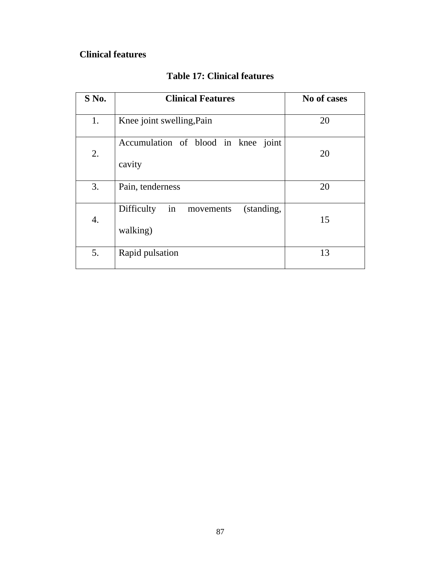## **Clinical features**

| S No. | <b>Clinical Features</b>                                | No of cases |
|-------|---------------------------------------------------------|-------------|
| 1.    | Knee joint swelling, Pain                               | 20          |
| 2.    | Accumulation of blood in knee joint<br>cavity           | 20          |
| 3.    | Pain, tenderness                                        | 20          |
| 4.    | in<br>Difficulty<br>(standing,<br>movements<br>walking) | 15          |
| 5.    | Rapid pulsation                                         | 13          |

## **Table 17: Clinical features**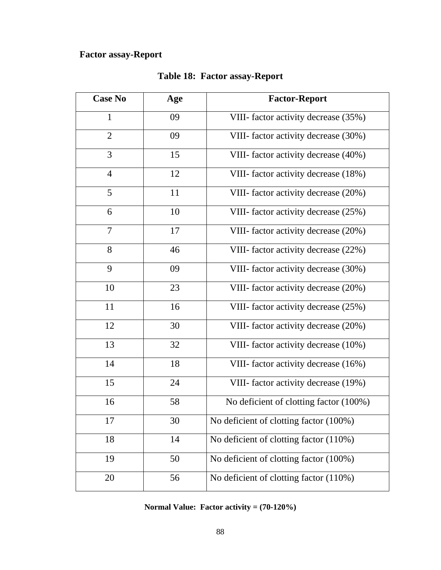## **Factor assay-Report**

| <b>Case No</b> | Age | <b>Factor-Report</b>                   |
|----------------|-----|----------------------------------------|
| $\mathbf{1}$   | 09  | VIII- factor activity decrease (35%)   |
| $\overline{2}$ | 09  | VIII- factor activity decrease (30%)   |
| $\overline{3}$ | 15  | VIII- factor activity decrease (40%)   |
| $\overline{4}$ | 12  | VIII- factor activity decrease (18%)   |
| 5              | 11  | VIII- factor activity decrease (20%)   |
| 6              | 10  | VIII- factor activity decrease (25%)   |
| $\overline{7}$ | 17  | VIII- factor activity decrease (20%)   |
| 8              | 46  | VIII- factor activity decrease (22%)   |
| 9              | 09  | VIII- factor activity decrease (30%)   |
| 10             | 23  | VIII- factor activity decrease (20%)   |
| 11             | 16  | VIII- factor activity decrease (25%)   |
| 12             | 30  | VIII- factor activity decrease (20%)   |
| 13             | 32  | VIII- factor activity decrease (10%)   |
| 14             | 18  | VIII- factor activity decrease (16%)   |
| 15             | 24  | VIII- factor activity decrease (19%)   |
| 16             | 58  | No deficient of clotting factor (100%) |
| 17             | 30  | No deficient of clotting factor (100%) |
| 18             | 14  | No deficient of clotting factor (110%) |
| 19             | 50  | No deficient of clotting factor (100%) |
| 20             | 56  | No deficient of clotting factor (110%) |

## **Table 18: Factor assay-Report**

**Normal Value: Factor activity = (70-120%)**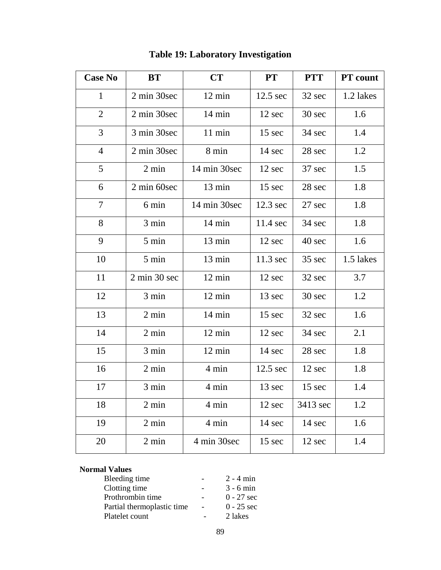| <b>Case No</b> | <b>BT</b>                       | CT               | <b>PT</b>          | <b>PTT</b> | <b>PT</b> count |
|----------------|---------------------------------|------------------|--------------------|------------|-----------------|
| $\mathbf{1}$   | 2 min 30sec                     | 12 min           | $12.5 \text{ sec}$ | 32 sec     | 1.2 lakes       |
| $\overline{2}$ | 2 min 30sec                     | 14 min           | 12 sec             | 30 sec     | 1.6             |
| 3              | 3 min 30sec                     | 11 min           | 15 sec             | 34 sec     | 1.4             |
| $\overline{4}$ | 2 min 30sec                     | 8 min            | 14 sec             | 28 sec     | 1.2             |
| 5              | $2 \text{ min}$                 | 14 min 30sec     | 12 sec             | 37 sec     | 1.5             |
| 6              | 2 min 60sec                     | 13 min           | 15 sec             | 28 sec     | 1.8             |
| 7              | 6 min                           | 14 min 30sec     | $12.3 \text{ sec}$ | 27 sec     | 1.8             |
| 8              | 3 min                           | $14 \text{ min}$ | 11.4 sec           | 34 sec     | 1.8             |
| 9              | 5 min                           | 13 min           | 12 sec             | 40 sec     | 1.6             |
| 10             | 5 min                           | 13 min           | 11.3 sec           | 35 sec     | 1.5 lakes       |
| 11             | $2 \text{ min } 30 \text{ sec}$ | $12 \text{ min}$ | 12 sec             | 32 sec     | 3.7             |
| 12             | 3 min                           | $12 \text{ min}$ | 13 sec             | 30 sec     | 1.2             |
| 13             | 2 min                           | 14 min           | 15 sec             | 32 sec     | 1.6             |
| 14             | 2 min                           | $12 \text{ min}$ | 12 sec             | 34 sec     | 2.1             |
| 15             | 3 min                           | 12 min           | 14 sec             | 28 sec     | 1.8             |
| 16             | $2 \text{ min}$                 | 4 min            | $12.5 \text{ sec}$ | 12 sec     | 1.8             |
| 17             | 3 min                           | 4 min            | 13 sec             | 15 sec     | 1.4             |
| 18             | $2 \text{ min}$                 | 4 min            | 12 sec             | 3413 sec   | 1.2             |
| 19             | $2 \text{ min}$                 | 4 min            | 14 sec             | 14 sec     | 1.6             |
| 20             | $2 \text{ min}$                 | 4 min 30sec      | 15 sec             | 12 sec     | 1.4             |

# **Table 19: Laboratory Investigation**

#### **Normal Values**

| Bleeding time              | $2 - 4$ min  |
|----------------------------|--------------|
| Clotting time              | $3 - 6$ min  |
| Prothrombin time           | $0 - 27$ sec |
| Partial thermoplastic time | $0 - 25$ sec |
| Platelet count             | 2 lakes      |
|                            |              |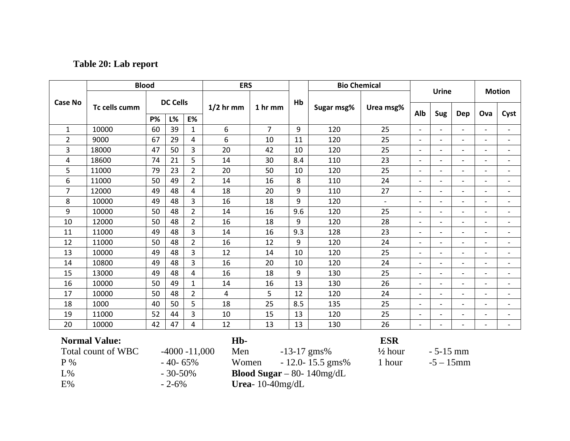## **Table 20: Lab report**

|                | <b>Blood</b>                               |           |                 | <b>Bio Chemical</b><br><b>ERS</b> |                         |                | <b>Urine</b> |                  |                                  | <b>Motion</b>            |                          |                          |                          |                          |
|----------------|--------------------------------------------|-----------|-----------------|-----------------------------------|-------------------------|----------------|--------------|------------------|----------------------------------|--------------------------|--------------------------|--------------------------|--------------------------|--------------------------|
| <b>Case No</b> | Tc cells cumm                              |           | <b>DC Cells</b> |                                   | $1/2$ hr mm             | 1 hr mm        | Hb           | Sugar msg%       | Urea msg%                        | Alb                      | Sug                      | <b>Dep</b>               | Ova                      | Cyst                     |
|                |                                            | <b>P%</b> | L%              | <b>E%</b>                         |                         |                |              |                  |                                  |                          |                          |                          |                          |                          |
| $\mathbf{1}$   | 10000                                      | 60        | 39              | $\mathbf{1}$                      | 6                       | $\overline{7}$ | 9            | 120              | 25                               |                          | $\overline{\phantom{a}}$ |                          | $\overline{a}$           |                          |
| $\overline{2}$ | 9000                                       | 67        | 29              | 4                                 | 6                       | 10             | 11           | 120              | 25                               | $\overline{\phantom{a}}$ | $\overline{\phantom{a}}$ | $\overline{\phantom{a}}$ | $\overline{\phantom{0}}$ |                          |
| 3              | 18000                                      | 47        | 50              | 3                                 | 20                      | 42             | 10           | 120              | 25                               | $\overline{\phantom{a}}$ | $\overline{\phantom{a}}$ |                          | $\overline{\phantom{a}}$ |                          |
| 4              | 18600                                      | 74        | 21              | 5                                 | 14                      | 30             | 8.4          | 110              | 23                               |                          | $\overline{a}$           |                          | $\overline{a}$           |                          |
| 5              | 11000                                      | 79        | 23              | $\overline{2}$                    | 20                      | 50             | 10           | 120              | 25                               | $\overline{\phantom{a}}$ | $\overline{\phantom{a}}$ | $\overline{a}$           | $\overline{\phantom{a}}$ |                          |
| 6              | 11000                                      | 50        | 49              | $\overline{2}$                    | 14                      | 16             | 8            | 110              | 24                               | $\overline{\phantom{a}}$ | $\overline{\phantom{a}}$ |                          | $\overline{\phantom{a}}$ |                          |
| $\overline{7}$ | 12000                                      | 49        | 48              | 4                                 | 18                      | 20             | 9            | 110              | 27                               |                          | $\overline{a}$           |                          | $\overline{a}$           |                          |
| 8              | 10000                                      | 49        | 48              | 3                                 | 16                      | 18             | 9            | 120              | $\overline{\phantom{a}}$         |                          | $\overline{\phantom{m}}$ | $\overline{\phantom{a}}$ | $\overline{\phantom{0}}$ |                          |
| 9              | 10000                                      | 50        | 48              | $\overline{2}$                    | 14                      | 16             | 9.6          | 120              | 25                               | $\overline{\phantom{a}}$ | $\overline{\phantom{a}}$ |                          | $\overline{\phantom{a}}$ |                          |
| 10             | 12000                                      | 50        | 48              | $\overline{2}$                    | 16                      | 18             | 9            | 120              | 28                               |                          | $\overline{a}$           |                          | $\overline{a}$           |                          |
| 11             | 11000                                      | 49        | 48              | 3                                 | 14                      | 16             | 9.3          | 128              | 23                               | $\overline{\phantom{a}}$ | $\overline{\phantom{a}}$ | $\qquad \qquad -$        | $\overline{\phantom{0}}$ |                          |
| 12             | 11000                                      | 50        | 48              | $\overline{2}$                    | 16                      | 12             | 9            | 120              | 24                               | $\overline{\phantom{a}}$ | $\overline{\phantom{m}}$ |                          | $\overline{\phantom{0}}$ |                          |
| 13             | 10000                                      | 49        | 48              | 3                                 | 12                      | 14             | 10           | 120              | 25                               |                          | $\overline{a}$           | $\overline{a}$           | $\sim$                   |                          |
| 14             | 10800                                      | 49        | 48              | 3                                 | 16                      | 20             | 10           | 120              | 24                               | $\overline{\phantom{a}}$ | $\overline{\phantom{a}}$ | $\overline{a}$           | $\overline{\phantom{0}}$ | $\overline{\phantom{a}}$ |
| 15             | 13000                                      | 49        | 48              | 4                                 | 16                      | 18             | 9            | 130              | 25                               | $\overline{\phantom{a}}$ | $\overline{\phantom{0}}$ | $\overline{\phantom{a}}$ | $\overline{a}$           |                          |
| 16             | 10000                                      | 50        | 49              | $\mathbf{1}$                      | 14                      | 16             | 13           | 130              | 26                               |                          | $\overline{a}$           |                          | $\overline{a}$           |                          |
| 17             | 10000                                      | 50        | 48              | $\overline{2}$                    | 4                       | 5              | 12           | 120              | 24                               | $\overline{\phantom{a}}$ | $\overline{\phantom{a}}$ | $\qquad \qquad -$        | $\overline{\phantom{a}}$ |                          |
| 18             | 1000                                       | 40        | 50              | 5                                 | 18                      | 25             | 8.5          | 135              | 25                               | $\overline{\phantom{0}}$ | $\overline{\phantom{0}}$ |                          | $\overline{\phantom{0}}$ |                          |
| 19             | 11000                                      | 52        | 44              | 3                                 | 10                      | 15             | 13           | 120              | 25                               |                          | $\overline{a}$           |                          | $\overline{a}$           |                          |
| 20             | 10000                                      | 42        | 47              | 4                                 | 12                      | 13             | 13           | 130              | 26                               | $\overline{\phantom{a}}$ | $\overline{\phantom{a}}$ | $\qquad \qquad -$        | $\overline{\phantom{a}}$ | $\overline{\phantom{a}}$ |
|                | <b>Normal Value:</b><br>Total count of WBC |           |                 | $-4000 - 11,000$                  | H <sub>b</sub> -<br>Men |                |              | $-13-17$ gms%    | <b>ESR</b><br>$\frac{1}{2}$ hour |                          | $-5-15$ mm               |                          |                          |                          |
| P%             |                                            |           | $-40-65%$       |                                   | Women                   |                |              | - 12.0-15.5 gms% | 1 hour                           |                          | $-5 - 15$ mm             |                          |                          |                          |

E%  $- 2-6%$  **Urea**- 10-40mg/dL L% - 30-50% **Blood Sugar** – 80- 140mg/dL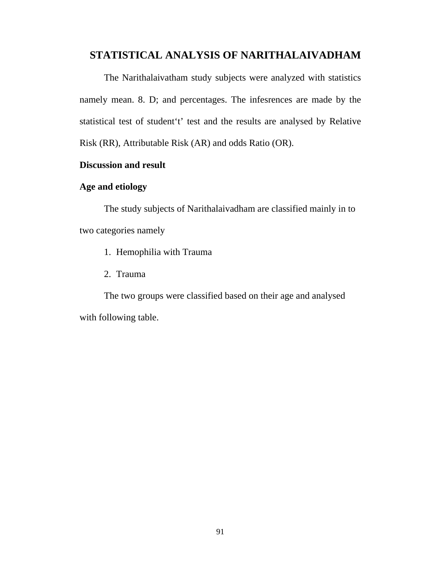## **STATISTICAL ANALYSIS OF NARITHALAIVADHAM**

The Narithalaivatham study subjects were analyzed with statistics namely mean. 8. D; and percentages. The infesrences are made by the statistical test of student't' test and the results are analysed by Relative Risk (RR), Attributable Risk (AR) and odds Ratio (OR).

#### **Discussion and result**

#### **Age and etiology**

The study subjects of Narithalaivadham are classified mainly in to two categories namely

- 1. Hemophilia with Trauma
- 2. Trauma

The two groups were classified based on their age and analysed with following table.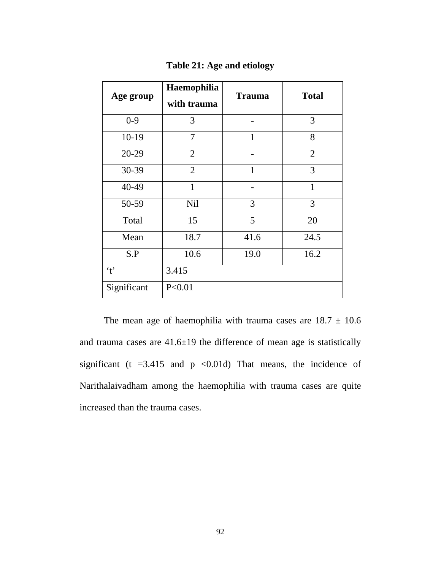| Age group    | Haemophilia<br>with trauma | <b>Trauma</b> | <b>Total</b>   |
|--------------|----------------------------|---------------|----------------|
| $0 - 9$      | 3                          |               | 3              |
| $10-19$      | 7                          | 1             | 8              |
| 20-29        | $\overline{2}$             |               | $\overline{2}$ |
| 30-39        | $\overline{2}$             | $\mathbf{1}$  | 3              |
| 40-49        | $\mathbf{1}$               |               | $\mathbf{1}$   |
| 50-59        | <b>Nil</b>                 | 3             | 3              |
| Total        | 15                         | 5             | 20             |
| Mean         | 18.7                       | 41.6          | 24.5           |
| S.P          | 10.6                       | 19.0          | 16.2           |
| $\mathbf{f}$ | 3.415                      |               |                |
| Significant  | P < 0.01                   |               |                |

**Table 21: Age and etiology**

The mean age of haemophilia with trauma cases are  $18.7 \pm 10.6$ and trauma cases are 41.6±19 the difference of mean age is statistically significant ( $t = 3.415$  and  $p \le 0.01d$ ) That means, the incidence of Narithalaivadham among the haemophilia with trauma cases are quite increased than the trauma cases.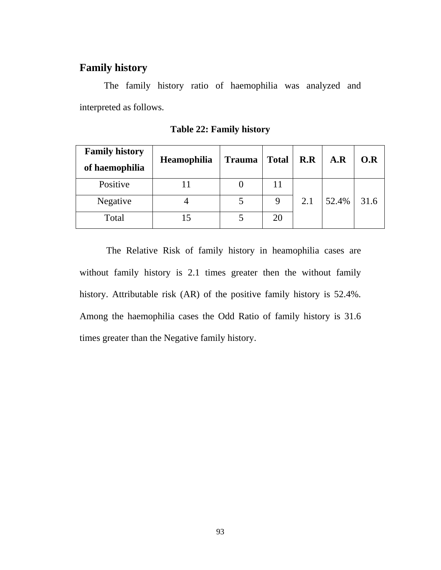## **Family history**

 The family history ratio of haemophilia was analyzed and interpreted as follows.

| <b>Family history</b><br>of haemophilia | Heamophilia | <b>Trauma</b> | <b>Total</b> | R.R | A.R   | O.R  |
|-----------------------------------------|-------------|---------------|--------------|-----|-------|------|
| Positive                                |             |               | 11           |     |       |      |
| Negative                                |             |               | 9            | 2.1 | 52.4% | 31.6 |
| Total                                   |             |               | 20           |     |       |      |

**Table 22: Family history** 

 The Relative Risk of family history in heamophilia cases are without family history is 2.1 times greater then the without family history. Attributable risk (AR) of the positive family history is 52.4%. Among the haemophilia cases the Odd Ratio of family history is 31.6 times greater than the Negative family history.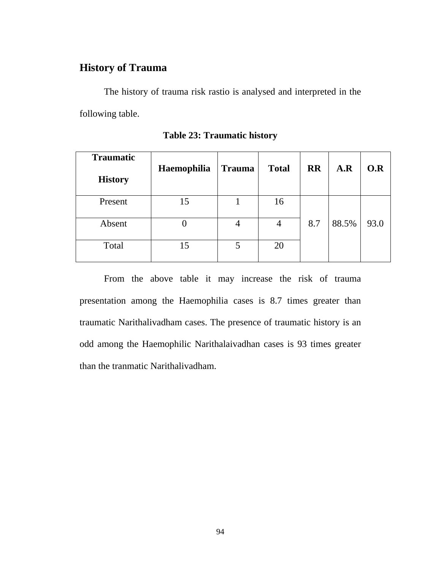## **History of Trauma**

 The history of trauma risk rastio is analysed and interpreted in the following table.

| <b>Traumatic</b><br><b>History</b> | Haemophilia | <b>Trauma</b> | <b>Total</b>   | <b>RR</b> | A.R   | O.R  |
|------------------------------------|-------------|---------------|----------------|-----------|-------|------|
| Present                            | 15          |               | 16             |           |       |      |
| Absent                             |             | 4             | $\overline{4}$ | 8.7       | 88.5% | 93.0 |
| Total                              | 15          | 5             | 20             |           |       |      |

**Table 23: Traumatic history** 

 From the above table it may increase the risk of trauma presentation among the Haemophilia cases is 8.7 times greater than traumatic Narithalivadham cases. The presence of traumatic history is an odd among the Haemophilic Narithalaivadhan cases is 93 times greater than the tranmatic Narithalivadham.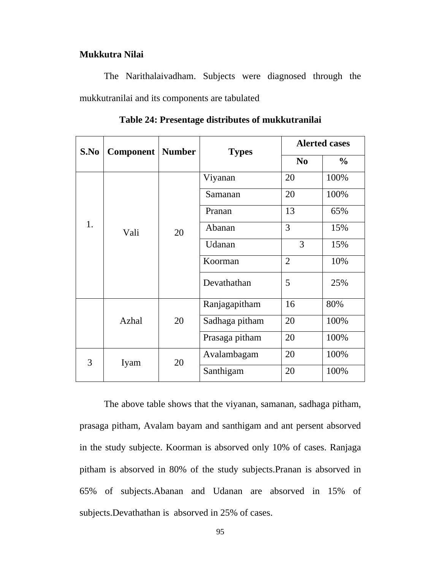#### **Mukkutra Nilai**

 The Narithalaivadham. Subjects were diagnosed through the mukkutranilai and its components are tabulated

| S.No | <b>Component   Number</b> |    | <b>Types</b>   | <b>Alerted cases</b> |               |  |
|------|---------------------------|----|----------------|----------------------|---------------|--|
|      |                           |    |                | N <sub>0</sub>       | $\frac{0}{0}$ |  |
|      |                           |    | Viyanan        | 20                   | 100%          |  |
|      |                           |    | Samanan        | 20                   | 100%          |  |
|      |                           |    | Pranan         | 13                   | 65%           |  |
| 1.   | Vali                      | 20 | Abanan         | 3                    | 15%           |  |
|      |                           |    | Udanan         | 3                    | 15%           |  |
|      |                           |    | Koorman        | $\overline{2}$       | 10%           |  |
|      |                           |    | Devathathan    | 5                    | 25%           |  |
|      |                           |    | Ranjagapitham  | 16                   | 80%           |  |
|      | Azhal                     | 20 | Sadhaga pitham | 20                   | 100%          |  |
|      |                           |    | Prasaga pitham | 20                   | 100%          |  |
| 3    | Iyam                      | 20 | Avalambagam    | 20                   | 100%          |  |
|      |                           |    | Santhigam      | 20                   | 100%          |  |

**Table 24: Presentage distributes of mukkutranilai**

 The above table shows that the viyanan, samanan, sadhaga pitham, prasaga pitham, Avalam bayam and santhigam and ant persent absorved in the study subjecte. Koorman is absorved only 10% of cases. Ranjaga pitham is absorved in 80% of the study subjects.Pranan is absorved in 65% of subjects.Abanan and Udanan are absorved in 15% of subjects.Devathathan is absorved in 25% of cases.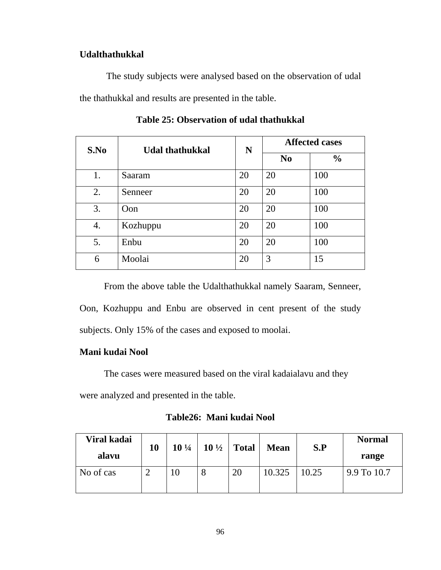#### **Udalthathukkal**

 The study subjects were analysed based on the observation of udal the thathukkal and results are presented in the table.

| S.No | <b>Udal thathukkal</b> | N  | <b>Affected cases</b> |               |  |  |
|------|------------------------|----|-----------------------|---------------|--|--|
|      |                        |    | N <sub>0</sub>        | $\frac{0}{0}$ |  |  |
| 1.   | Saaram                 | 20 | 20                    | 100           |  |  |
| 2.   | Senneer                | 20 | 20                    | 100           |  |  |
| 3.   | Oon                    | 20 | 20                    | 100           |  |  |
| 4.   | Kozhuppu               | 20 | 20                    | 100           |  |  |
| 5.   | Enbu                   | 20 | 20                    | 100           |  |  |
| 6    | Moolai                 | 20 | 3                     | 15            |  |  |

**Table 25: Observation of udal thathukkal** 

 From the above table the Udalthathukkal namely Saaram, Senneer, Oon, Kozhuppu and Enbu are observed in cent present of the study

subjects. Only 15% of the cases and exposed to moolai.

#### **Mani kudai Nool**

The cases were measured based on the viral kadaialavu and they

were analyzed and presented in the table.

**Table26: Mani kudai Nool** 

| Viral kadai<br>alavu | 10 | $10\frac{1}{4}$ |   | $10\frac{1}{2}$ Total | <b>Mean</b> | S.P   | <b>Normal</b><br>range |
|----------------------|----|-----------------|---|-----------------------|-------------|-------|------------------------|
| No of cas            | ∸  | 10              | 8 | 20                    | 10.325      | 10.25 | 9.9 To 10.7            |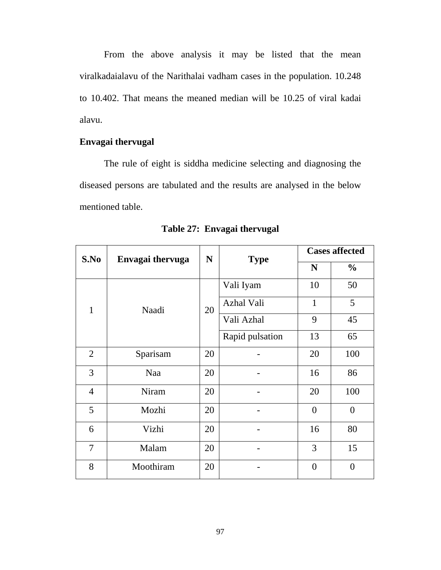From the above analysis it may be listed that the mean viralkadaialavu of the Narithalai vadham cases in the population. 10.248 to 10.402. That means the meaned median will be 10.25 of viral kadai alavu.

## **Envagai thervugal**

 The rule of eight is siddha medicine selecting and diagnosing the diseased persons are tabulated and the results are analysed in the below mentioned table.

| S.No           | Envagai thervuga | N  | <b>Type</b>     | <b>Cases affected</b> |                 |  |
|----------------|------------------|----|-----------------|-----------------------|-----------------|--|
|                |                  |    |                 | N                     | $\frac{0}{0}$   |  |
|                |                  |    | Vali Iyam       | 10                    | 50              |  |
| 1              | Naadi            | 20 | Azhal Vali      | $\mathbf{1}$          | $5\overline{)}$ |  |
|                |                  |    | Vali Azhal      | 9                     | 45              |  |
|                |                  |    | Rapid pulsation | 13                    | 65              |  |
| $\overline{2}$ | Sparisam         | 20 |                 | 20                    | 100             |  |
| 3              | Naa              | 20 |                 | 16                    | 86              |  |
| $\overline{4}$ | Niram            | 20 |                 | 20                    | 100             |  |
| 5              | Mozhi            | 20 |                 | $\overline{0}$        | $\overline{0}$  |  |
| 6              | Vizhi            | 20 |                 | 16                    | 80              |  |
| $\overline{7}$ | Malam            | 20 |                 | 3                     | 15              |  |
| 8              | Moothiram        | 20 |                 | $\overline{0}$        | $\overline{0}$  |  |

**Table 27: Envagai thervugal**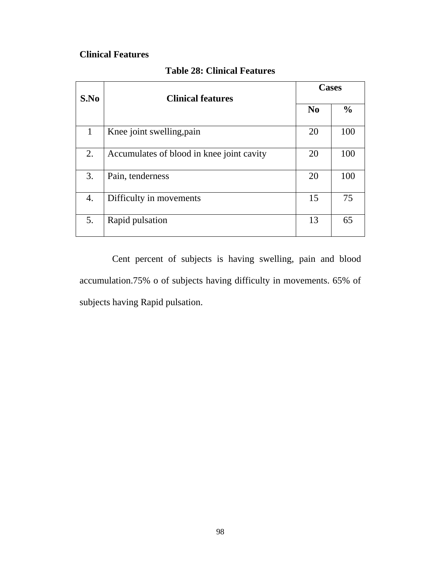## **Clinical Features**

| S.No | <b>Clinical features</b>                  | <b>Cases</b> |               |  |  |
|------|-------------------------------------------|--------------|---------------|--|--|
|      |                                           | $\bf No$     | $\frac{0}{0}$ |  |  |
| 1    | Knee joint swelling, pain                 | 20           | 100           |  |  |
| 2.   | Accumulates of blood in knee joint cavity | 20           | 100           |  |  |
| 3.   | Pain, tenderness                          | 20           | 100           |  |  |
| 4.   | Difficulty in movements                   | 15           | 75            |  |  |
| 5.   | Rapid pulsation                           | 13           | 65            |  |  |

### **Table 28: Clinical Features**

 Cent percent of subjects is having swelling, pain and blood accumulation.75% o of subjects having difficulty in movements. 65% of subjects having Rapid pulsation.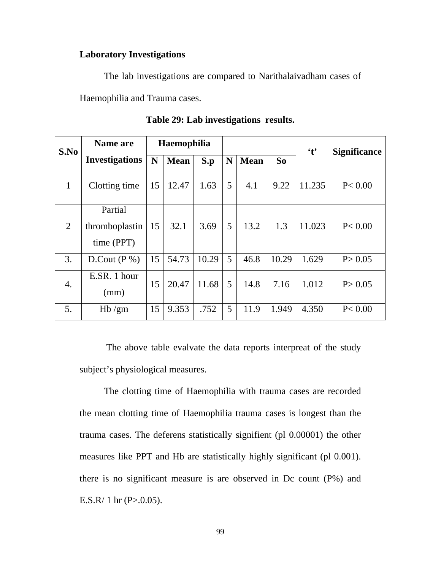#### **Laboratory Investigations**

The lab investigations are compared to Narithalaivadham cases of

Haemophilia and Trauma cases.

| S.No         | Name are                                |    | Haemophilia |       |   |             |       | $\mathfrak{t}$ | <b>Significance</b> |
|--------------|-----------------------------------------|----|-------------|-------|---|-------------|-------|----------------|---------------------|
|              | <b>Investigations</b>                   | N  | <b>Mean</b> | S.p   | N | <b>Mean</b> | So    |                |                     |
| $\mathbf{1}$ | Clotting time                           | 15 | 12.47       | 1.63  | 5 | 4.1         | 9.22  | 11.235         | P < 0.00            |
| 2            | Partial<br>thromboplastin<br>time (PPT) | 15 | 32.1        | 3.69  | 5 | 13.2        | 1.3   | 11.023         | P < 0.00            |
| 3.           | D.Cout $(P %)$                          | 15 | 54.73       | 10.29 | 5 | 46.8        | 10.29 | 1.629          | P > 0.05            |
| 4.           | E.SR. 1 hour<br>(mm)                    | 15 | 20.47       | 11.68 | 5 | 14.8        | 7.16  | 1.012          | P > 0.05            |
| 5.           | Hb/gm                                   | 15 | 9.353       | .752  | 5 | 11.9        | 1.949 | 4.350          | P < 0.00            |

**Table 29: Lab investigations results.** 

The above table evalvate the data reports interpreat of the study subject's physiological measures.

The clotting time of Haemophilia with trauma cases are recorded the mean clotting time of Haemophilia trauma cases is longest than the trauma cases. The deferens statistically signifient (pl 0.00001) the other measures like PPT and Hb are statistically highly significant (pl 0.001). there is no significant measure is are observed in Dc count  $(P\%)$  and E.S.R/ 1 hr  $(P > 0.05)$ .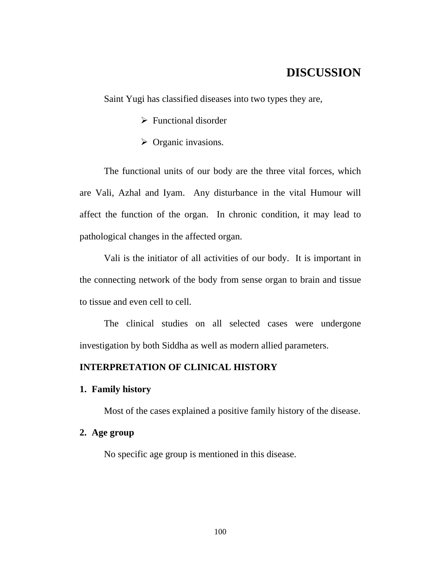## **DISCUSSION**

Saint Yugi has classified diseases into two types they are,

- $\triangleright$  Functional disorder
- $\triangleright$  Organic invasions.

 The functional units of our body are the three vital forces, which are Vali, Azhal and Iyam. Any disturbance in the vital Humour will affect the function of the organ. In chronic condition, it may lead to pathological changes in the affected organ.

 Vali is the initiator of all activities of our body. It is important in the connecting network of the body from sense organ to brain and tissue to tissue and even cell to cell.

 The clinical studies on all selected cases were undergone investigation by both Siddha as well as modern allied parameters.

#### **INTERPRETATION OF CLINICAL HISTORY**

#### **1. Family history**

Most of the cases explained a positive family history of the disease.

#### **2. Age group**

No specific age group is mentioned in this disease.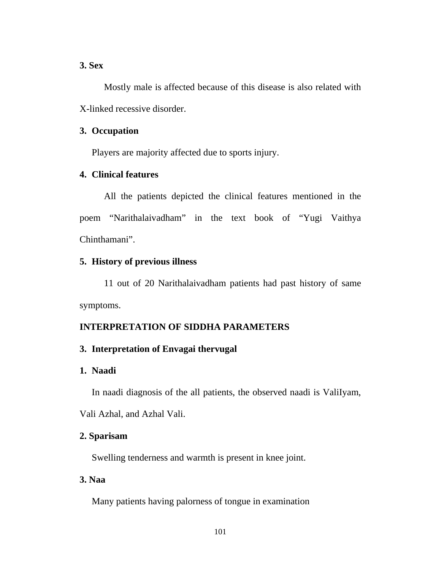#### **3. Sex**

Mostly male is affected because of this disease is also related with X-linked recessive disorder.

#### **3. Occupation**

Players are majority affected due to sports injury.

#### **4. Clinical features**

All the patients depicted the clinical features mentioned in the poem "Narithalaivadham" in the text book of "Yugi Vaithya Chinthamani".

#### **5. History of previous illness**

11 out of 20 Narithalaivadham patients had past history of same symptoms.

#### **INTERPRETATION OF SIDDHA PARAMETERS**

#### **3. Interpretation of Envagai thervugal**

#### **1. Naadi**

In naadi diagnosis of the all patients, the observed naadi is ValiIyam,

Vali Azhal, and Azhal Vali.

#### **2. Sparisam**

Swelling tenderness and warmth is present in knee joint.

#### **3. Naa**

Many patients having palorness of tongue in examination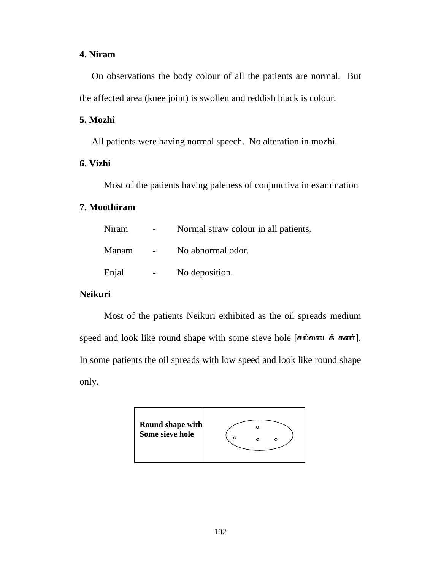#### **4. Niram**

On observations the body colour of all the patients are normal. But the affected area (knee joint) is swollen and reddish black is colour.

#### **5. Mozhi**

All patients were having normal speech. No alteration in mozhi.

#### **6. Vizhi**

Most of the patients having paleness of conjunctiva in examination

## **7. Moothiram**

| Niram | Normal straw colour in all patients. |
|-------|--------------------------------------|
| Manam | No abnormal odor.                    |
| Enjal | No deposition.                       |

## **Neikuri**

 Most of the patients Neikuri exhibited as the oil spreads medium speed and look like round shape with some sieve hole [சல்லடைக் கண்]. In some patients the oil spreads with low speed and look like round shape only.

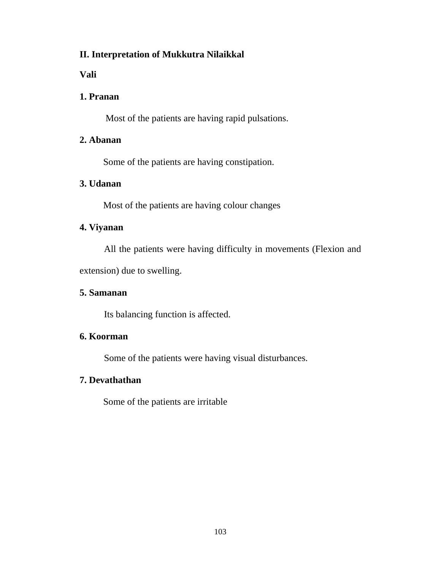## **II. Interpretation of Mukkutra Nilaikkal**

**Vali** 

## **1. Pranan**

Most of the patients are having rapid pulsations.

## **2. Abanan**

Some of the patients are having constipation.

## **3. Udanan**

Most of the patients are having colour changes

## **4. Viyanan**

All the patients were having difficulty in movements (Flexion and

extension) due to swelling.

## **5. Samanan**

Its balancing function is affected.

## **6. Koorman**

Some of the patients were having visual disturbances.

## **7. Devathathan**

Some of the patients are irritable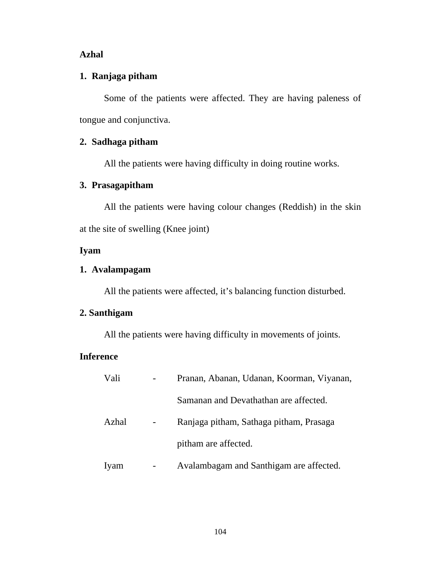#### **Azhal**

## **1. Ranjaga pitham**

Some of the patients were affected. They are having paleness of tongue and conjunctiva.

#### **2. Sadhaga pitham**

All the patients were having difficulty in doing routine works.

#### **3. Prasagapitham**

All the patients were having colour changes (Reddish) in the skin at the site of swelling (Knee joint)

## **Iyam**

#### **1. Avalampagam**

All the patients were affected, it's balancing function disturbed.

## **2. Santhigam**

All the patients were having difficulty in movements of joints.

#### **Inference**

| Vali  | Pranan, Abanan, Udanan, Koorman, Viyanan, |
|-------|-------------------------------------------|
|       | Samanan and Devathathan are affected.     |
| Azhal | Ranjaga pitham, Sathaga pitham, Prasaga   |
|       | pitham are affected.                      |
| Iyam  | Avalambagam and Santhigam are affected.   |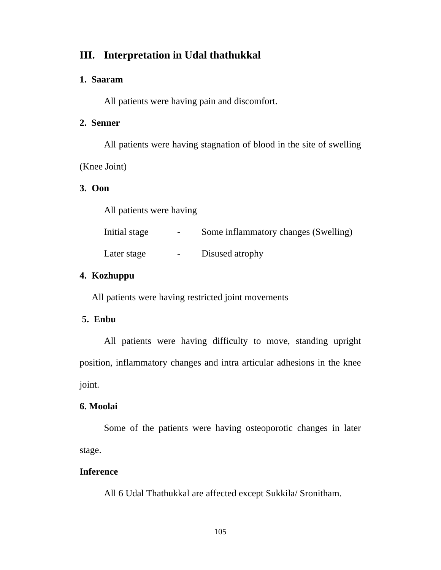## **III. Interpretation in Udal thathukkal**

#### **1. Saaram**

All patients were having pain and discomfort.

#### **2. Senner**

All patients were having stagnation of blood in the site of swelling (Knee Joint)

#### **3. Oon**

All patients were having

| Initial stage | $\overline{\phantom{0}}$ | Some inflammatory changes (Swelling) |
|---------------|--------------------------|--------------------------------------|
| Later stage   | $\sim$ 100 $\sim$        | Disused atrophy                      |

## **4. Kozhuppu**

All patients were having restricted joint movements

### **5. Enbu**

All patients were having difficulty to move, standing upright position, inflammatory changes and intra articular adhesions in the knee joint.

### **6. Moolai**

Some of the patients were having osteoporotic changes in later stage.

#### **Inference**

All 6 Udal Thathukkal are affected except Sukkila/ Sronitham.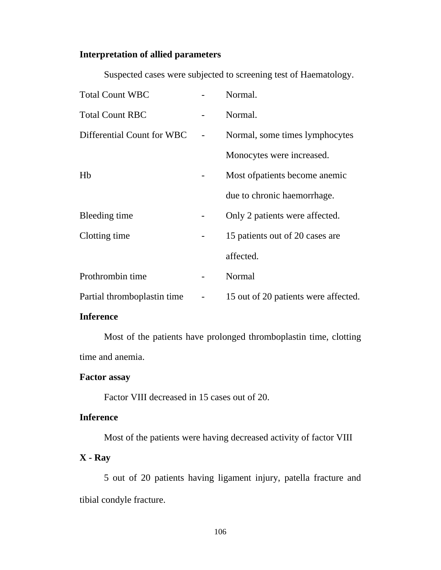## **Interpretation of allied parameters**

| <b>Total Count WBC</b>      | Normal.                              |
|-----------------------------|--------------------------------------|
| <b>Total Count RBC</b>      | Normal.                              |
| Differential Count for WBC  | Normal, some times lymphocytes       |
|                             | Monocytes were increased.            |
| Hb                          | Most of patients become anemic       |
|                             | due to chronic haemorrhage.          |
| Bleeding time               | Only 2 patients were affected.       |
| Clotting time               | 15 patients out of 20 cases are      |
|                             | affected.                            |
| Prothrombin time            | Normal                               |
| Partial thromboplastin time | 15 out of 20 patients were affected. |

Suspected cases were subjected to screening test of Haematology.

#### **Inference**

 Most of the patients have prolonged thromboplastin time, clotting time and anemia.

#### **Factor assay**

Factor VIII decreased in 15 cases out of 20.

#### **Inference**

Most of the patients were having decreased activity of factor VIII

## **X - Ray**

 5 out of 20 patients having ligament injury, patella fracture and tibial condyle fracture.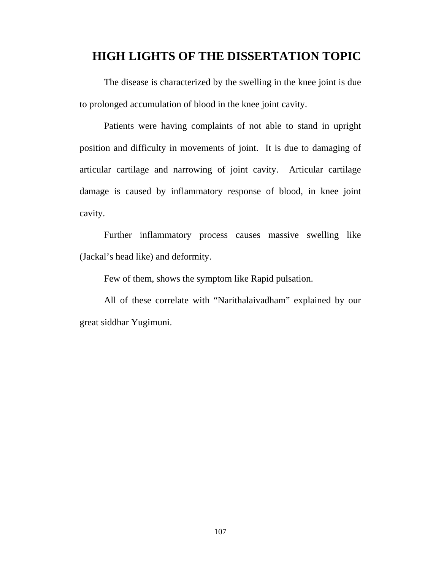## **HIGH LIGHTS OF THE DISSERTATION TOPIC**

 The disease is characterized by the swelling in the knee joint is due to prolonged accumulation of blood in the knee joint cavity.

 Patients were having complaints of not able to stand in upright position and difficulty in movements of joint. It is due to damaging of articular cartilage and narrowing of joint cavity. Articular cartilage damage is caused by inflammatory response of blood, in knee joint cavity.

 Further inflammatory process causes massive swelling like (Jackal's head like) and deformity.

Few of them, shows the symptom like Rapid pulsation.

 All of these correlate with "Narithalaivadham" explained by our great siddhar Yugimuni.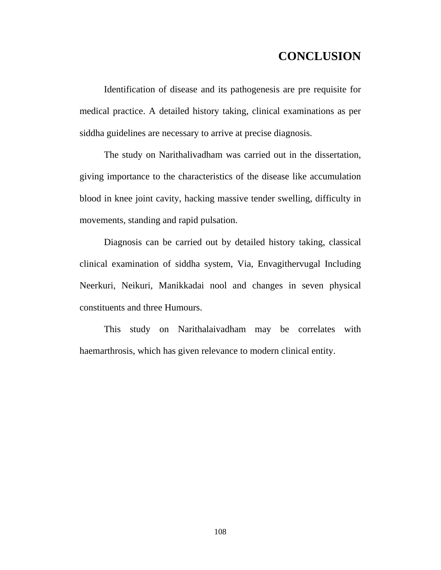# **CONCLUSION**

 Identification of disease and its pathogenesis are pre requisite for medical practice. A detailed history taking, clinical examinations as per siddha guidelines are necessary to arrive at precise diagnosis.

 The study on Narithalivadham was carried out in the dissertation, giving importance to the characteristics of the disease like accumulation blood in knee joint cavity, hacking massive tender swelling, difficulty in movements, standing and rapid pulsation.

 Diagnosis can be carried out by detailed history taking, classical clinical examination of siddha system, Via, Envagithervugal Including Neerkuri, Neikuri, Manikkadai nool and changes in seven physical constituents and three Humours.

 This study on Narithalaivadham may be correlates with haemarthrosis, which has given relevance to modern clinical entity.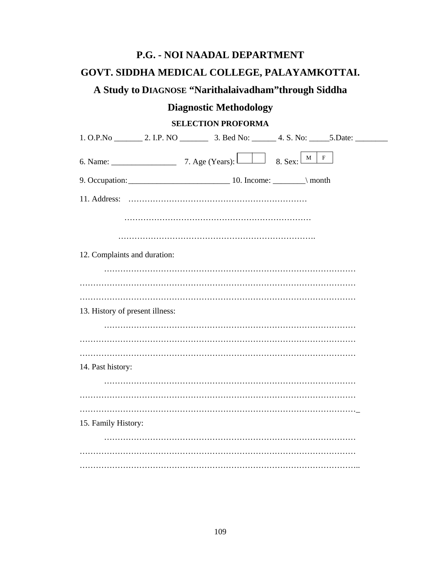# **P.G. - NOI NAADAL DEPARTMENT**

### **GOVT. SIDDHA MEDICAL COLLEGE, PALAYAMKOTTAI.**

# **A Study to DIAGNOSE "Narithalaivadham"through Siddha**

## **Diagnostic Methodology**

#### **SELECTION PROFORMA**

|                                 | $\mathbf{F}$<br>$\mathbf{M}$ |  |
|---------------------------------|------------------------------|--|
|                                 |                              |  |
| 11. Address:                    |                              |  |
|                                 |                              |  |
|                                 |                              |  |
| 12. Complaints and duration:    |                              |  |
|                                 |                              |  |
|                                 |                              |  |
| 13. History of present illness: |                              |  |
|                                 |                              |  |
|                                 |                              |  |
| 14. Past history:               |                              |  |
|                                 |                              |  |
|                                 |                              |  |
| 15. Family History:             |                              |  |
|                                 |                              |  |
|                                 |                              |  |
|                                 |                              |  |
|                                 |                              |  |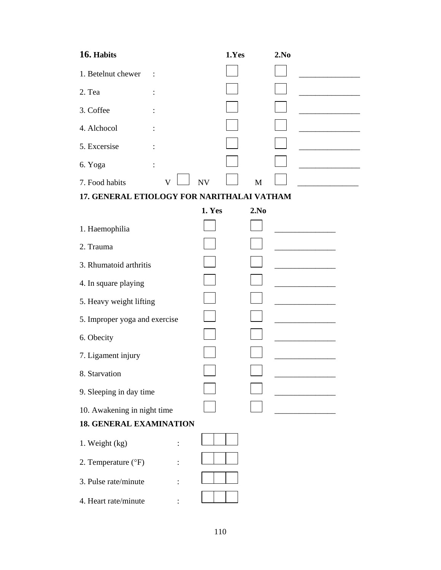| 16. Habits                                 | 1.Yes          | 2.No |
|--------------------------------------------|----------------|------|
| 1. Betelnut chewer                         |                |      |
| 2. Tea                                     |                |      |
| 3. Coffee                                  |                |      |
| 4. Alchocol                                |                |      |
| 5. Excersise                               |                |      |
| 6. Yoga                                    |                |      |
| 7. Food habits<br>V                        | <b>NV</b><br>M |      |
| 17. GENERAL ETIOLOGY FOR NARITHALAI VATHAM |                |      |
|                                            | 1. Yes<br>2.No |      |
| 1. Haemophilia                             |                |      |
| 2. Trauma                                  |                |      |
| 3. Rhumatoid arthritis                     |                |      |
| 4. In square playing                       |                |      |
| 5. Heavy weight lifting                    |                |      |
| 5. Improper yoga and exercise              |                |      |
| 6. Obecity                                 |                |      |
| 7. Ligament injury                         |                |      |
| 8. Starvation                              |                |      |
| 9. Sleeping in day time                    |                |      |
| 10. Awakening in night time                |                |      |
| <b>18. GENERAL EXAMINATION</b>             |                |      |
| 1. Weight (kg)                             |                |      |
| 2. Temperature (°F)                        |                |      |
| 3. Pulse rate/minute                       |                |      |
| 4. Heart rate/minute                       |                |      |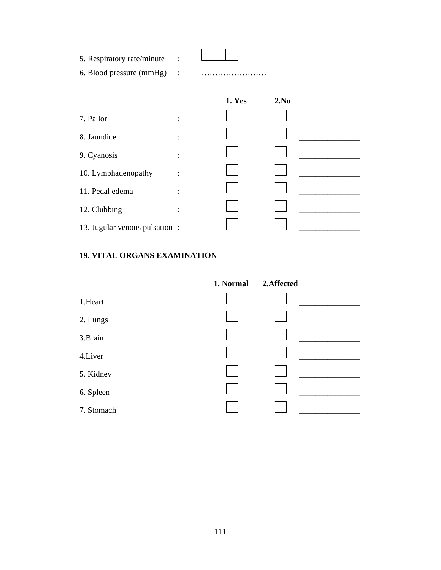| 5. Respiratory rate/minute<br>6. Blood pressure (mmHg) : |                |        |      |  |
|----------------------------------------------------------|----------------|--------|------|--|
|                                                          |                | 1. Yes | 2.No |  |
| 7. Pallor                                                | $\ddot{\cdot}$ |        |      |  |
| 8. Jaundice                                              | $\ddot{\cdot}$ |        |      |  |
| 9. Cyanosis                                              | $\ddot{\cdot}$ |        |      |  |
| 10. Lymphadenopathy                                      | $\ddot{\cdot}$ |        |      |  |
| 11. Pedal edema                                          | $\ddot{\cdot}$ |        |      |  |
| 12. Clubbing                                             | $\ddot{\cdot}$ |        |      |  |
| 13. Jugular venous pulsation:                            |                |        |      |  |

### **19. VITAL ORGANS EXAMINATION**

|            | 1. Normal | 2.Affected |  |
|------------|-----------|------------|--|
| 1.Heart    |           |            |  |
| 2. Lungs   |           |            |  |
| 3.Brain    |           |            |  |
| 4.Liver    |           |            |  |
| 5. Kidney  |           |            |  |
| 6. Spleen  |           |            |  |
| 7. Stomach |           |            |  |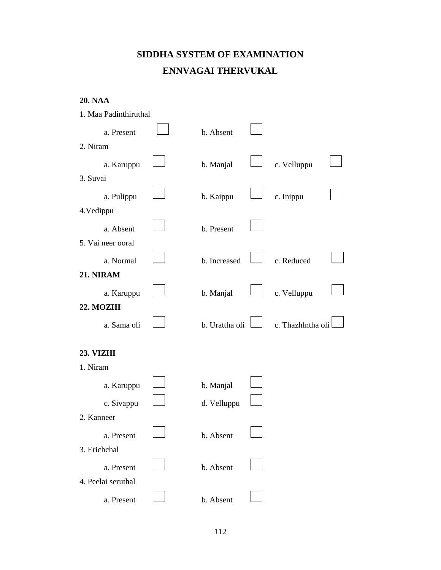# **SIDDHA SYSTEM OF EXAMINATION ENNVAGAI THERVUKAL**

| <b>20. NAA</b> |  |
|----------------|--|
|----------------|--|

| 1. Maa Padinthiruthal |                |                   |  |
|-----------------------|----------------|-------------------|--|
| a. Present            | b. Absent      |                   |  |
| 2. Niram              |                |                   |  |
| a. Karuppu            | b. Manjal      | c. Velluppu       |  |
| 3. Suvai              |                |                   |  |
| a. Pulippu            | b. Kaippu      | c. Inippu         |  |
| 4. Vedippu            |                |                   |  |
| a. Absent             | b. Present     |                   |  |
| 5. Vai neer ooral     |                |                   |  |
| a. Normal             | b. Increased   | c. Reduced        |  |
| 21. NIRAM             |                |                   |  |
| a. Karuppu            | b. Manjal      | c. Velluppu       |  |
| 22. MOZHI             |                |                   |  |
| a. Sama oli           | b. Urattha oli | c. Thazhlntha oli |  |
| 23. VIZHI             |                |                   |  |
| 1. Niram              |                |                   |  |
| a. Karuppu            | b. Manjal      |                   |  |
| c. Sivappu            | d. Velluppu    |                   |  |
| 2. Kanneer            |                |                   |  |
| a. Present            | b. Absent      |                   |  |
| 3. Erichchal          |                |                   |  |
| a. Present            | b. Absent      |                   |  |
| 4. Peelai seruthal    |                |                   |  |
| a. Present            | b. Absent      |                   |  |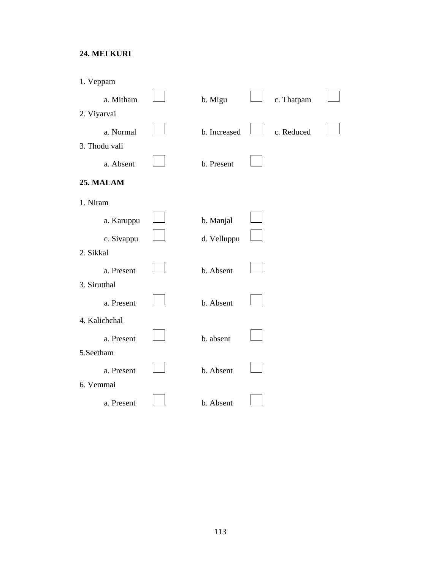#### **24. MEI KURI**

| 1. Veppam     |              |            |  |
|---------------|--------------|------------|--|
| a. Mitham     | b. Migu      | c. Thatpam |  |
| 2. Viyarvai   |              |            |  |
| a. Normal     | b. Increased | c. Reduced |  |
| 3. Thodu vali |              |            |  |
| a. Absent     | b. Present   |            |  |
| 25. MALAM     |              |            |  |
| 1. Niram      |              |            |  |
| a. Karuppu    | b. Manjal    |            |  |
| c. Sivappu    | d. Velluppu  |            |  |
| 2. Sikkal     |              |            |  |
| a. Present    | b. Absent    |            |  |
| 3. Sirutthal  |              |            |  |
| a. Present    | b. Absent    |            |  |
| 4. Kalichchal |              |            |  |
| a. Present    | b. absent    |            |  |
| 5.Seetham     |              |            |  |
| a. Present    | b. Absent    |            |  |
| 6. Vemmai     |              |            |  |
| a. Present    | b. Absent    |            |  |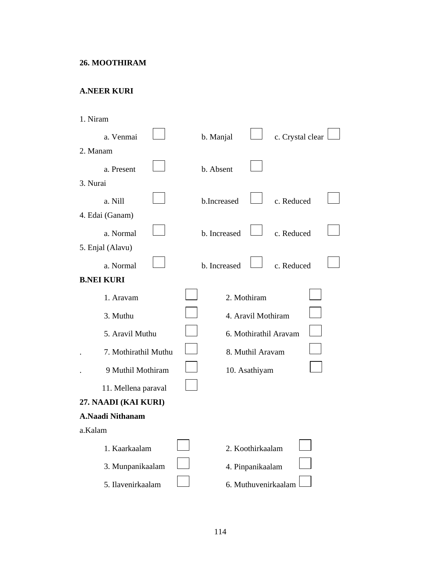#### **26. MOOTHIRAM**

#### **A.NEER KURI**

| 1. Niram |                         |  |              |                    |                       |  |
|----------|-------------------------|--|--------------|--------------------|-----------------------|--|
|          | a. Venmai               |  | b. Manjal    |                    | c. Crystal clear      |  |
| 2. Manam |                         |  |              |                    |                       |  |
|          | a. Present              |  | b. Absent    |                    |                       |  |
| 3. Nurai |                         |  |              |                    |                       |  |
|          | a. Nill                 |  | b.Increased  |                    | c. Reduced            |  |
|          | 4. Edai (Ganam)         |  |              |                    |                       |  |
|          | a. Normal               |  | b. Increased |                    | c. Reduced            |  |
|          | 5. Enjal (Alavu)        |  |              |                    |                       |  |
|          | a. Normal               |  | b. Increased |                    | c. Reduced            |  |
|          | <b>B.NEI KURI</b>       |  |              |                    |                       |  |
|          | 1. Aravam               |  |              | 2. Mothiram        |                       |  |
|          | 3. Muthu                |  |              | 4. Aravil Mothiram |                       |  |
|          | 5. Aravil Muthu         |  |              |                    | 6. Mothirathil Aravam |  |
|          | 7. Mothirathil Muthu    |  |              | 8. Muthil Aravam   |                       |  |
|          | 9 Muthil Mothiram       |  |              | 10. Asathiyam      |                       |  |
|          | 11. Mellena paraval     |  |              |                    |                       |  |
|          | 27. NAADI (KAI KURI)    |  |              |                    |                       |  |
|          | <b>A.Naadi Nithanam</b> |  |              |                    |                       |  |
| a.Kalam  |                         |  |              |                    |                       |  |
|          | 1. Kaarkaalam           |  |              | 2. Koothirkaalam   |                       |  |
|          | 3. Munpanikaalam        |  |              | 4. Pinpanikaalam   |                       |  |
|          | 5. Ilavenirkaalam       |  |              |                    | 6. Muthuvenirkaalam   |  |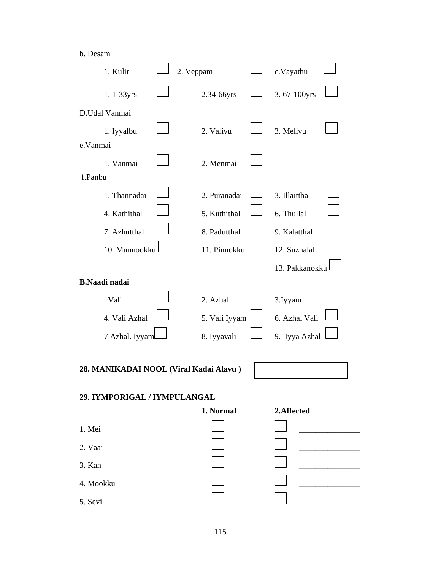#### b. Desam

| 1. Kulir                               | 2. Veppam |               | c.Vayathu      |  |
|----------------------------------------|-----------|---------------|----------------|--|
| 1.1-33yrs                              |           | 2.34-66yrs    | 3.67-100yrs    |  |
| D.Udal Vanmai                          |           |               |                |  |
| 1. Iyyalbu                             |           | 2. Valivu     | 3. Melivu      |  |
| e.Vanmai                               |           |               |                |  |
| 1. Vanmai                              |           | 2. Menmai     |                |  |
| f.Panbu                                |           |               |                |  |
| 1. Thannadai                           |           | 2. Puranadai  | 3. Illaittha   |  |
| 4. Kathithal                           |           | 5. Kuthithal  | 6. Thullal     |  |
| 7. Azhutthal                           |           | 8. Padutthal  | 9. Kalatthal   |  |
| 10. Munnookku                          |           | 11. Pinnokku  | 12. Suzhalal   |  |
|                                        |           |               | 13. Pakkanokku |  |
| <b>B.Naadi</b> nadai                   |           |               |                |  |
| 1Vali                                  |           | 2. Azhal      | 3. Iyyam       |  |
| 4. Vali Azhal                          |           | 5. Vali Iyyam | 6. Azhal Vali  |  |
| 7 Azhal. Iyyaml                        |           | 8. Iyyavali   | 9. Iyya Azhal  |  |
|                                        |           |               |                |  |
| 28. MANIKADAI NOOL (Viral Kadai Alavu) |           |               |                |  |
| 29. IYMPORIGAL / IYMPULANGAL           |           |               |                |  |
|                                        |           | 1. Normal     | 2.Affected     |  |
| 1. Mei                                 |           |               |                |  |
| 2. Vaai                                |           |               |                |  |
| 3. Kan                                 |           |               |                |  |
| 4. Mookku                              |           |               |                |  |
| 5. Sevi                                |           |               |                |  |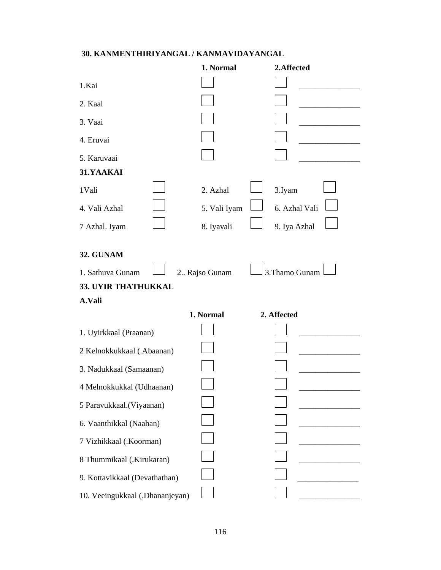### **30. KANMENTHIRIYANGAL / KANMAVIDAYANGAL**

|                                 | 1. Normal     | 2.Affected     |
|---------------------------------|---------------|----------------|
| 1.Kai                           |               |                |
| 2. Kaal                         |               |                |
| 3. Vaai                         |               |                |
| 4. Eruvai                       |               |                |
| 5. Karuvaai                     |               |                |
| 31.YAAKAI                       |               |                |
| 1Vali                           | 2. Azhal      | 3.Iyam         |
| 4. Vali Azhal                   | 5. Vali Iyam  | 6. Azhal Vali  |
| 7 Azhal. Iyam                   | 8. Iyavali    | 9. Iya Azhal   |
| 32. GUNAM                       |               |                |
| 1. Sathuva Gunam                | 2 Rajso Gunam | 3. Thamo Gunam |
| 33. UYIR THATHUKKAL             |               |                |
| A.Vali                          |               |                |
|                                 | 1. Normal     | 2. Affected    |
| 1. Uyirkkaal (Praanan)          |               |                |
| 2 Kelnokkukkaal (.Abaanan)      |               |                |
| 3. Nadukkaal (Samaanan)         |               |                |
| 4 Melnokkukkal (Udhaanan)       |               |                |
| 5 Paravukkaal.(Viyaanan)        |               |                |
| 6. Vaanthikkal (Naahan)         |               |                |
| 7 Vizhikkaal (.Koorman)         |               |                |
| 8 Thummikaal (.Kirukaran)       |               |                |
| 9. Kottavikkaal (Devathathan)   |               |                |
| 10. Veeingukkaal (.Dhananjeyan) |               |                |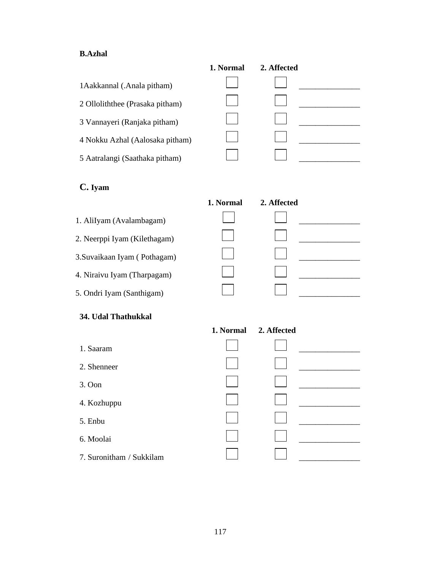#### **B.Azhal**

|                                 | 1. Normal | 2. Affected |  |
|---------------------------------|-----------|-------------|--|
| 1 Aakkannal (.Anala pitham)     |           |             |  |
| 2 Olloliththee (Prasaka pitham) |           |             |  |
| 3 Vannayeri (Ranjaka pitham)    |           |             |  |
| 4 Nokku Azhal (Aalosaka pitham) |           |             |  |
| 5 Aatralangi (Saathaka pitham)  |           |             |  |

## **C. Iyam**

|                              | 1. Normal | 2. Affected |  |
|------------------------------|-----------|-------------|--|
| 1. AliIyam (Avalambagam)     |           |             |  |
| 2. Neerppi Iyam (Kilethagam) |           |             |  |
| 3. Suvaikaan Iyam (Pothagam) |           |             |  |
| 4. Niraivu Iyam (Tharpagam)  |           |             |  |
| 5. Ondri Iyam (Santhigam)    |           |             |  |

#### **34. Udal Thathukkal**

- 1. Saaram \_\_\_\_\_\_\_\_\_\_\_\_\_\_\_
- 2. Shenneer
- 
- 4. Kozhuppu \_\_\_\_\_\_\_\_\_\_\_\_\_\_\_
- 
- 6. Moolai \_\_\_\_\_\_\_\_\_\_\_\_\_\_\_
- 7. Suronitham / Sukkilam

|                          | 1. Normal 2. Affected |  |
|--------------------------|-----------------------|--|
| 1. Saaram                |                       |  |
| 2. Shenneer              |                       |  |
| $3.$ Oon                 |                       |  |
| 4. Kozhuppu              |                       |  |
| 5. Enbu                  |                       |  |
| 6. Moolai                |                       |  |
| 7. Suronitham / Sukkilam |                       |  |
|                          |                       |  |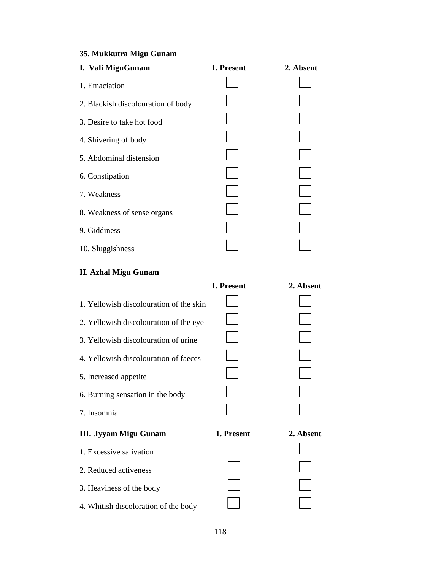## **35. Mukkutra Migu Gunam**

| I. Vali MiguGunam                       | 1. Present | 2. Absent |
|-----------------------------------------|------------|-----------|
| 1. Emaciation                           |            |           |
| 2. Blackish discolouration of body      |            |           |
| 3. Desire to take hot food              |            |           |
| 4. Shivering of body                    |            |           |
| 5. Abdominal distension                 |            |           |
| 6. Constipation                         |            |           |
| 7. Weakness                             |            |           |
| 8. Weakness of sense organs             |            |           |
| 9. Giddiness                            |            |           |
| 10. Sluggishness                        |            |           |
| <b>II. Azhal Migu Gunam</b>             |            |           |
|                                         | 1. Present | 2. Absent |
| 1. Yellowish discolouration of the skin |            |           |
| 2. Yellowish discolouration of the eye  |            |           |
| 3. Yellowish discolouration of urine    |            |           |
| 4. Yellowish discolouration of faeces   |            |           |
| 5. Increased appetite                   |            |           |
| 6. Burning sensation in the body        |            |           |
| 7. Insomnia                             |            |           |
| <b>III. Iyyam Migu Gunam</b>            | 1. Present | 2. Absent |
| 1. Excessive salivation                 |            |           |
| 2. Reduced activeness                   |            |           |
| 3. Heaviness of the body                |            |           |
| 4. Whitish discoloration of the body    |            |           |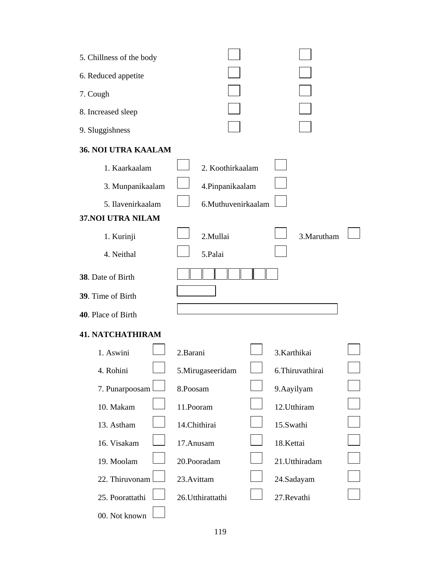| 5. Chillness of the body   |                    |                  |  |
|----------------------------|--------------------|------------------|--|
| 6. Reduced appetite        |                    |                  |  |
| 7. Cough                   |                    |                  |  |
| 8. Increased sleep         |                    |                  |  |
| 9. Sluggishness            |                    |                  |  |
| <b>36. NOI UTRA KAALAM</b> |                    |                  |  |
| 1. Kaarkaalam              | 2. Koothirkaalam   |                  |  |
| 3. Munpanikaalam           | 4.Pinpanikaalam    |                  |  |
| 5. Ilavenirkaalam          | 6.Muthuvenirkaalam |                  |  |
| 37.NOI UTRA NILAM          |                    |                  |  |
| 1. Kurinji                 | 2.Mullai           | 3. Marutham      |  |
| 4. Neithal                 | 5.Palai            |                  |  |
| 38. Date of Birth          |                    |                  |  |
| 39. Time of Birth          |                    |                  |  |
| 40. Place of Birth         |                    |                  |  |
| <b>41. NATCHATHIRAM</b>    |                    |                  |  |
| 1. Aswini                  | 2.Barani           | 3.Karthikai      |  |
| 4. Rohini                  | 5.Mirugaseeridam   | 6. Thiruvathirai |  |
| 7. Punarpoosam             | 8.Poosam           | 9. Aayilyam      |  |
| 10. Makam                  | 11.Pooram          | 12.Utthiram      |  |
| 13. Astham                 | 14.Chithirai       | 15.Swathi        |  |
| 16. Visakam                | 17.Anusam          | 18.Kettai        |  |
| 19. Moolam                 | 20.Pooradam        | 21.Utthiradam    |  |
| 22. Thiruvonam             | 23.Avittam         | 24.Sadayam       |  |
| 25. Poorattathi            | 26. Utthirattathi  | 27.Revathi       |  |
| 00. Not known              |                    |                  |  |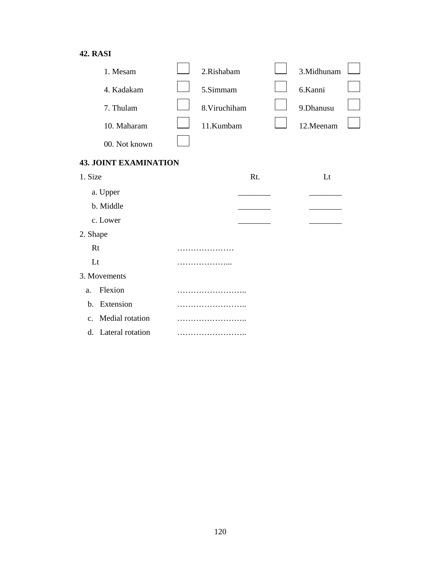### **42. RASI**

| 1. Mesam                          |  | 2.Rishabam    |     |  | 3.Midhunam |  |
|-----------------------------------|--|---------------|-----|--|------------|--|
| 4. Kadakam                        |  | 5.Simmam      |     |  | 6.Kanni    |  |
| 7. Thulam                         |  | 8. Viruchiham |     |  | 9.Dhanusu  |  |
| 10. Maharam                       |  | 11.Kumbam     |     |  | 12.Meenam  |  |
| 00. Not known                     |  |               |     |  |            |  |
| <b>43. JOINT EXAMINATION</b>      |  |               |     |  |            |  |
| 1. Size                           |  |               | Rt. |  | Lt         |  |
| a. Upper                          |  |               |     |  |            |  |
| b. Middle                         |  |               |     |  |            |  |
| c. Lower                          |  |               |     |  |            |  |
| 2. Shape                          |  |               |     |  |            |  |
| Rt                                |  |               |     |  |            |  |
| Lt                                |  |               |     |  |            |  |
| 3. Movements                      |  |               |     |  |            |  |
| Flexion<br>a.                     |  |               |     |  |            |  |
| Extension<br>$\mathbf{b}$ .       |  |               |     |  |            |  |
| Medial rotation<br>$\mathbf{C}$ . |  |               |     |  |            |  |
| d. Lateral rotation               |  |               |     |  |            |  |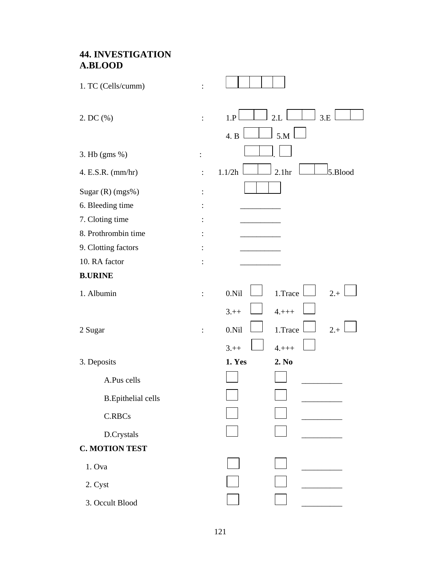### **44. INVESTIGATION A.BLOOD**

| 1. TC (Cells/cumm)         |                |                                        |
|----------------------------|----------------|----------------------------------------|
| 2. DC (%)                  | $\ddot{\cdot}$ | 2.L<br>3.E<br>1.P                      |
|                            |                | 5.M<br>4. B                            |
| $3.$ Hb (gms $\%$ )        | :              |                                        |
| 4. E.S.R. (mm/hr)          | $\ddot{\cdot}$ | 2.1 <sub>hr</sub><br>5.Blood<br>1.1/2h |
| Sugar (R) (mgs%)           |                |                                        |
| 6. Bleeding time           |                |                                        |
| 7. Cloting time            |                |                                        |
| 8. Prothrombin time        |                |                                        |
| 9. Clotting factors        |                |                                        |
| 10. RA factor              |                |                                        |
| <b>B.URINE</b>             |                |                                        |
| 1. Albumin                 |                | 0.Ni1<br>1.Trace<br>$2.+$              |
|                            |                | $3.+$<br>$4. + + +$                    |
| 2 Sugar                    | $\ddot{\cdot}$ | $2.+$<br>0.Ni1<br>1.Trace              |
|                            |                | $3.+$<br>$4. + + +$                    |
| 3. Deposits                |                | 2. No<br>1. Yes                        |
| A.Pus cells                |                |                                        |
| <b>B.</b> Epithelial cells |                |                                        |
| C.RBCs                     |                |                                        |
| D.Crystals                 |                |                                        |
| <b>C. MOTION TEST</b>      |                |                                        |
| 1. Ova                     |                |                                        |
| 2. Cyst                    |                |                                        |
| 3. Occult Blood            |                |                                        |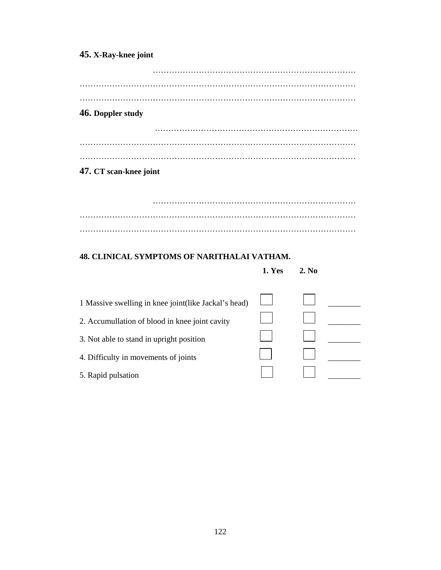## **45. X-Ray-knee joint**

| 46. Doppler study      |  |  |  |
|------------------------|--|--|--|
|                        |  |  |  |
|                        |  |  |  |
|                        |  |  |  |
|                        |  |  |  |
|                        |  |  |  |
|                        |  |  |  |
|                        |  |  |  |
|                        |  |  |  |
|                        |  |  |  |
|                        |  |  |  |
|                        |  |  |  |
|                        |  |  |  |
| 47. CT scan-knee joint |  |  |  |
|                        |  |  |  |

#### **48. CLINICAL SYMPTOMS OF NARITHALAI VATHAM.**

#### **1. Yes 2. No**

| 1 Massive swelling in knee joint(like Jackal's head) |  |  |
|------------------------------------------------------|--|--|
| 2. Accumullation of blood in knee joint cavity       |  |  |
| 3. Not able to stand in upright position             |  |  |
| 4. Difficulty in movements of joints                 |  |  |
| 5. Rapid pulsation                                   |  |  |